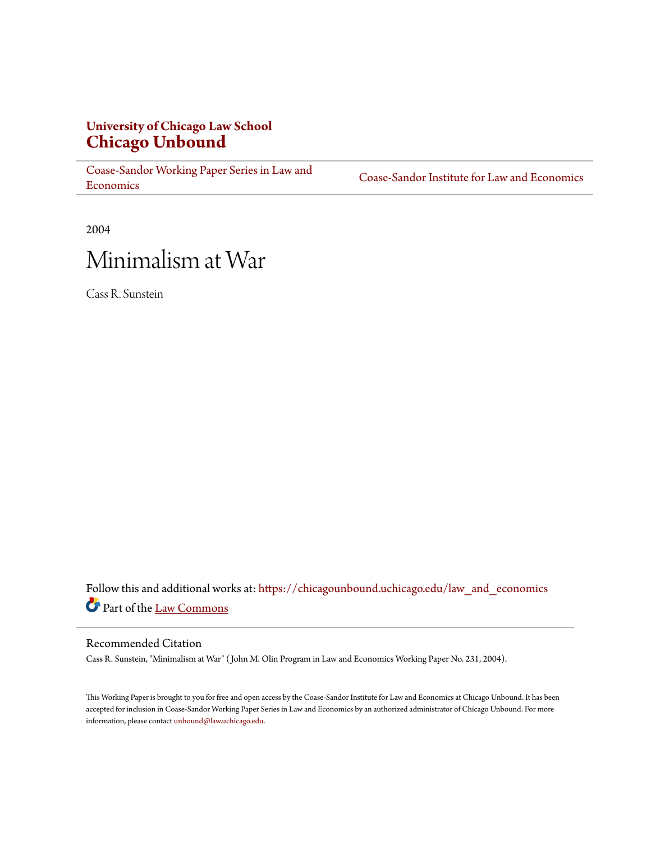## **University of Chicago Law School [Chicago Unbound](https://chicagounbound.uchicago.edu?utm_source=chicagounbound.uchicago.edu%2Flaw_and_economics%2F319&utm_medium=PDF&utm_campaign=PDFCoverPages)**

[Coase-Sandor Working Paper Series in Law and](https://chicagounbound.uchicago.edu/law_and_economics?utm_source=chicagounbound.uchicago.edu%2Flaw_and_economics%2F319&utm_medium=PDF&utm_campaign=PDFCoverPages) [Economics](https://chicagounbound.uchicago.edu/law_and_economics?utm_source=chicagounbound.uchicago.edu%2Flaw_and_economics%2F319&utm_medium=PDF&utm_campaign=PDFCoverPages)

[Coase-Sandor Institute for Law and Economics](https://chicagounbound.uchicago.edu/coase_sandor_institute?utm_source=chicagounbound.uchicago.edu%2Flaw_and_economics%2F319&utm_medium=PDF&utm_campaign=PDFCoverPages)

2004

# Minimalism at War

Cass R. Sunstein

Follow this and additional works at: [https://chicagounbound.uchicago.edu/law\\_and\\_economics](https://chicagounbound.uchicago.edu/law_and_economics?utm_source=chicagounbound.uchicago.edu%2Flaw_and_economics%2F319&utm_medium=PDF&utm_campaign=PDFCoverPages) Part of the [Law Commons](http://network.bepress.com/hgg/discipline/578?utm_source=chicagounbound.uchicago.edu%2Flaw_and_economics%2F319&utm_medium=PDF&utm_campaign=PDFCoverPages)

#### Recommended Citation

Cass R. Sunstein, "Minimalism at War" ( John M. Olin Program in Law and Economics Working Paper No. 231, 2004).

This Working Paper is brought to you for free and open access by the Coase-Sandor Institute for Law and Economics at Chicago Unbound. It has been accepted for inclusion in Coase-Sandor Working Paper Series in Law and Economics by an authorized administrator of Chicago Unbound. For more information, please contact [unbound@law.uchicago.edu.](mailto:unbound@law.uchicago.edu)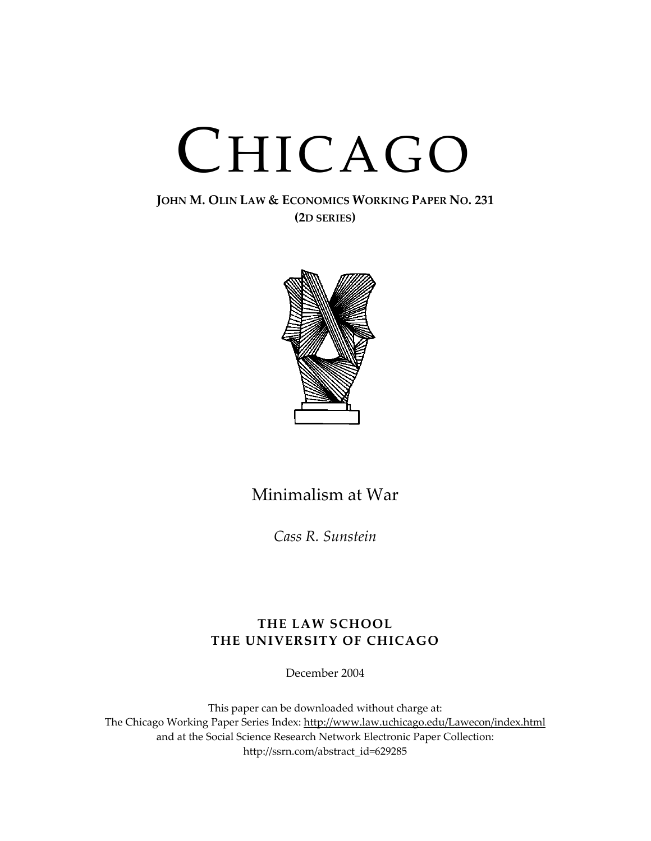# CHICAGO

#### **JOHN M. OLIN LAW & ECONOMICS WORKING PAPER NO. 231 (2D SERIES)**



# Minimalism at War

*Cass R. Sunstein*

### **THE LAW SCHOOL THE UNIVERSITY OF CHICAGO**

December 2004

This paper can be downloaded without charge at: The Chicago Working Paper Series Index: <http://www.law.uchicago.edu/Lawecon/index.html> and at the Social Science Research Network Electronic Paper Collection: [http://ssrn.com/abstract\\_id=629285](http://papers.ssrn.com/sol3/search.taf)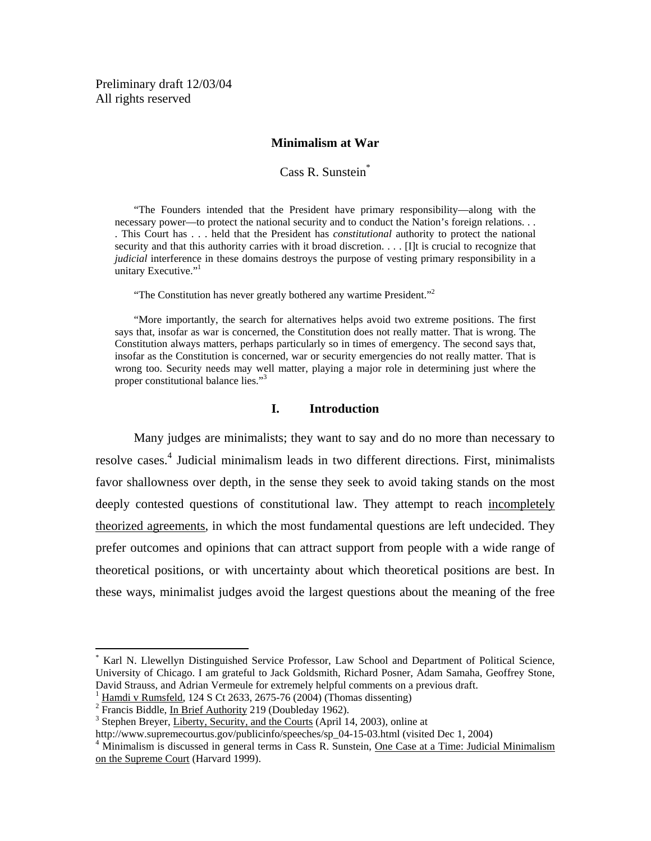Preliminary draft 12/03/04 All rights reserved

#### **Minimalism at War**

Cass R. Sunstei[n\\*](#page-2-0)

"The Founders intended that the President have primary responsibility—along with the necessary power—to protect the national security and to conduct the Nation's foreign relations. . . . This Court has . . . held that the President has *constitutional* authority to protect the national security and that this authority carries with it broad discretion. . . . [I]t is crucial to recognize that *judicial* interference in these domains destroys the purpose of vesting primary responsibility in a unitary Executive."<sup>[1](#page-2-1)</sup>

"The Constitution has never greatly bothered any wartime President.["2](#page-2-2)

"More importantly, the search for alternatives helps avoid two extreme positions. The first says that, insofar as war is concerned, the Constitution does not really matter. That is wrong. The Constitution always matters, perhaps particularly so in times of emergency. The second says that, insofar as the Constitution is concerned, war or security emergencies do not really matter. That is wrong too. Security needs may well matter, playing a major role in determining just where the proper constitutional balance lies."[3](#page-2-3)

#### **I. Introduction**

 Many judges are minimalists; they want to say and do no more than necessary to resolve cases.<sup>[4](#page-2-4)</sup> Judicial minimalism leads in two different directions. First, minimalists favor shallowness over depth, in the sense they seek to avoid taking stands on the most deeply contested questions of constitutional law. They attempt to reach incompletely theorized agreements, in which the most fundamental questions are left undecided. They prefer outcomes and opinions that can attract support from people with a wide range of theoretical positions, or with uncertainty about which theoretical positions are best. In these ways, minimalist judges avoid the largest questions about the meaning of the free

<span id="page-2-0"></span>\* Karl N. Llewellyn Distinguished Service Professor, Law School and Department of Political Science, University of Chicago. I am grateful to Jack Goldsmith, Richard Posner, Adam Samaha, Geoffrey Stone, David Strauss, and Adrian Vermeule for extremely helpful comments on a previous draft.

<span id="page-2-1"></span><sup>&</sup>lt;sup>1</sup> Hamdi v Rumsfeld, 124 S Ct 2633, 2675-76 (2004) (Thomas dissenting)  $\frac{2 \text{ Francis Biddle}}{2}$ 

<span id="page-2-2"></span><sup>&</sup>lt;sup>2</sup> Francis Biddle, In Brief Authority 219 (Doubleday 1962).

<span id="page-2-3"></span> $3$  Stephen Breyer, Liberty, Security, and the Courts (April 14, 2003), online at

http://www.supremecourtus.gov/publicinfo/speeches/sp\_04-15-03.html (visited Dec 1, 2004)

<span id="page-2-4"></span> $<sup>4</sup>$  Minimalism is discussed in general terms in Cass R. Sunstein, One Case at a Time: Judicial Minimalism</sup> on the Supreme Court (Harvard 1999).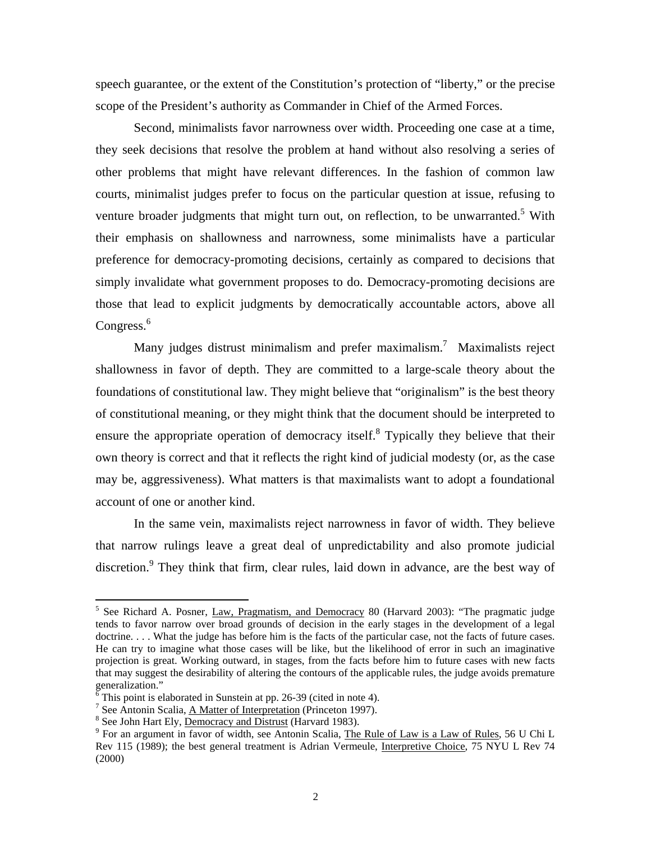speech guarantee, or the extent of the Constitution's protection of "liberty," or the precise scope of the President's authority as Commander in Chief of the Armed Forces.

Second, minimalists favor narrowness over width. Proceeding one case at a time, they seek decisions that resolve the problem at hand without also resolving a series of other problems that might have relevant differences. In the fashion of common law courts, minimalist judges prefer to focus on the particular question at issue, refusing to venture broader judgments that might turn out, on reflection, to be unwarranted.<sup>[5](#page-3-0)</sup> With their emphasis on shallowness and narrowness, some minimalists have a particular preference for democracy-promoting decisions, certainly as compared to decisions that simply invalidate what government proposes to do. Democracy-promoting decisions are those that lead to explicit judgments by democratically accountable actors, above all Congress.<sup>[6](#page-3-1)</sup>

Many judges distrust minimalism and prefer maximalism.<sup>[7](#page-3-2)</sup> Maximalists reject shallowness in favor of depth. They are committed to a large-scale theory about the foundations of constitutional law. They might believe that "originalism" is the best theory of constitutional meaning, or they might think that the document should be interpreted to ensure the appropriate operation of democracy itself.<sup>[8](#page-3-3)</sup> Typically they believe that their own theory is correct and that it reflects the right kind of judicial modesty (or, as the case may be, aggressiveness). What matters is that maximalists want to adopt a foundational account of one or another kind.

In the same vein, maximalists reject narrowness in favor of width. They believe that narrow rulings leave a great deal of unpredictability and also promote judicial discretion.<sup>9</sup> They think that firm, clear rules, laid down in advance, are the best way of

<span id="page-3-0"></span><sup>&</sup>lt;sup>5</sup> See Richard A. Posner, Law, Pragmatism, and Democracy 80 (Harvard 2003): "The pragmatic judge tends to favor narrow over broad grounds of decision in the early stages in the development of a legal doctrine. . . . What the judge has before him is the facts of the particular case, not the facts of future cases. He can try to imagine what those cases will be like, but the likelihood of error in such an imaginative projection is great. Working outward, in stages, from the facts before him to future cases with new facts that may suggest the desirability of altering the contours of the applicable rules, the judge avoids premature generalization." 6

<span id="page-3-1"></span> $\frac{6}{6}$  This point is elaborated in Sunstein at pp. 26-39 (cited in note 4).

<span id="page-3-2"></span><sup>&</sup>lt;sup>7</sup> See Antonin Scalia, <u>A Matter of Interpretation</u> (Princeton 1997). <sup>8</sup> See John Hart Ely, **Democracy** and Distrust (Harvard 1983).

<span id="page-3-3"></span>

<span id="page-3-4"></span> $9$  For an argument in favor of width, see Antonin Scalia, The Rule of Law is a Law of Rules, 56 U Chi L Rev 115 (1989); the best general treatment is Adrian Vermeule, Interpretive Choice, 75 NYU L Rev 74 (2000)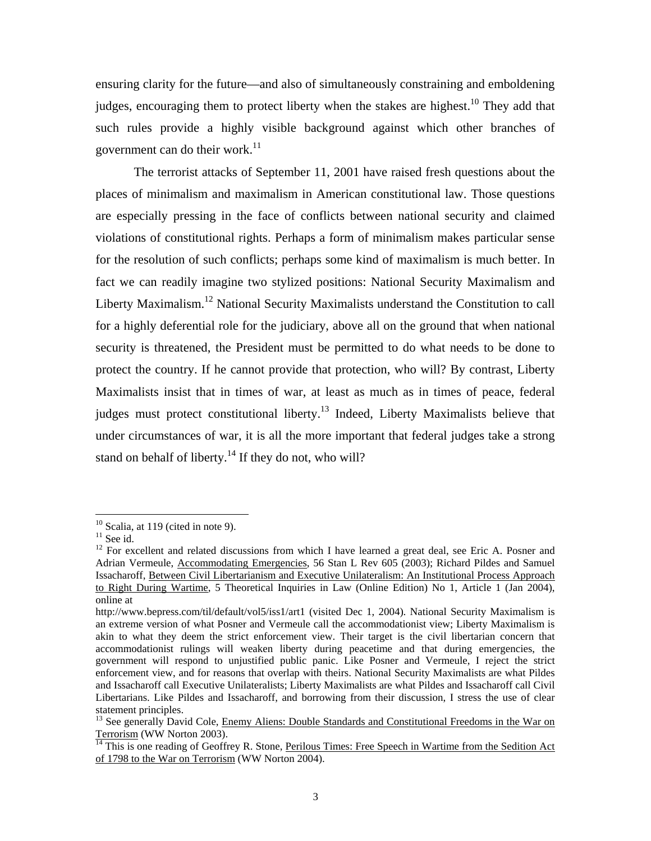ensuring clarity for the future—and also of simultaneously constraining and emboldening judges, encouraging them to protect liberty when the stakes are highest.<sup>10</sup> They add that such rules provide a highly visible background against which other branches of government can do their work. $^{11}$ 

The terrorist attacks of September 11, 2001 have raised fresh questions about the places of minimalism and maximalism in American constitutional law. Those questions are especially pressing in the face of conflicts between national security and claimed violations of constitutional rights. Perhaps a form of minimalism makes particular sense for the resolution of such conflicts; perhaps some kind of maximalism is much better. In fact we can readily imagine two stylized positions: National Security Maximalism and Liberty Maximalism.<sup>12</sup> National Security Maximalists understand the Constitution to call for a highly deferential role for the judiciary, above all on the ground that when national security is threatened, the President must be permitted to do what needs to be done to protect the country. If he cannot provide that protection, who will? By contrast, Liberty Maximalists insist that in times of war, at least as much as in times of peace, federal judges must protect constitutional liberty.<sup>13</sup> Indeed, Liberty Maximalists believe that under circumstances of war, it is all the more important that federal judges take a strong stand on behalf of liberty.<sup>14</sup> If they do not, who will?

<span id="page-4-0"></span> $10^{10}$  Scalia, at 119 (cited in note 9).<br> $11$  See id.

<span id="page-4-1"></span>

<span id="page-4-2"></span><sup>&</sup>lt;sup>12</sup> For excellent and related discussions from which I have learned a great deal, see Eric A. Posner and Adrian Vermeule, Accommodating Emergencies, 56 Stan L Rev 605 (2003); Richard Pildes and Samuel Issacharoff, Between Civil Libertarianism and Executive Unilateralism: An Institutional Process Approach to Right During Wartime, 5 Theoretical Inquiries in Law (Online Edition) No 1, Article 1 (Jan 2004), online at

http://www.bepress.com/til/default/vol5/iss1/art1 (visited Dec 1, 2004). National Security Maximalism is an extreme version of what Posner and Vermeule call the accommodationist view; Liberty Maximalism is akin to what they deem the strict enforcement view. Their target is the civil libertarian concern that accommodationist rulings will weaken liberty during peacetime and that during emergencies, the government will respond to unjustified public panic. Like Posner and Vermeule, I reject the strict enforcement view, and for reasons that overlap with theirs. National Security Maximalists are what Pildes and Issacharoff call Executive Unilateralists; Liberty Maximalists are what Pildes and Issacharoff call Civil Libertarians. Like Pildes and Issacharoff, and borrowing from their discussion, I stress the use of clear statement principles.<br><sup>13</sup> See generally David Cole, Enemy Aliens: Double Standards and Constitutional Freedoms in the War on

<span id="page-4-3"></span>Terrorism (WW Norton 2003).<br><sup>14</sup> This is one reading of Geoffrey R. Stone, <u>Perilous Times: Free Speech in Wartime from the Sedition Act</u>

<span id="page-4-4"></span>of 1798 to the War on Terrorism (WW Norton 2004).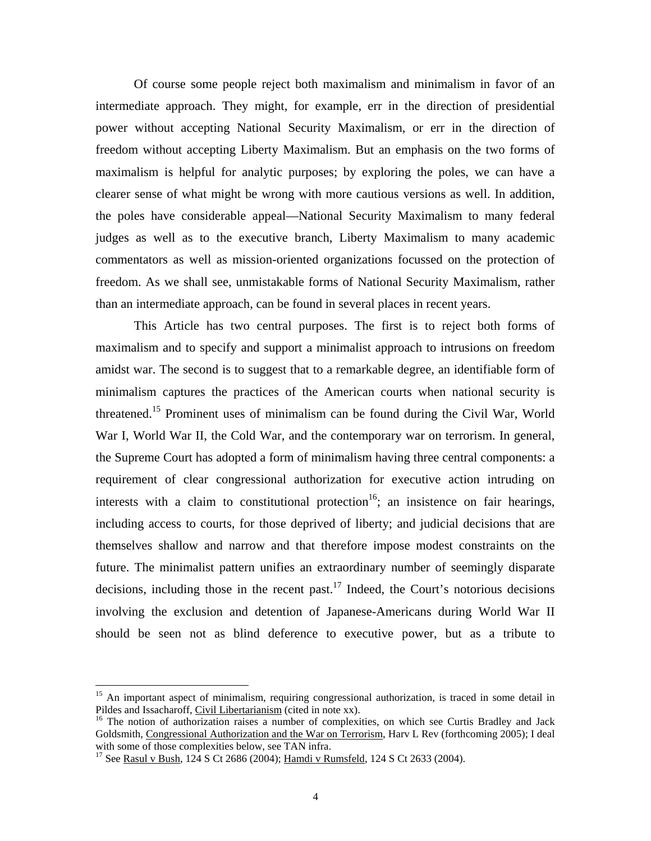Of course some people reject both maximalism and minimalism in favor of an intermediate approach. They might, for example, err in the direction of presidential power without accepting National Security Maximalism, or err in the direction of freedom without accepting Liberty Maximalism. But an emphasis on the two forms of maximalism is helpful for analytic purposes; by exploring the poles, we can have a clearer sense of what might be wrong with more cautious versions as well. In addition, the poles have considerable appeal—National Security Maximalism to many federal judges as well as to the executive branch, Liberty Maximalism to many academic commentators as well as mission-oriented organizations focussed on the protection of freedom. As we shall see, unmistakable forms of National Security Maximalism, rather than an intermediate approach, can be found in several places in recent years.

This Article has two central purposes. The first is to reject both forms of maximalism and to specify and support a minimalist approach to intrusions on freedom amidst war. The second is to suggest that to a remarkable degree, an identifiable form of minimalism captures the practices of the American courts when national security is threatened[.15](#page-5-0) Prominent uses of minimalism can be found during the Civil War, World War I, World War II, the Cold War, and the contemporary war on terrorism. In general, the Supreme Court has adopted a form of minimalism having three central components: a requirement of clear congressional authorization for executive action intruding on interests with a claim to constitutional protection<sup>16</sup>; an insistence on fair hearings, including access to courts, for those deprived of liberty; and judicial decisions that are themselves shallow and narrow and that therefore impose modest constraints on the future. The minimalist pattern unifies an extraordinary number of seemingly disparate decisions, including those in the recent past.<sup>17</sup> Indeed, the Court's notorious decisions involving the exclusion and detention of Japanese-Americans during World War II should be seen not as blind deference to executive power, but as a tribute to

<span id="page-5-0"></span><sup>&</sup>lt;sup>15</sup> An important aspect of minimalism, requiring congressional authorization, is traced in some detail in Pildes and Issacharoff, Civil Libertarianism (cited in note xx).<br><sup>16</sup> The notion of authorization raises a number of complexities, on which see Curtis Bradley and Jack

<span id="page-5-1"></span>Goldsmith, Congressional Authorization and the War on Terrorism, Harv L Rev (forthcoming 2005); I deal with some of those complexities below, see TAN infra.

<span id="page-5-2"></span><sup>&</sup>lt;sup>17</sup> See <u>Rasul v Bush,</u> 124 S Ct 2686 (2004); Hamdi v Rumsfeld, 124 S Ct 2633 (2004).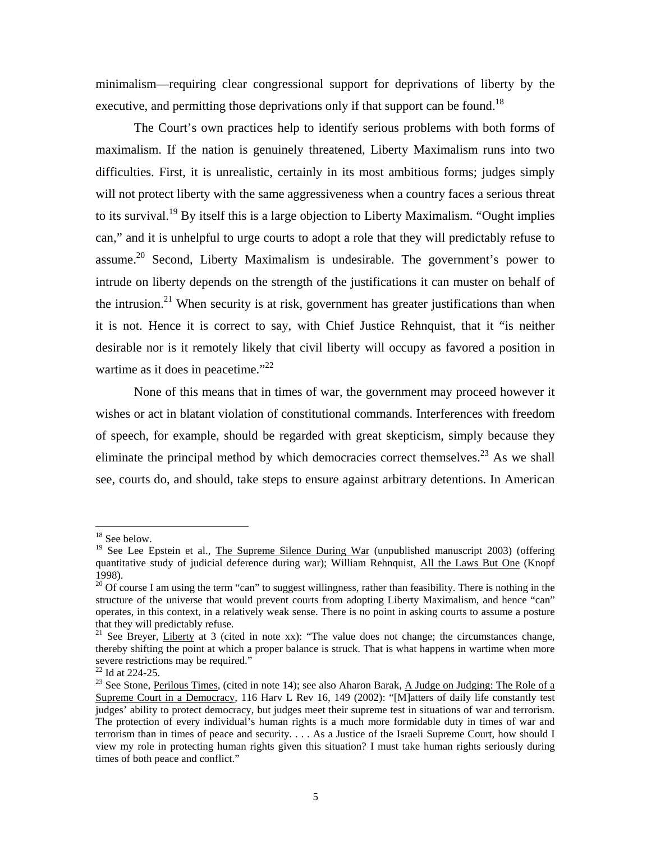minimalism—requiring clear congressional support for deprivations of liberty by the executive, and permitting those deprivations only if that support can be found.<sup>18</sup>

The Court's own practices help to identify serious problems with both forms of maximalism. If the nation is genuinely threatened, Liberty Maximalism runs into two difficulties. First, it is unrealistic, certainly in its most ambitious forms; judges simply will not protect liberty with the same aggressiveness when a country faces a serious threat to its survival.<sup>19</sup> By itself this is a large objection to Liberty Maximalism. "Ought implies can," and it is unhelpful to urge courts to adopt a role that they will predictably refuse to assume.<sup>20</sup> Second, Liberty Maximalism is undesirable. The government's power to intrude on liberty depends on the strength of the justifications it can muster on behalf of the intrusion.<sup>21</sup> When security is at risk, government has greater justifications than when it is not. Hence it is correct to say, with Chief Justice Rehnquist, that it "is neither desirable nor is it remotely likely that civil liberty will occupy as favored a position in wartime as it does in peacetime."<sup>22</sup>

None of this means that in times of war, the government may proceed however it wishes or act in blatant violation of constitutional commands. Interferences with freedom of speech, for example, should be regarded with great skepticism, simply because they eliminate the principal method by which democracies correct themselves.<sup>23</sup> As we shall see, courts do, and should, take steps to ensure against arbitrary detentions. In American

<span id="page-6-0"></span><sup>&</sup>lt;sup>18</sup> See below.

<span id="page-6-1"></span><sup>&</sup>lt;sup>19</sup> See Lee Epstein et al., The Supreme Silence During War (unpublished manuscript 2003) (offering quantitative study of judicial deference during war); William Rehnquist, All the Laws But One (Knopf 1998).

<span id="page-6-2"></span><sup>&</sup>lt;sup>20</sup> Of course I am using the term "can" to suggest willingness, rather than feasibility. There is nothing in the structure of the universe that would prevent courts from adopting Liberty Maximalism, and hence "can" operates, in this context, in a relatively weak sense. There is no point in asking courts to assume a posture that they will predictably refuse.<br><sup>21</sup> See Breyer, Liberty at 3 (cited in note xx): "The value does not change; the circumstances change,

<span id="page-6-3"></span>thereby shifting the point at which a proper balance is struck. That is what happens in wartime when more severe restrictions may be required."

<span id="page-6-5"></span><span id="page-6-4"></span>

<sup>&</sup>lt;sup>22</sup> Id at 224-25. <sup>22</sup> Id at 224-25. <sup>23</sup> See Stone, <u>Perilous Times</u>, (cited in note 14); see also Aharon Barak, <u>A Judge on Judging: The Role of a</u> Supreme Court in a Democracy, 116 Harv L Rev 16, 149 (2002): "[M]atters of daily life constantly test judges' ability to protect democracy, but judges meet their supreme test in situations of war and terrorism. The protection of every individual's human rights is a much more formidable duty in times of war and terrorism than in times of peace and security. . . . As a Justice of the Israeli Supreme Court, how should I view my role in protecting human rights given this situation? I must take human rights seriously during times of both peace and conflict."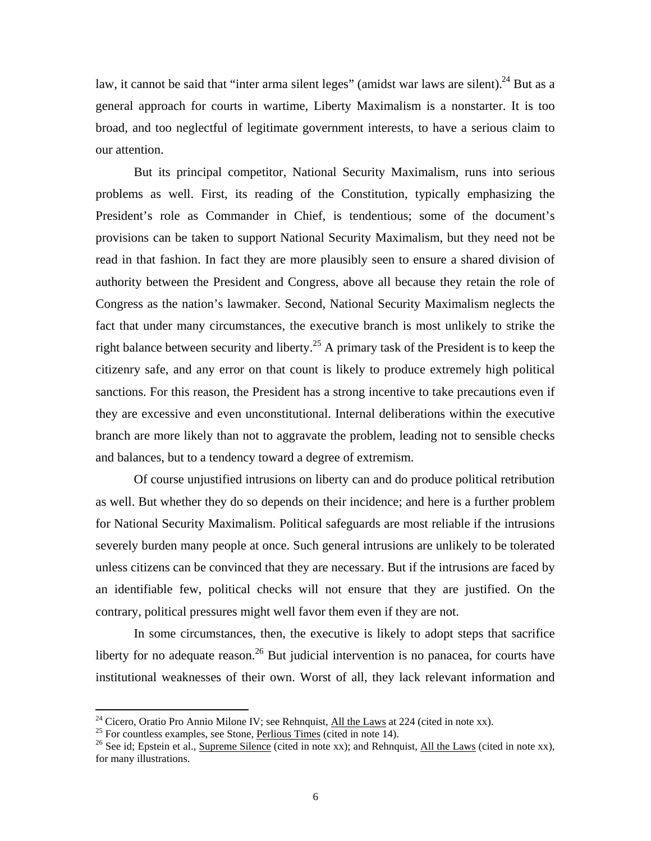law, it cannot be said that "inter arma silent leges" (amidst war laws are silent).<sup>24</sup> But as a general approach for courts in wartime, Liberty Maximalism is a nonstarter. It is too broad, and too neglectful of legitimate government interests, to have a serious claim to our attention.

But its principal competitor, National Security Maximalism, runs into serious problems as well. First, its reading of the Constitution, typically emphasizing the President's role as Commander in Chief, is tendentious; some of the document's provisions can be taken to support National Security Maximalism, but they need not be read in that fashion. In fact they are more plausibly seen to ensure a shared division of authority between the President and Congress, above all because they retain the role of Congress as the nation's lawmaker. Second, National Security Maximalism neglects the fact that under many circumstances, the executive branch is most unlikely to strike the right balance between security and liberty.<sup>25</sup> A primary task of the President is to keep the citizenry safe, and any error on that count is likely to produce extremely high political sanctions. For this reason, the President has a strong incentive to take precautions even if they are excessive and even unconstitutional. Internal deliberations within the executive branch are more likely than not to aggravate the problem, leading not to sensible checks and balances, but to a tendency toward a degree of extremism.

Of course unjustified intrusions on liberty can and do produce political retribution as well. But whether they do so depends on their incidence; and here is a further problem for National Security Maximalism. Political safeguards are most reliable if the intrusions severely burden many people at once. Such general intrusions are unlikely to be tolerated unless citizens can be convinced that they are necessary. But if the intrusions are faced by an identifiable few, political checks will not ensure that they are justified. On the contrary, political pressures might well favor them even if they are not.

In some circumstances, then, the executive is likely to adopt steps that sacrifice liberty for no adequate reason.<sup>26</sup> But judicial intervention is no panacea, for courts have institutional weaknesses of their own. Worst of all, they lack relevant information and

<span id="page-7-0"></span><sup>&</sup>lt;sup>24</sup> Cicero, Oratio Pro Annio Milone IV; see Rehnquist, All the Laws at 224 (cited in note xx).

<span id="page-7-2"></span><span id="page-7-1"></span>

<sup>&</sup>lt;sup>25</sup> For countless examples, see Stone, *Perlious Times* (cited in note 14).<br><sup>26</sup> See id; Epstein et al., Supreme Silence (cited in note xx); and Rehnquist, All the Laws (cited in note xx), for many illustrations.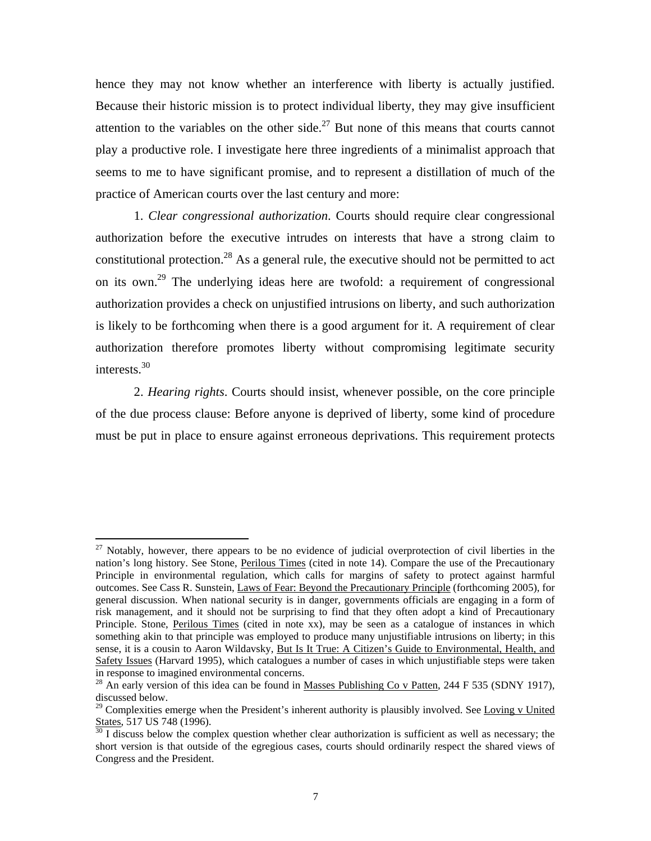hence they may not know whether an interference with liberty is actually justified. Because their historic mission is to protect individual liberty, they may give insufficient attention to the variables on the other side.<sup>27</sup> But none of this means that courts cannot play a productive role. I investigate here three ingredients of a minimalist approach that seems to me to have significant promise, and to represent a distillation of much of the practice of American courts over the last century and more:

1. *Clear congressional authorization*. Courts should require clear congressional authorization before the executive intrudes on interests that have a strong claim to constitutional protection.<sup>28</sup> As a general rule, the executive should not be permitted to act on its own.[29](#page-8-2) The underlying ideas here are twofold: a requirement of congressional authorization provides a check on unjustified intrusions on liberty, and such authorization is likely to be forthcoming when there is a good argument for it. A requirement of clear authorization therefore promotes liberty without compromising legitimate security interests.[30](#page-8-3) 

2. *Hearing rights*. Courts should insist, whenever possible, on the core principle of the due process clause: Before anyone is deprived of liberty, some kind of procedure must be put in place to ensure against erroneous deprivations. This requirement protects

<span id="page-8-0"></span> $27$  Notably, however, there appears to be no evidence of judicial overprotection of civil liberties in the nation's long history. See Stone, Perilous Times (cited in note 14). Compare the use of the Precautionary Principle in environmental regulation, which calls for margins of safety to protect against harmful outcomes. See Cass R. Sunstein, Laws of Fear: Beyond the Precautionary Principle (forthcoming 2005), for general discussion. When national security is in danger, governments officials are engaging in a form of risk management, and it should not be surprising to find that they often adopt a kind of Precautionary Principle. Stone, Perilous Times (cited in note xx), may be seen as a catalogue of instances in which something akin to that principle was employed to produce many unjustifiable intrusions on liberty; in this sense, it is a cousin to Aaron Wildavsky, But Is It True: A Citizen's Guide to Environmental, Health, and Safety Issues (Harvard 1995), which catalogues a number of cases in which unjustifiable steps were taken in response to imagined environmental concerns.<br><sup>28</sup> An early version of this idea can be found in Masses Publishing Co v Patten, 244 F 535 (SDNY 1917),

<span id="page-8-1"></span>discussed below.

<span id="page-8-2"></span> $29$  Complexities emerge when the President's inherent authority is plausibly involved. See Loving v United States, 517 US 748 (1996).<br> $\frac{\text{States}}{30}$  I discuss below the complex question whether clear authorization is sufficient as well as necessary; the

<span id="page-8-3"></span>short version is that outside of the egregious cases, courts should ordinarily respect the shared views of Congress and the President.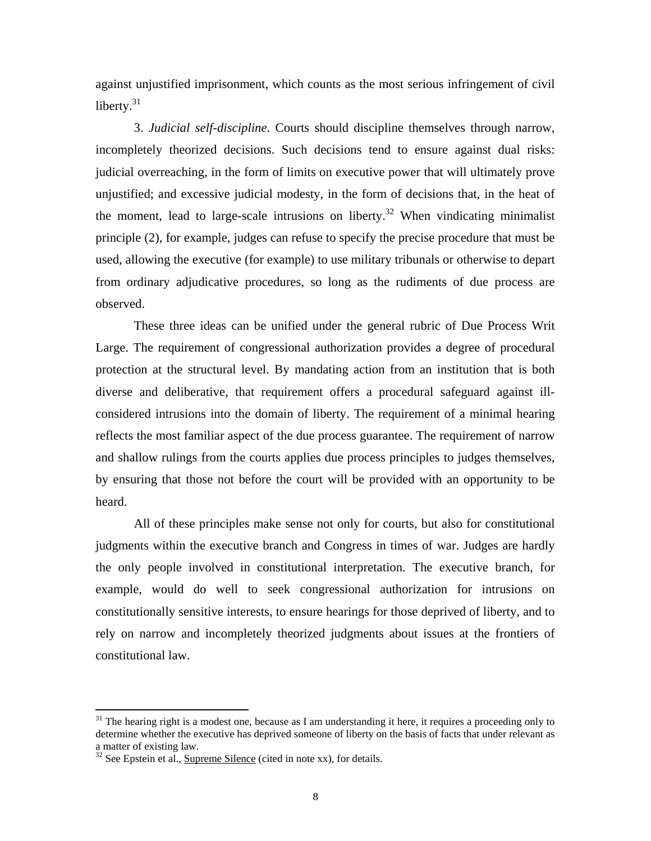against unjustified imprisonment, which counts as the most serious infringement of civil liberty. $31$ 

3. *Judicial self-discipline*. Courts should discipline themselves through narrow, incompletely theorized decisions. Such decisions tend to ensure against dual risks: judicial overreaching, in the form of limits on executive power that will ultimately prove unjustified; and excessive judicial modesty, in the form of decisions that, in the heat of the moment, lead to large-scale intrusions on liberty.<sup>32</sup> When vindicating minimalist principle (2), for example, judges can refuse to specify the precise procedure that must be used, allowing the executive (for example) to use military tribunals or otherwise to depart from ordinary adjudicative procedures, so long as the rudiments of due process are observed.

These three ideas can be unified under the general rubric of Due Process Writ Large. The requirement of congressional authorization provides a degree of procedural protection at the structural level. By mandating action from an institution that is both diverse and deliberative, that requirement offers a procedural safeguard against illconsidered intrusions into the domain of liberty. The requirement of a minimal hearing reflects the most familiar aspect of the due process guarantee. The requirement of narrow and shallow rulings from the courts applies due process principles to judges themselves, by ensuring that those not before the court will be provided with an opportunity to be heard.

All of these principles make sense not only for courts, but also for constitutional judgments within the executive branch and Congress in times of war. Judges are hardly the only people involved in constitutional interpretation. The executive branch, for example, would do well to seek congressional authorization for intrusions on constitutionally sensitive interests, to ensure hearings for those deprived of liberty, and to rely on narrow and incompletely theorized judgments about issues at the frontiers of constitutional law.

<span id="page-9-0"></span> $31$  The hearing right is a modest one, because as I am understanding it here, it requires a proceeding only to determine whether the executive has deprived someone of liberty on the basis of facts that under relevant as a matter of existing law.  $32$  See Epstein et al., Supreme Silence (cited in note xx), for details.

<span id="page-9-1"></span>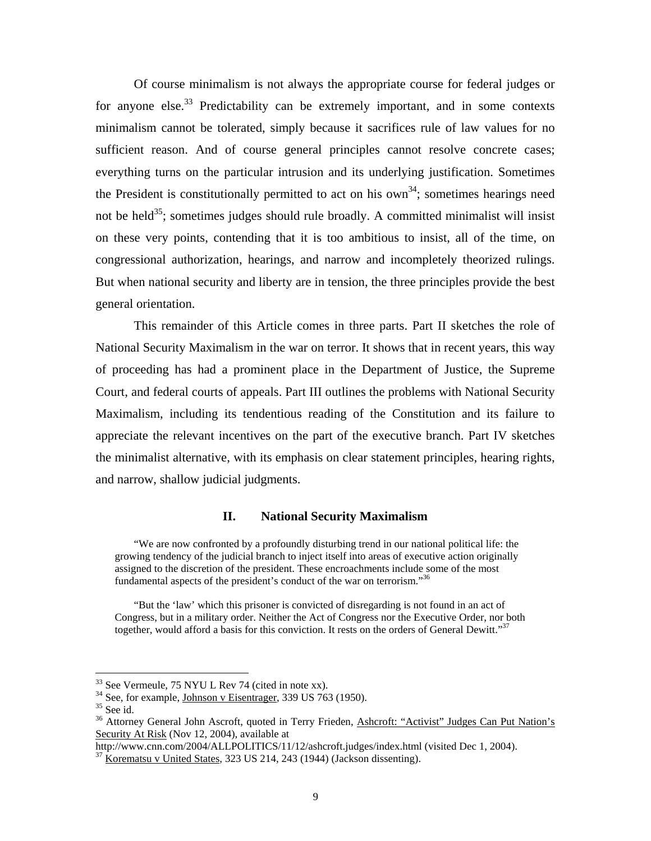Of course minimalism is not always the appropriate course for federal judges or for anyone else.<sup>33</sup> Predictability can be extremely important, and in some contexts minimalism cannot be tolerated, simply because it sacrifices rule of law values for no sufficient reason. And of course general principles cannot resolve concrete cases; everything turns on the particular intrusion and its underlying justification. Sometimes the President is constitutionally permitted to act on his own<sup>34</sup>; sometimes hearings need not be held<sup>35</sup>; sometimes judges should rule broadly. A committed minimalist will insist on these very points, contending that it is too ambitious to insist, all of the time, on congressional authorization, hearings, and narrow and incompletely theorized rulings. But when national security and liberty are in tension, the three principles provide the best general orientation.

This remainder of this Article comes in three parts. Part II sketches the role of National Security Maximalism in the war on terror. It shows that in recent years, this way of proceeding has had a prominent place in the Department of Justice, the Supreme Court, and federal courts of appeals. Part III outlines the problems with National Security Maximalism, including its tendentious reading of the Constitution and its failure to appreciate the relevant incentives on the part of the executive branch. Part IV sketches the minimalist alternative, with its emphasis on clear statement principles, hearing rights, and narrow, shallow judicial judgments.

#### **II. National Security Maximalism**

"We are now confronted by a profoundly disturbing trend in our national political life: the growing tendency of the judicial branch to inject itself into areas of executive action originally assigned to the discretion of the president. These encroachments include some of the most fundamental aspects of the president's conduct of the war on terrorism."<sup>[36](#page-10-3)</sup>

"But the 'law' which this prisoner is convicted of disregarding is not found in an act of Congress, but in a military order. Neither the Act of Congress nor the Executive Order, nor both together, would afford a basis for this conviction. It rests on the orders of General Dewitt."<sup>37</sup>

<span id="page-10-0"></span><sup>&</sup>lt;sup>33</sup> See Vermeule, 75 NYU L Rev 74 (cited in note xx).

<span id="page-10-1"></span> $34$  See, for example, Johnson v Eisentrager, 339 US 763 (1950).  $35$  See id.

<span id="page-10-2"></span>

<span id="page-10-3"></span><sup>&</sup>lt;sup>36</sup> Attorney General John Ascroft, quoted in Terry Frieden, Ashcroft: "Activist" Judges Can Put Nation's Security At Risk (Nov 12, 2004), available at

http://www.cnn.com/2004/ALLPOLITICS/11/12/ashcroft.judges/index.html (visited Dec 1, 2004).<br><sup>37</sup> Korematsu v United States, 323 US 214, 243 (1944) (Jackson dissenting).

<span id="page-10-4"></span>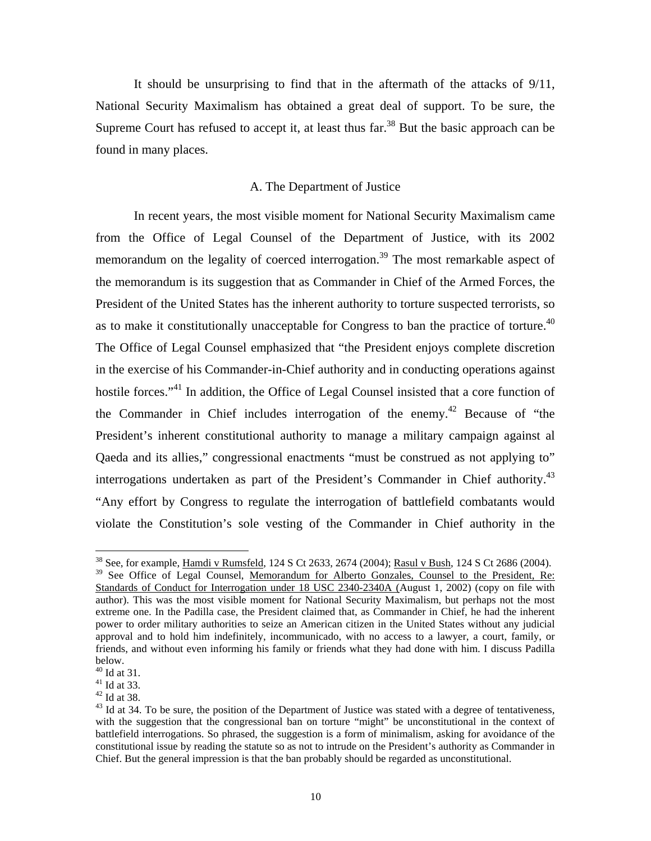It should be unsurprising to find that in the aftermath of the attacks of 9/11, National Security Maximalism has obtained a great deal of support. To be sure, the Supreme Court has refused to accept it, at least thus  $far.^38$  But the basic approach can be found in many places.

#### A. The Department of Justice

In recent years, the most visible moment for National Security Maximalism came from the Office of Legal Counsel of the Department of Justice, with its 2002 memorandum on the legality of coerced interrogation.<sup>39</sup> The most remarkable aspect of the memorandum is its suggestion that as Commander in Chief of the Armed Forces, the President of the United States has the inherent authority to torture suspected terrorists, so as to make it constitutionally unacceptable for Congress to ban the practice of torture.<sup>40</sup> The Office of Legal Counsel emphasized that "the President enjoys complete discretion in the exercise of his Commander-in-Chief authority and in conducting operations against hostile forces."<sup>41</sup> In addition, the Office of Legal Counsel insisted that a core function of the Commander in Chief includes interrogation of the enemy.<sup>42</sup> Because of "the President's inherent constitutional authority to manage a military campaign against al Qaeda and its allies," congressional enactments "must be construed as not applying to" interrogations undertaken as part of the President's Commander in Chief authority.<sup>43</sup> "Any effort by Congress to regulate the interrogation of battlefield combatants would violate the Constitution's sole vesting of the Commander in Chief authority in the

<span id="page-11-0"></span><sup>1</sup> <sup>38</sup> See, for example, Hamdi v Rumsfeld, 124 S Ct 2633, 2674 (2004); Rasul v Bush, 124 S Ct 2686 (2004). <sup>39</sup> See Office of Legal Counsel, Memorandum for Alberto Gonzales, Counsel to the President, Re:

<span id="page-11-1"></span>Standards of Conduct for Interrogation under 18 USC 2340-2340A (August 1, 2002) (copy on file with author). This was the most visible moment for National Security Maximalism, but perhaps not the most extreme one. In the Padilla case, the President claimed that, as Commander in Chief, he had the inherent power to order military authorities to seize an American citizen in the United States without any judicial approval and to hold him indefinitely, incommunicado, with no access to a lawyer, a court, family, or friends, and without even informing his family or friends what they had done with him. I discuss Padilla below.<br><sup>40</sup> Id at 31.

<span id="page-11-2"></span>

<span id="page-11-3"></span> $41$  Id at 33.

<span id="page-11-4"></span> $^{42}$  Id at 38.

<span id="page-11-5"></span><sup>&</sup>lt;sup>43</sup> Id at 34. To be sure, the position of the Department of Justice was stated with a degree of tentativeness, with the suggestion that the congressional ban on torture "might" be unconstitutional in the context of battlefield interrogations. So phrased, the suggestion is a form of minimalism, asking for avoidance of the constitutional issue by reading the statute so as not to intrude on the President's authority as Commander in Chief. But the general impression is that the ban probably should be regarded as unconstitutional.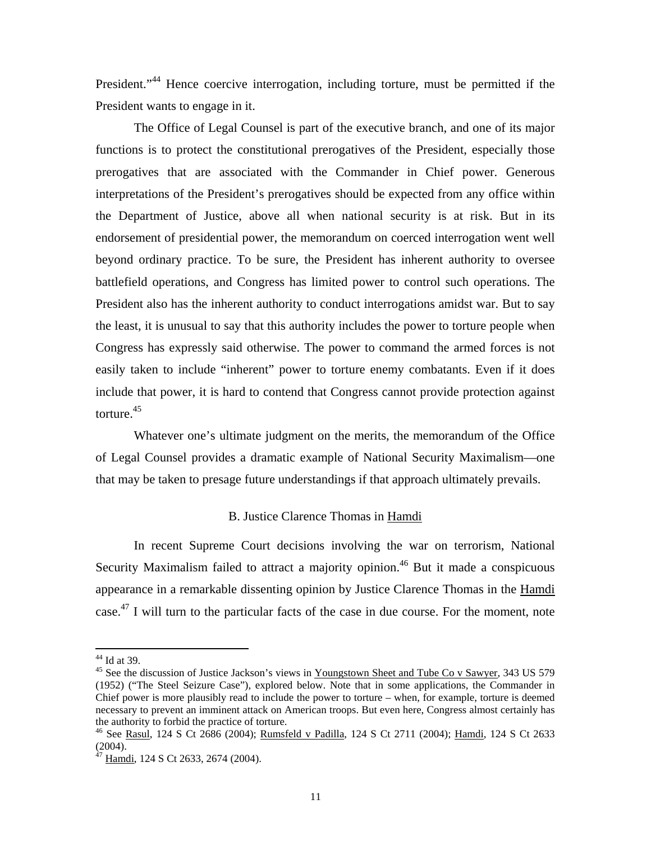President."<sup>44</sup> Hence coercive interrogation, including torture, must be permitted if the President wants to engage in it.

The Office of Legal Counsel is part of the executive branch, and one of its major functions is to protect the constitutional prerogatives of the President, especially those prerogatives that are associated with the Commander in Chief power. Generous interpretations of the President's prerogatives should be expected from any office within the Department of Justice, above all when national security is at risk. But in its endorsement of presidential power, the memorandum on coerced interrogation went well beyond ordinary practice. To be sure, the President has inherent authority to oversee battlefield operations, and Congress has limited power to control such operations. The President also has the inherent authority to conduct interrogations amidst war. But to say the least, it is unusual to say that this authority includes the power to torture people when Congress has expressly said otherwise. The power to command the armed forces is not easily taken to include "inherent" power to torture enemy combatants. Even if it does include that power, it is hard to contend that Congress cannot provide protection against torture.<sup>45</sup>

Whatever one's ultimate judgment on the merits, the memorandum of the Office of Legal Counsel provides a dramatic example of National Security Maximalism—one that may be taken to presage future understandings if that approach ultimately prevails.

#### B. Justice Clarence Thomas in Hamdi

In recent Supreme Court decisions involving the war on terrorism, National Security Maximalism failed to attract a majority opinion.<sup>46</sup> But it made a conspicuous appearance in a remarkable dissenting opinion by Justice Clarence Thomas in the Hamdi case.<sup>47</sup> I will turn to the particular facts of the case in due course. For the moment, note

<span id="page-12-0"></span> $44$  Id at 39.

<span id="page-12-1"></span><sup>&</sup>lt;sup>45</sup> See the discussion of Justice Jackson's views in Youngstown Sheet and Tube Co v Sawyer, 343 US 579 (1952) ("The Steel Seizure Case"), explored below. Note that in some applications, the Commander in Chief power is more plausibly read to include the power to torture – when, for example, torture is deemed necessary to prevent an imminent attack on American troops. But even here, Congress almost certainly has

<span id="page-12-2"></span><sup>&</sup>lt;sup>46</sup> See Rasul, 124 S Ct 2686 (2004); <u>Rumsfeld v Padilla</u>, 124 S Ct 2711 (2004); Hamdi, 124 S Ct 2633  $(2004)$ .

<span id="page-12-3"></span>Hamdi, 124 S Ct 2633, 2674 (2004).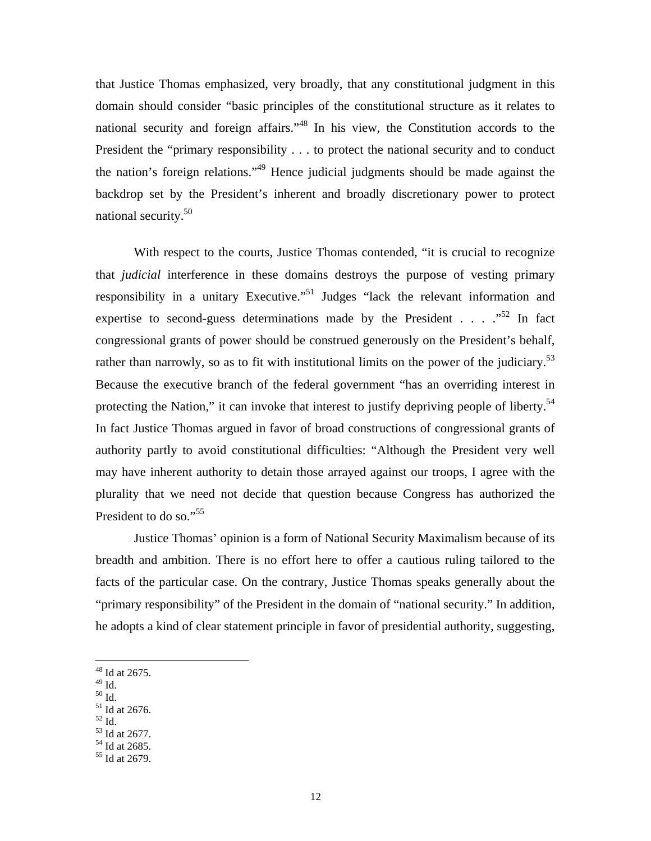that Justice Thomas emphasized, very broadly, that any constitutional judgment in this domain should consider "basic principles of the constitutional structure as it relates to national security and foreign affairs.["48](#page-13-0) In his view, the Constitution accords to the President the "primary responsibility . . . to protect the national security and to conduct the nation's foreign relations."[49](#page-13-1) Hence judicial judgments should be made against the backdrop set by the President's inherent and broadly discretionary power to protect national security.[50](#page-13-2) 

With respect to the courts, Justice Thomas contended, "it is crucial to recognize that *judicial* interference in these domains destroys the purpose of vesting primary responsibility in a unitary Executive."<sup>51</sup> Judges "lack the relevant information and expertise to second-guess determinations made by the President . . .  $.^{52}$  In fact congressional grants of power should be construed generously on the President's behalf, rather than narrowly, so as to fit with institutional limits on the power of the judiciary.<sup>[53](#page-13-5)</sup> Because the executive branch of the federal government "has an overriding interest in protecting the Nation," it can invoke that interest to justify depriving people of liberty.<sup>54</sup> In fact Justice Thomas argued in favor of broad constructions of congressional grants of authority partly to avoid constitutional difficulties: "Although the President very well may have inherent authority to detain those arrayed against our troops, I agree with the plurality that we need not decide that question because Congress has authorized the President to do so."<sup>[55](#page-13-7)</sup>

Justice Thomas' opinion is a form of National Security Maximalism because of its breadth and ambition. There is no effort here to offer a cautious ruling tailored to the facts of the particular case. On the contrary, Justice Thomas speaks generally about the "primary responsibility" of the President in the domain of "national security." In addition, he adopts a kind of clear statement principle in favor of presidential authority, suggesting,

- <span id="page-13-0"></span> $48$  Id at 2675.
- <span id="page-13-1"></span> $^{49}$  Id.

 $\overline{a}$ 

<span id="page-13-2"></span> $^{50}$  Id.

- <span id="page-13-4"></span>
- <span id="page-13-6"></span><span id="page-13-5"></span>

<span id="page-13-3"></span> $^{51}_{52}$  Id at 2676.<br> $^{52}$  Id.

 $^{53}$  Id at 2677.<br> $^{54}$  Id at 2685.<br> $^{55}$  Id at 2679.

<span id="page-13-7"></span>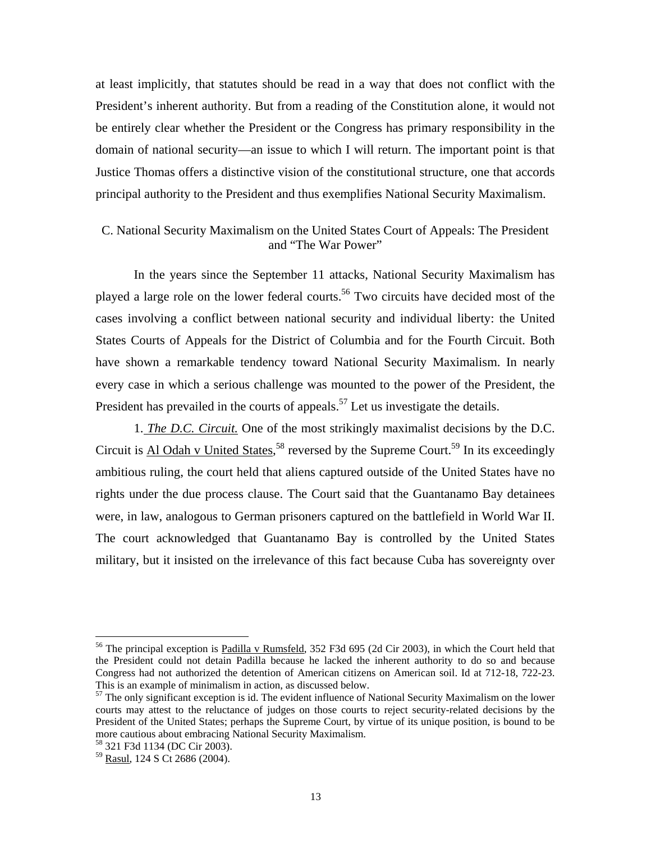at least implicitly, that statutes should be read in a way that does not conflict with the President's inherent authority. But from a reading of the Constitution alone, it would not be entirely clear whether the President or the Congress has primary responsibility in the domain of national security—an issue to which I will return. The important point is that Justice Thomas offers a distinctive vision of the constitutional structure, one that accords principal authority to the President and thus exemplifies National Security Maximalism.

#### C. National Security Maximalism on the United States Court of Appeals: The President and "The War Power"

In the years since the September 11 attacks, National Security Maximalism has played a large role on the lower federal courts.<sup>56</sup> Two circuits have decided most of the cases involving a conflict between national security and individual liberty: the United States Courts of Appeals for the District of Columbia and for the Fourth Circuit. Both have shown a remarkable tendency toward National Security Maximalism. In nearly every case in which a serious challenge was mounted to the power of the President, the President has prevailed in the courts of appeals.<sup>57</sup> Let us investigate the details.

1. *The D.C. Circuit.* One of the most strikingly maximalist decisions by the D.C. Circuit is  $\Delta l$  Odah v United States,<sup>58</sup> reversed by the Supreme Court.<sup>59</sup> In its exceedingly ambitious ruling, the court held that aliens captured outside of the United States have no rights under the due process clause. The Court said that the Guantanamo Bay detainees were, in law, analogous to German prisoners captured on the battlefield in World War II. The court acknowledged that Guantanamo Bay is controlled by the United States military, but it insisted on the irrelevance of this fact because Cuba has sovereignty over

<span id="page-14-0"></span><sup>&</sup>lt;sup>56</sup> The principal exception is Padilla v Rumsfeld, 352 F3d 695 (2d Cir 2003), in which the Court held that the President could not detain Padilla because he lacked the inherent authority to do so and because Congress had not authorized the detention of American citizens on American soil. Id at 712-18, 722-23. This is an example of minimalism in action, as discussed below. 57 The only significant exception is id. The evident influence of National Security Maximalism on the lower

<span id="page-14-1"></span>courts may attest to the reluctance of judges on those courts to reject security-related decisions by the President of the United States; perhaps the Supreme Court, by virtue of its unique position, is bound to be more cautious about embracing National Security Maximalism. 58 321 F3d 1134 (DC Cir 2003).

<span id="page-14-2"></span>

<span id="page-14-3"></span><sup>59</sup> Rasul, 124 S Ct 2686 (2004).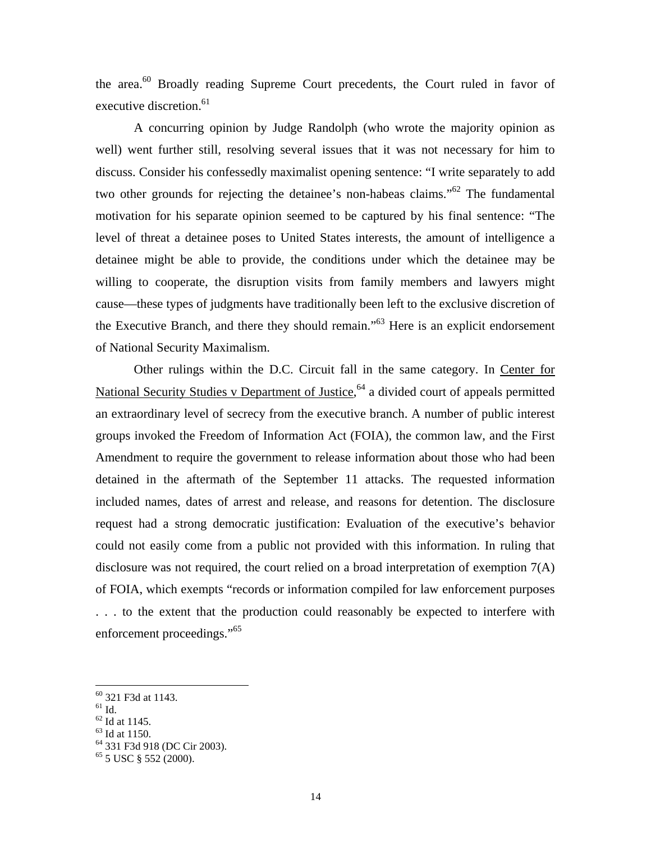the area.<sup>60</sup> Broadly reading Supreme Court precedents, the Court ruled in favor of executive discretion.<sup>61</sup>

A concurring opinion by Judge Randolph (who wrote the majority opinion as well) went further still, resolving several issues that it was not necessary for him to discuss. Consider his confessedly maximalist opening sentence: "I write separately to add two other grounds for rejecting the detainee's non-habeas claims.["62](#page-15-2) The fundamental motivation for his separate opinion seemed to be captured by his final sentence: "The level of threat a detainee poses to United States interests, the amount of intelligence a detainee might be able to provide, the conditions under which the detainee may be willing to cooperate, the disruption visits from family members and lawyers might cause—these types of judgments have traditionally been left to the exclusive discretion of the Executive Branch, and there they should remain."[63](#page-15-3) Here is an explicit endorsement of National Security Maximalism.

Other rulings within the D.C. Circuit fall in the same category. In Center for National Security Studies v Department of Justice, <sup>64</sup> a divided court of appeals permitted an extraordinary level of secrecy from the executive branch. A number of public interest groups invoked the Freedom of Information Act (FOIA), the common law, and the First Amendment to require the government to release information about those who had been detained in the aftermath of the September 11 attacks. The requested information included names, dates of arrest and release, and reasons for detention. The disclosure request had a strong democratic justification: Evaluation of the executive's behavior could not easily come from a public not provided with this information. In ruling that disclosure was not required, the court relied on a broad interpretation of exemption 7(A) of FOIA, which exempts "records or information compiled for law enforcement purposes . . . to the extent that the production could reasonably be expected to interfere with enforcement proceedings."<sup>65</sup>

<span id="page-15-0"></span><sup>&</sup>lt;sup>60</sup> 321 F3d at 1143.<br><sup>61</sup> Id.

<span id="page-15-1"></span>

<span id="page-15-2"></span>

<span id="page-15-4"></span><span id="page-15-3"></span>

<sup>&</sup>lt;sup>62</sup> Id at 1145.<br><sup>63</sup> Id at 1150.<br><sup>64</sup> 331 F3d 918 (DC Cir 2003).<br><sup>65</sup> 5 USC § 552 (2000).

<span id="page-15-5"></span>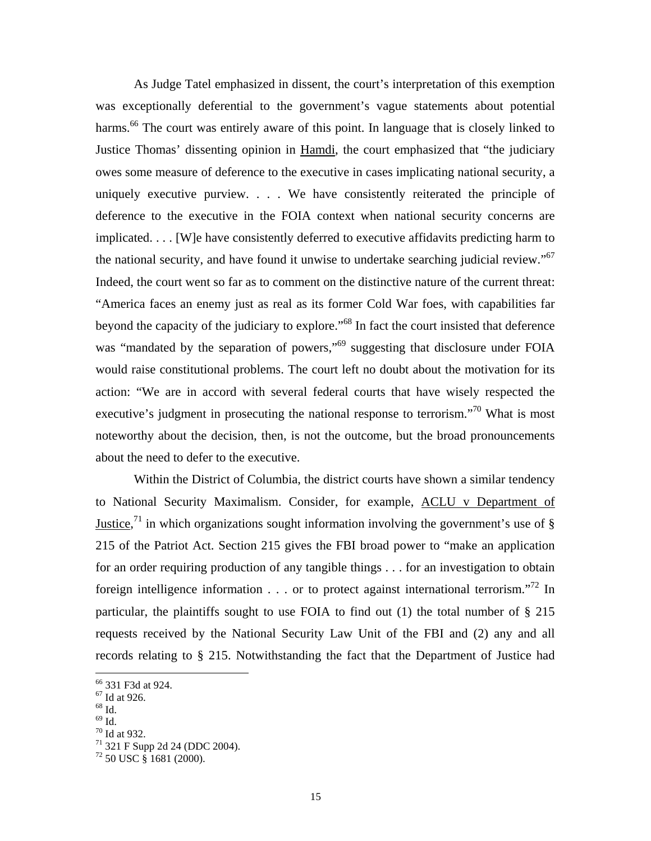As Judge Tatel emphasized in dissent, the court's interpretation of this exemption was exceptionally deferential to the government's vague statements about potential harms.<sup>66</sup> The court was entirely aware of this point. In language that is closely linked to Justice Thomas' dissenting opinion in Hamdi, the court emphasized that "the judiciary owes some measure of deference to the executive in cases implicating national security, a uniquely executive purview. . . . We have consistently reiterated the principle of deference to the executive in the FOIA context when national security concerns are implicated. . . . [W]e have consistently deferred to executive affidavits predicting harm to the national security, and have found it unwise to undertake searching judicial review."<sup>[67](#page-16-1)</sup> Indeed, the court went so far as to comment on the distinctive nature of the current threat: "America faces an enemy just as real as its former Cold War foes, with capabilities far beyond the capacity of the judiciary to explore.["68](#page-16-2) In fact the court insisted that deference was "mandated by the separation of powers,"<sup>69</sup> suggesting that disclosure under FOIA would raise constitutional problems. The court left no doubt about the motivation for its action: "We are in accord with several federal courts that have wisely respected the executive's judgment in prosecuting the national response to terrorism."<sup>70</sup> What is most noteworthy about the decision, then, is not the outcome, but the broad pronouncements about the need to defer to the executive.

Within the District of Columbia, the district courts have shown a similar tendency to National Security Maximalism. Consider, for example, ACLU v Department of Justice,<sup>71</sup> in which organizations sought information involving the government's use of  $\S$ 215 of the Patriot Act. Section 215 gives the FBI broad power to "make an application for an order requiring production of any tangible things . . . for an investigation to obtain foreign intelligence information  $\dots$  or to protect against international terrorism."<sup>72</sup> In particular, the plaintiffs sought to use FOIA to find out  $(1)$  the total number of  $\S$  215 requests received by the National Security Law Unit of the FBI and (2) any and all records relating to § 215. Notwithstanding the fact that the Department of Justice had

<span id="page-16-0"></span><sup>&</sup>lt;sup>66</sup> 331 F3d at 924.<br><sup>67</sup> Id at 926.<br><sup>68</sup> Id.

<span id="page-16-2"></span><span id="page-16-1"></span>

<span id="page-16-3"></span> $\frac{69}{70}$  Id.<br> $\frac{1}{10}$  at 932.

<span id="page-16-4"></span>

<span id="page-16-5"></span> $\frac{71}{72}$  321 F Supp 2d 24 (DDC 2004).<br> $\frac{72}{72}$  50 USC § 1681 (2000).

<span id="page-16-6"></span>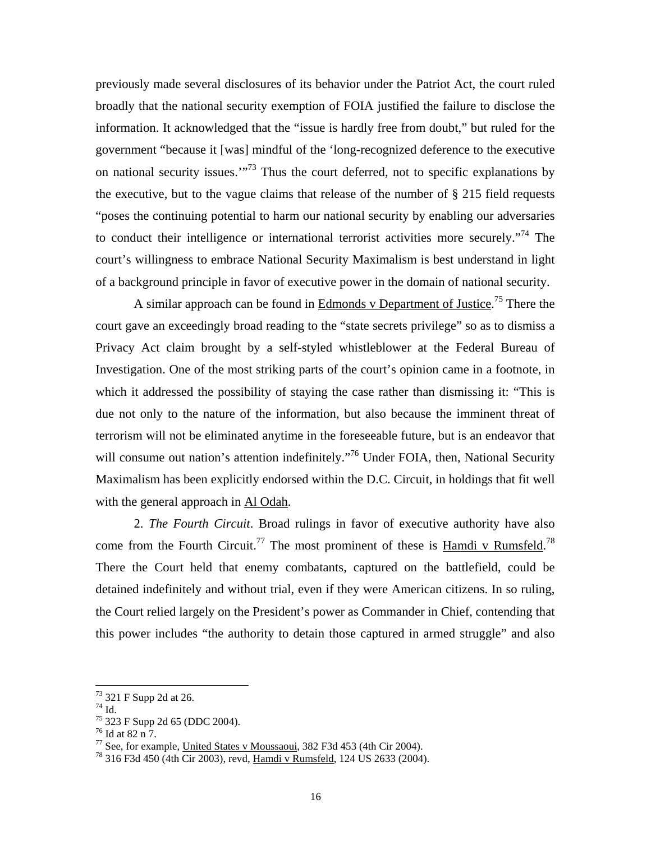previously made several disclosures of its behavior under the Patriot Act, the court ruled broadly that the national security exemption of FOIA justified the failure to disclose the information. It acknowledged that the "issue is hardly free from doubt," but ruled for the government "because it [was] mindful of the 'long-recognized deference to the executive on national security issues.'["73](#page-17-0) Thus the court deferred, not to specific explanations by the executive, but to the vague claims that release of the number of § 215 field requests "poses the continuing potential to harm our national security by enabling our adversaries to conduct their intelligence or international terrorist activities more securely."<sup>74</sup> The court's willingness to embrace National Security Maximalism is best understand in light of a background principle in favor of executive power in the domain of national security.

A similar approach can be found in Edmonds v Department of Justice.<sup>75</sup> There the court gave an exceedingly broad reading to the "state secrets privilege" so as to dismiss a Privacy Act claim brought by a self-styled whistleblower at the Federal Bureau of Investigation. One of the most striking parts of the court's opinion came in a footnote, in which it addressed the possibility of staying the case rather than dismissing it: "This is due not only to the nature of the information, but also because the imminent threat of terrorism will not be eliminated anytime in the foreseeable future, but is an endeavor that will consume out nation's attention indefinitely."<sup>76</sup> Under FOIA, then, National Security Maximalism has been explicitly endorsed within the D.C. Circuit, in holdings that fit well with the general approach in Al Odah.

 2. *The Fourth Circuit*. Broad rulings in favor of executive authority have also come from the Fourth Circuit.<sup>77</sup> The most prominent of these is Hamdi v Rumsfeld.<sup>[78](#page-17-5)</sup> There the Court held that enemy combatants, captured on the battlefield, could be detained indefinitely and without trial, even if they were American citizens. In so ruling, the Court relied largely on the President's power as Commander in Chief, contending that this power includes "the authority to detain those captured in armed struggle" and also

<span id="page-17-0"></span> $^{73}$  321 F Supp 2d at 26.<br> $^{74}$  Id.

<span id="page-17-1"></span>

<span id="page-17-2"></span>

<span id="page-17-3"></span>

<span id="page-17-5"></span><span id="page-17-4"></span>

<sup>&</sup>lt;sup>75</sup> 323 F Supp 2d 65 (DDC 2004).<br><sup>76</sup> Id at 82 n 7.<br><sup>77</sup> See, for example, <u>United States v Moussaoui</u>, 382 F3d 453 (4th Cir 2004).<br><sup>78</sup> 316 F3d 450 (4th Cir 2003), revd, <u>Hamdi v Rumsfeld</u>, 124 US 2633 (2004).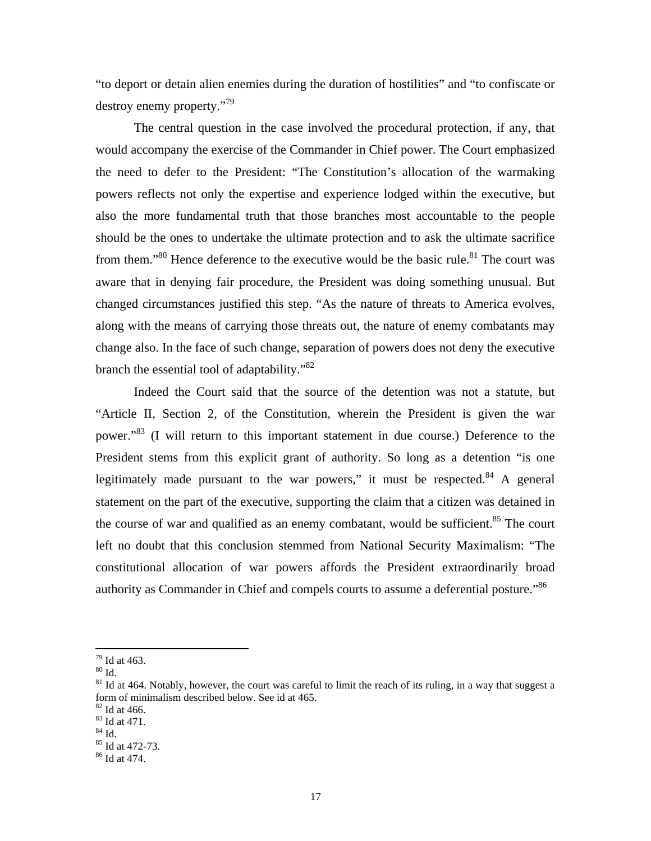"to deport or detain alien enemies during the duration of hostilities" and "to confiscate or destroy enemy property."[79](#page-18-0) 

The central question in the case involved the procedural protection, if any, that would accompany the exercise of the Commander in Chief power. The Court emphasized the need to defer to the President: "The Constitution's allocation of the warmaking powers reflects not only the expertise and experience lodged within the executive, but also the more fundamental truth that those branches most accountable to the people should be the ones to undertake the ultimate protection and to ask the ultimate sacrifice from them."<sup>80</sup> Hence deference to the executive would be the basic rule.<sup>81</sup> The court was aware that in denying fair procedure, the President was doing something unusual. But changed circumstances justified this step. "As the nature of threats to America evolves, along with the means of carrying those threats out, the nature of enemy combatants may change also. In the face of such change, separation of powers does not deny the executive branch the essential tool of adaptability."<sup>82</sup>

Indeed the Court said that the source of the detention was not a statute, but "Article II, Section 2, of the Constitution, wherein the President is given the war power."[83](#page-18-4) (I will return to this important statement in due course.) Deference to the President stems from this explicit grant of authority. So long as a detention "is one legitimately made pursuant to the war powers," it must be respected.<sup>84</sup> A general statement on the part of the executive, supporting the claim that a citizen was detained in the course of war and qualified as an enemy combatant, would be sufficient.<sup>85</sup> The court left no doubt that this conclusion stemmed from National Security Maximalism: "The constitutional allocation of war powers affords the President extraordinarily broad authority as Commander in Chief and compels courts to assume a deferential posture.["86](#page-18-7) 

<span id="page-18-0"></span> $\frac{79}{80}$  Id at 463.<br> $\frac{80}{1}$  Id.

<span id="page-18-1"></span>

<span id="page-18-2"></span><sup>&</sup>lt;sup>81</sup> Id at 464. Notably, however, the court was careful to limit the reach of its ruling, in a way that suggest a form of minimalism described below. See id at 465.<br><sup>82</sup> Id at 466.<br><sup>83</sup> Id at 471.<br><sup>84</sup> Id.

<span id="page-18-3"></span>

<span id="page-18-4"></span>

<span id="page-18-5"></span>

<span id="page-18-6"></span> $\frac{85}{86}$  Id at 472-73.<br> $\frac{86}{86}$  Id at 474.

<span id="page-18-7"></span>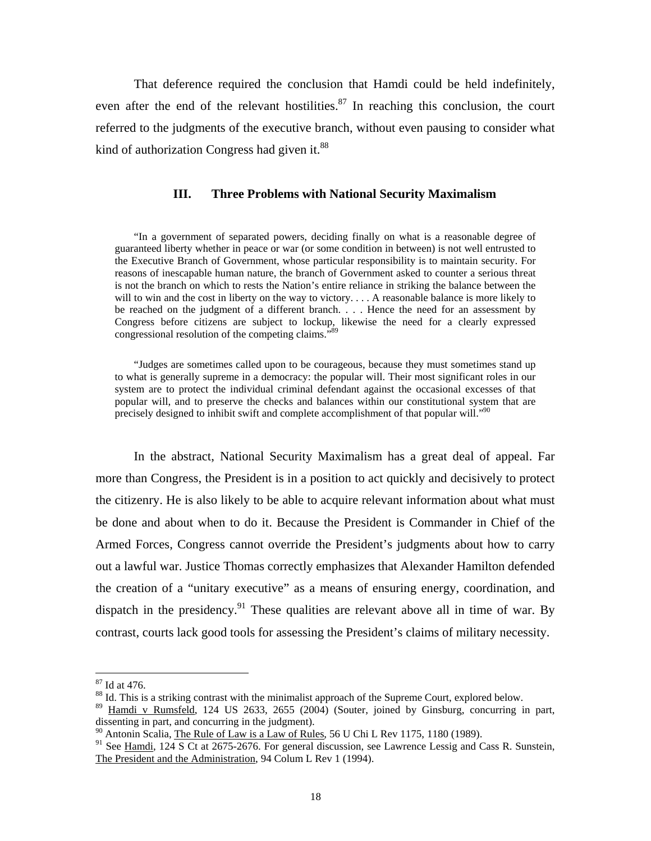That deference required the conclusion that Hamdi could be held indefinitely, even after the end of the relevant hostilities.<sup>87</sup> In reaching this conclusion, the court referred to the judgments of the executive branch, without even pausing to consider what kind of authorization Congress had given it.<sup>[88](#page-19-1)</sup>

#### **III. Three Problems with National Security Maximalism**

"In a government of separated powers, deciding finally on what is a reasonable degree of guaranteed liberty whether in peace or war (or some condition in between) is not well entrusted to the Executive Branch of Government, whose particular responsibility is to maintain security. For reasons of inescapable human nature, the branch of Government asked to counter a serious threat is not the branch on which to rests the Nation's entire reliance in striking the balance between the will to win and the cost in liberty on the way to victory. . . . A reasonable balance is more likely to be reached on the judgment of a different branch. . . . Hence the need for an assessment by Congress before citizens are subject to lockup, likewise the need for a clearly expressed congressional resolution of the competing claims."<sup>8</sup>

"Judges are sometimes called upon to be courageous, because they must sometimes stand up to what is generally supreme in a democracy: the popular will. Their most significant roles in our system are to protect the individual criminal defendant against the occasional excesses of that popular will, and to preserve the checks and balances within our constitutional system that are precisely designed to inhibit swift and complete accomplishment of that popular will."<sup>[90](#page-19-3)</sup>

In the abstract, National Security Maximalism has a great deal of appeal. Far more than Congress, the President is in a position to act quickly and decisively to protect the citizenry. He is also likely to be able to acquire relevant information about what must be done and about when to do it. Because the President is Commander in Chief of the Armed Forces, Congress cannot override the President's judgments about how to carry out a lawful war. Justice Thomas correctly emphasizes that Alexander Hamilton defended the creation of a "unitary executive" as a means of ensuring energy, coordination, and dispatch in the presidency.<sup>91</sup> These qualities are relevant above all in time of war. By contrast, courts lack good tools for assessing the President's claims of military necessity.

<span id="page-19-0"></span><sup>&</sup>lt;sup>87</sup> Id at 476.

<span id="page-19-1"></span><sup>&</sup>lt;sup>88</sup> Id. This is a striking contrast with the minimalist approach of the Supreme Court, explored below.

<span id="page-19-2"></span><sup>89</sup> Hamdi v Rumsfeld, 124 US 2633, 2655 (2004) (Souter, joined by Ginsburg, concurring in part, dissenting in part, and concurring in the judgment).<br><sup>90</sup> Antonin Scalia, <u>The Rule of Law is a Law of Rules</u>, 56 U Chi L Rev 1175, 1180 (1989).

<span id="page-19-3"></span>

<span id="page-19-4"></span><sup>&</sup>lt;sup>91</sup> See Hamdi, 124 S Ct at 2675-2676. For general discussion, see Lawrence Lessig and Cass R. Sunstein, The President and the Administration, 94 Colum L Rev 1 (1994).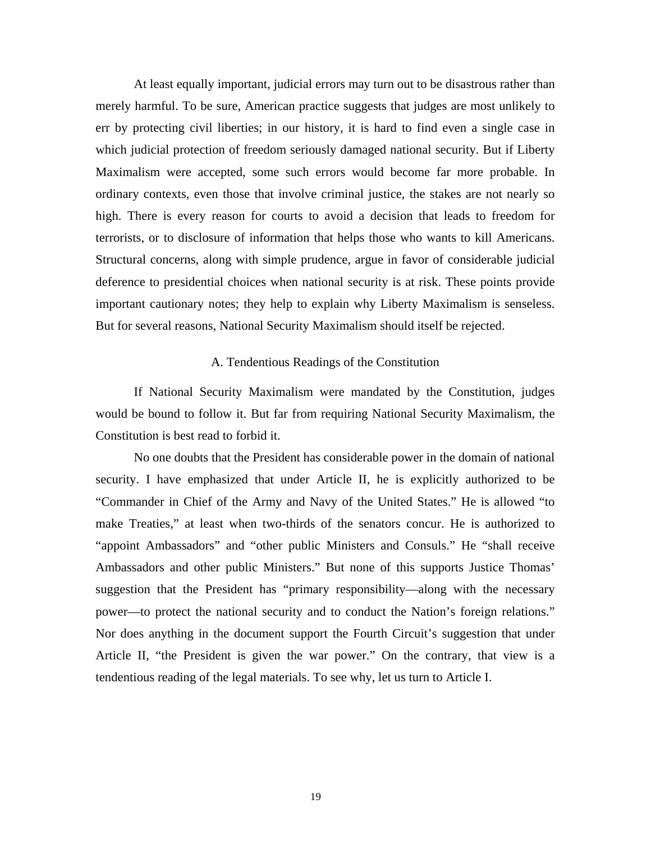At least equally important, judicial errors may turn out to be disastrous rather than merely harmful. To be sure, American practice suggests that judges are most unlikely to err by protecting civil liberties; in our history, it is hard to find even a single case in which judicial protection of freedom seriously damaged national security. But if Liberty Maximalism were accepted, some such errors would become far more probable. In ordinary contexts, even those that involve criminal justice, the stakes are not nearly so high. There is every reason for courts to avoid a decision that leads to freedom for terrorists, or to disclosure of information that helps those who wants to kill Americans. Structural concerns, along with simple prudence, argue in favor of considerable judicial deference to presidential choices when national security is at risk. These points provide important cautionary notes; they help to explain why Liberty Maximalism is senseless. But for several reasons, National Security Maximalism should itself be rejected.

#### A. Tendentious Readings of the Constitution

If National Security Maximalism were mandated by the Constitution, judges would be bound to follow it. But far from requiring National Security Maximalism, the Constitution is best read to forbid it.

No one doubts that the President has considerable power in the domain of national security. I have emphasized that under Article II, he is explicitly authorized to be "Commander in Chief of the Army and Navy of the United States." He is allowed "to make Treaties," at least when two-thirds of the senators concur. He is authorized to "appoint Ambassadors" and "other public Ministers and Consuls." He "shall receive Ambassadors and other public Ministers." But none of this supports Justice Thomas' suggestion that the President has "primary responsibility—along with the necessary power—to protect the national security and to conduct the Nation's foreign relations." Nor does anything in the document support the Fourth Circuit's suggestion that under Article II, "the President is given the war power." On the contrary, that view is a tendentious reading of the legal materials. To see why, let us turn to Article I.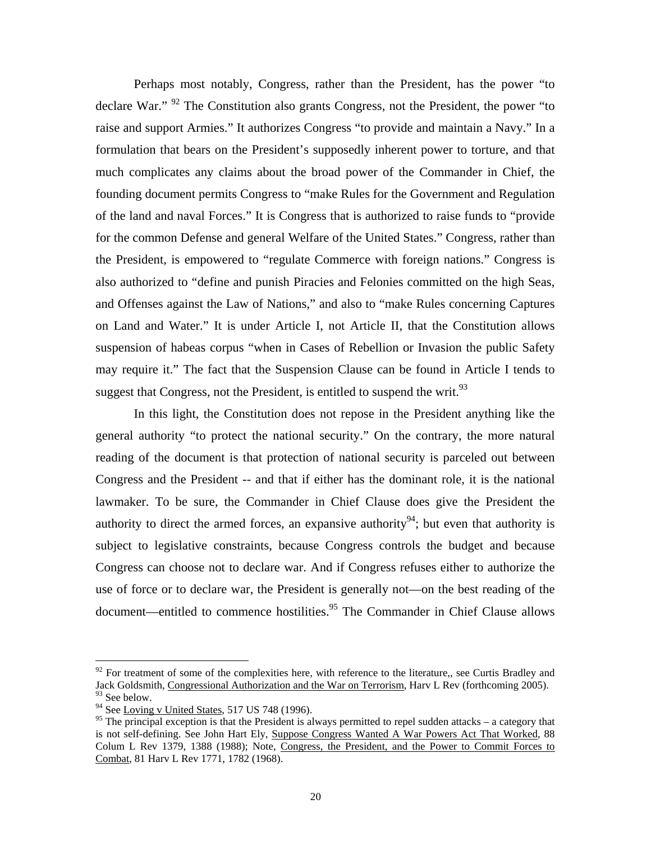Perhaps most notably, Congress, rather than the President, has the power "to declare War." <sup>92</sup> The Constitution also grants Congress, not the President, the power "to raise and support Armies." It authorizes Congress "to provide and maintain a Navy." In a formulation that bears on the President's supposedly inherent power to torture, and that much complicates any claims about the broad power of the Commander in Chief, the founding document permits Congress to "make Rules for the Government and Regulation of the land and naval Forces." It is Congress that is authorized to raise funds to "provide for the common Defense and general Welfare of the United States." Congress, rather than the President, is empowered to "regulate Commerce with foreign nations." Congress is also authorized to "define and punish Piracies and Felonies committed on the high Seas, and Offenses against the Law of Nations," and also to "make Rules concerning Captures on Land and Water." It is under Article I, not Article II, that the Constitution allows suspension of habeas corpus "when in Cases of Rebellion or Invasion the public Safety may require it." The fact that the Suspension Clause can be found in Article I tends to suggest that Congress, not the President, is entitled to suspend the writ.  $93$ 

In this light, the Constitution does not repose in the President anything like the general authority "to protect the national security." On the contrary, the more natural reading of the document is that protection of national security is parceled out between Congress and the President -- and that if either has the dominant role, it is the national lawmaker. To be sure, the Commander in Chief Clause does give the President the authority to direct the armed forces, an expansive authority<sup>94</sup>; but even that authority is subject to legislative constraints, because Congress controls the budget and because Congress can choose not to declare war. And if Congress refuses either to authorize the use of force or to declare war, the President is generally not—on the best reading of the document—entitled to commence hostilities.<sup>95</sup> The Commander in Chief Clause allows

<span id="page-21-0"></span> $92$  For treatment of some of the complexities here, with reference to the literature,, see Curtis Bradley and Jack Goldsmith, Congressional Authorization and the War on Terrorism, Harv L Rev (forthcoming 2005). <sup>93</sup> See below.

<span id="page-21-2"></span><span id="page-21-1"></span> $94$  See Loving v United States, 517 US 748 (1996).

<span id="page-21-3"></span> $95$  The principal exception is that the President is always permitted to repel sudden attacks – a category that is not self-defining. See John Hart Ely, Suppose Congress Wanted A War Powers Act That Worked, 88 Colum L Rev 1379, 1388 (1988); Note, Congress, the President, and the Power to Commit Forces to Combat, 81 Harv L Rev 1771, 1782 (1968).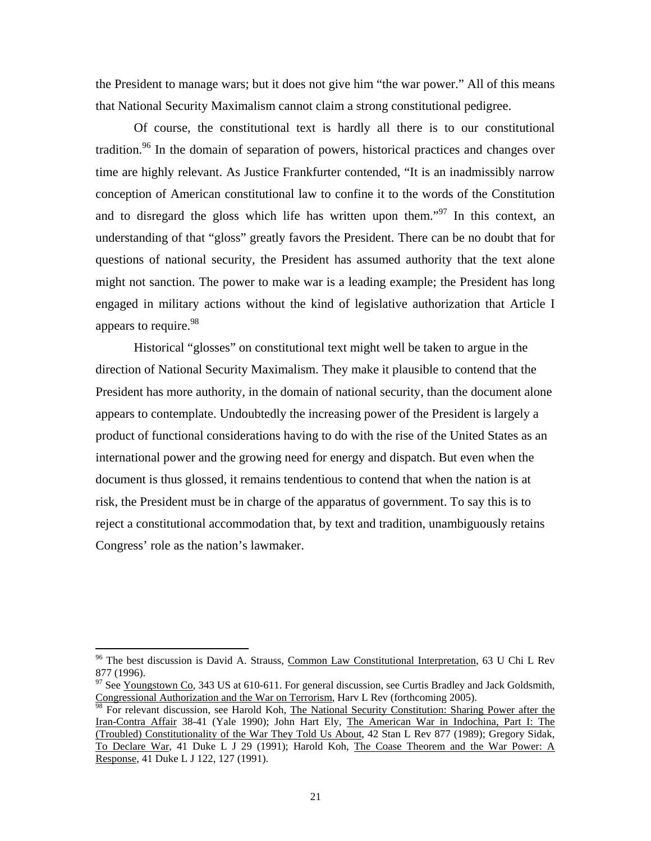the President to manage wars; but it does not give him "the war power." All of this means that National Security Maximalism cannot claim a strong constitutional pedigree.

Of course, the constitutional text is hardly all there is to our constitutional tradition.<sup>96</sup> In the domain of separation of powers, historical practices and changes over time are highly relevant. As Justice Frankfurter contended, "It is an inadmissibly narrow conception of American constitutional law to confine it to the words of the Constitution and to disregard the gloss which life has written upon them."<sup>97</sup> In this context, an understanding of that "gloss" greatly favors the President. There can be no doubt that for questions of national security, the President has assumed authority that the text alone might not sanction. The power to make war is a leading example; the President has long engaged in military actions without the kind of legislative authorization that Article I appears to require.<sup>98</sup>

Historical "glosses" on constitutional text might well be taken to argue in the direction of National Security Maximalism. They make it plausible to contend that the President has more authority, in the domain of national security, than the document alone appears to contemplate. Undoubtedly the increasing power of the President is largely a product of functional considerations having to do with the rise of the United States as an international power and the growing need for energy and dispatch. But even when the document is thus glossed, it remains tendentious to contend that when the nation is at risk, the President must be in charge of the apparatus of government. To say this is to reject a constitutional accommodation that, by text and tradition, unambiguously retains Congress' role as the nation's lawmaker.

<span id="page-22-0"></span><sup>&</sup>lt;sup>96</sup> The best discussion is David A. Strauss, Common Law Constitutional Interpretation, 63 U Chi L Rev 877 (1996).

<span id="page-22-1"></span> $97$  See Youngstown Co, 343 US at 610-611. For general discussion, see Curtis Bradley and Jack Goldsmith, Congressional Authorization and the War on Terrorism, Harv L Rev (forthcoming 2005).

<span id="page-22-2"></span><sup>&</sup>lt;sup>98</sup> For relevant discussion, see Harold Koh, The National Security Constitution: Sharing Power after the Iran-Contra Affair 38-41 (Yale 1990); John Hart Ely, The American War in Indochina, Part I: The (Troubled) Constitutionality of the War They Told Us About, 42 Stan L Rev 877 (1989); Gregory Sidak, To Declare War, 41 Duke L J 29 (1991); Harold Koh, The Coase Theorem and the War Power: A Response, 41 Duke L J 122, 127 (1991).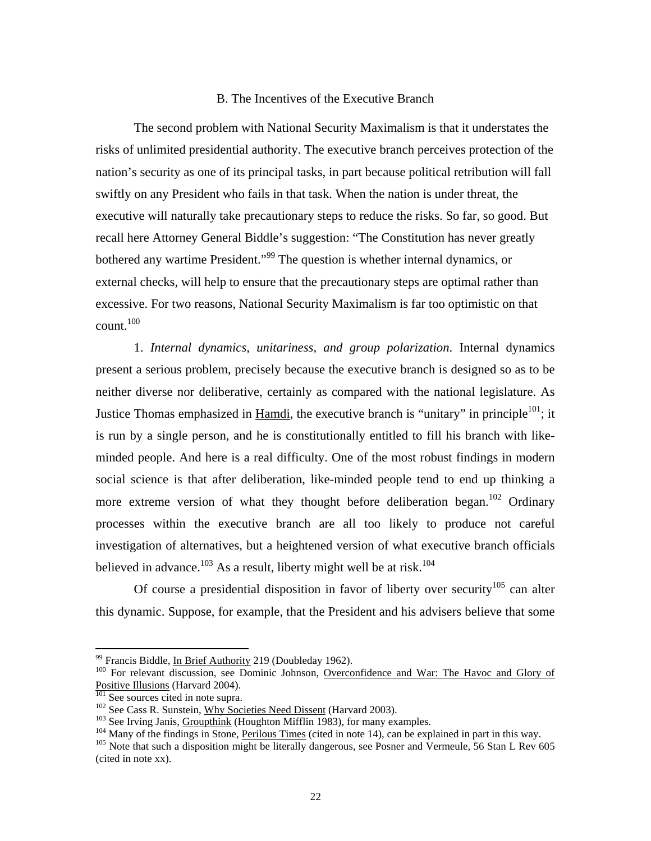#### B. The Incentives of the Executive Branch

The second problem with National Security Maximalism is that it understates the risks of unlimited presidential authority. The executive branch perceives protection of the nation's security as one of its principal tasks, in part because political retribution will fall swiftly on any President who fails in that task. When the nation is under threat, the executive will naturally take precautionary steps to reduce the risks. So far, so good. But recall here Attorney General Biddle's suggestion: "The Constitution has never greatly bothered any wartime President."[99 T](#page-23-0)he question is whether internal dynamics, or external checks, will help to ensure that the precautionary steps are optimal rather than excessive. For two reasons, National Security Maximalism is far too optimistic on that count.[100](#page-23-1)

1. *Internal dynamics, unitariness, and group polarization*. Internal dynamics present a serious problem, precisely because the executive branch is designed so as to be neither diverse nor deliberative, certainly as compared with the national legislature. As Justice Thomas emphasized in  $Handi$ , the executive branch is "unitary" in principle<sup>101</sup>; it</u> is run by a single person, and he is constitutionally entitled to fill his branch with likeminded people. And here is a real difficulty. One of the most robust findings in modern social science is that after deliberation, like-minded people tend to end up thinking a more extreme version of what they thought before deliberation began.<sup>102</sup> Ordinary processes within the executive branch are all too likely to produce not careful investigation of alternatives, but a heightened version of what executive branch officials believed in advance.<sup>103</sup> As a result, liberty might well be at risk.<sup>104</sup>

Of course a presidential disposition in favor of liberty over security<sup>105</sup> can alter this dynamic. Suppose, for example, that the President and his advisers believe that some

<span id="page-23-1"></span><span id="page-23-0"></span>

<sup>&</sup>lt;sup>99</sup> Francis Biddle, <u>In Brief Authority</u> 219 (Doubleday 1962).<br><sup>100</sup> For relevant discussion, see Dominic Johnson, <u>Overconfidence and War: The Havoc and Glory of</u> Positive Illusions (Harvard 2004).

<span id="page-23-2"></span>

<span id="page-23-3"></span>

<span id="page-23-4"></span>

<span id="page-23-6"></span><span id="page-23-5"></span>

<sup>&</sup>lt;sup>101</sup> See sources cited in note supra.<br><sup>102</sup> See Cass R. Sunstein, <u>Why Societies Need Dissent</u> (Harvard 2003).<br><sup>103</sup> See Irving Janis, *Groupthink* (Houghton Mifflin 1983), for many examples.<br><sup>104</sup> Many of the findings i (cited in note xx).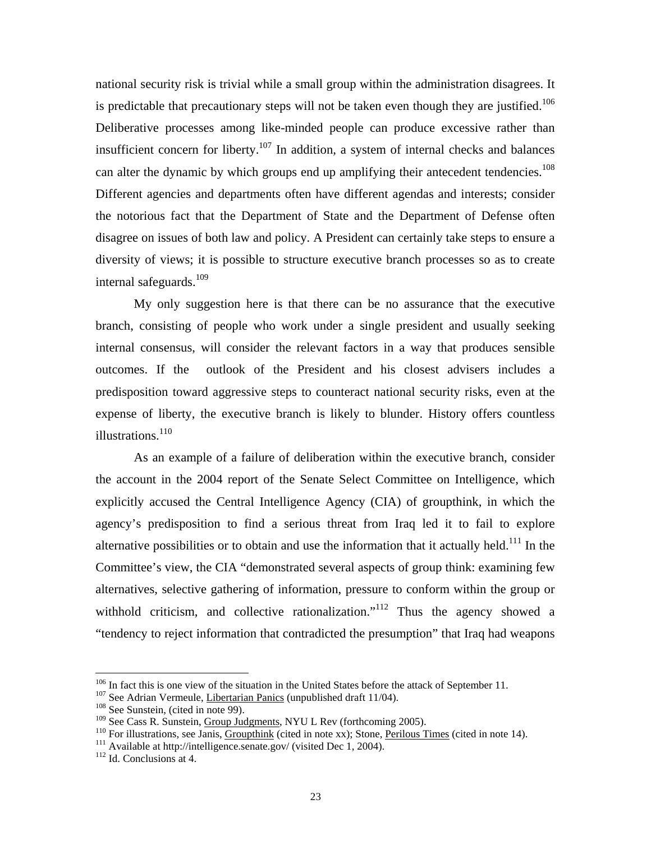national security risk is trivial while a small group within the administration disagrees. It is predictable that precautionary steps will not be taken even though they are justified.<sup>106</sup> Deliberative processes among like-minded people can produce excessive rather than insufficient concern for liberty.<sup>107</sup> In addition, a system of internal checks and balances can alter the dynamic by which groups end up amplifying their antecedent tendencies.<sup>108</sup> Different agencies and departments often have different agendas and interests; consider the notorious fact that the Department of State and the Department of Defense often disagree on issues of both law and policy. A President can certainly take steps to ensure a diversity of views; it is possible to structure executive branch processes so as to create internal safeguards.<sup>109</sup>

My only suggestion here is that there can be no assurance that the executive branch, consisting of people who work under a single president and usually seeking internal consensus, will consider the relevant factors in a way that produces sensible outcomes. If the outlook of the President and his closest advisers includes a predisposition toward aggressive steps to counteract national security risks, even at the expense of liberty, the executive branch is likely to blunder. History offers countless illustrations.<sup>110</sup>

As an example of a failure of deliberation within the executive branch, consider the account in the 2004 report of the Senate Select Committee on Intelligence, which explicitly accused the Central Intelligence Agency (CIA) of groupthink, in which the agency's predisposition to find a serious threat from Iraq led it to fail to explore alternative possibilities or to obtain and use the information that it actually held.<sup>111</sup> In the Committee's view, the CIA "demonstrated several aspects of group think: examining few alternatives, selective gathering of information, pressure to conform within the group or withhold criticism, and collective rationalization."<sup>112</sup> Thus the agency showed a "tendency to reject information that contradicted the presumption" that Iraq had weapons

<span id="page-24-0"></span><sup>&</sup>lt;sup>106</sup> In fact this is one view of the situation in the United States before the attack of September 11.<br><sup>107</sup> See Adrian Vermeule, <u>Libertarian Panics</u> (unpublished draft 11/04).<br><sup>108</sup> See Sunstein, (cited in note 99).

<span id="page-24-1"></span>

<span id="page-24-2"></span>

<span id="page-24-4"></span><span id="page-24-3"></span>

<sup>&</sup>lt;sup>108</sup> See Sunstein, (cited in note 99).<br><sup>109</sup> See Cass R. Sunstein, Group Judgments, NYU L Rev (forthcoming 2005).<br><sup>110</sup> For illustrations, see Janis, Groupthink (cited in note xx); Stone, <u>Perilous Times</u> (cited in note

<span id="page-24-5"></span>

<span id="page-24-6"></span>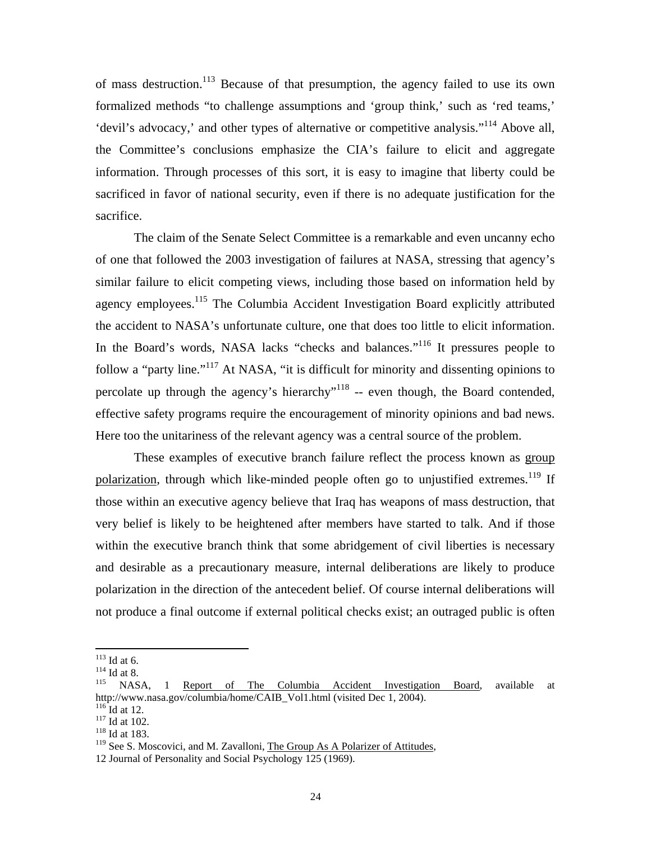of mass destruction.[113](#page-25-0) Because of that presumption, the agency failed to use its own formalized methods "to challenge assumptions and 'group think,' such as 'red teams,' 'devil's advocacy,' and other types of alternative or competitive analysis.["114](#page-25-1) Above all, the Committee's conclusions emphasize the CIA's failure to elicit and aggregate information. Through processes of this sort, it is easy to imagine that liberty could be sacrificed in favor of national security, even if there is no adequate justification for the sacrifice.

The claim of the Senate Select Committee is a remarkable and even uncanny echo of one that followed the 2003 investigation of failures at NASA, stressing that agency's similar failure to elicit competing views, including those based on information held by agency employees.<sup>115</sup> The Columbia Accident Investigation Board explicitly attributed the accident to NASA's unfortunate culture, one that does too little to elicit information. In the Board's words, NASA lacks "checks and balances."<sup>116</sup> It pressures people to follow a "party line."<sup>117</sup> At NASA, "it is difficult for minority and dissenting opinions to percolate up through the agency's hierarchy"[118](#page-25-5) -- even though, the Board contended, effective safety programs require the encouragement of minority opinions and bad news. Here too the unitariness of the relevant agency was a central source of the problem.

These examples of executive branch failure reflect the process known as group polarization, through which like-minded people often go to unjustified extremes.<sup>119</sup> If those within an executive agency believe that Iraq has weapons of mass destruction, that very belief is likely to be heightened after members have started to talk. And if those within the executive branch think that some abridgement of civil liberties is necessary and desirable as a precautionary measure, internal deliberations are likely to produce polarization in the direction of the antecedent belief. Of course internal deliberations will not produce a final outcome if external political checks exist; an outraged public is often

<span id="page-25-0"></span> $113$  Id at 6.

<span id="page-25-2"></span><span id="page-25-1"></span>

<sup>&</sup>lt;sup>114</sup> Id at 8.<br><sup>115</sup> NASA, 1 <u>Report of The Columbia Accident Investigation Board</u>, available at http://www.nasa.gov/columbia/home/CAIB\_Vol1.html (visited Dec 1, 2004).<br><sup>116</sup> Id at 12.<br><sup>117</sup> Id at 102.<br><sup>118</sup> Id at 183.

<span id="page-25-3"></span>

<span id="page-25-4"></span>

<span id="page-25-5"></span>

<span id="page-25-6"></span><sup>&</sup>lt;sup>119</sup> See S. Moscovici, and M. Zavalloni, The Group As A Polarizer of Attitudes,

<sup>12</sup> Journal of Personality and Social Psychology 125 (1969).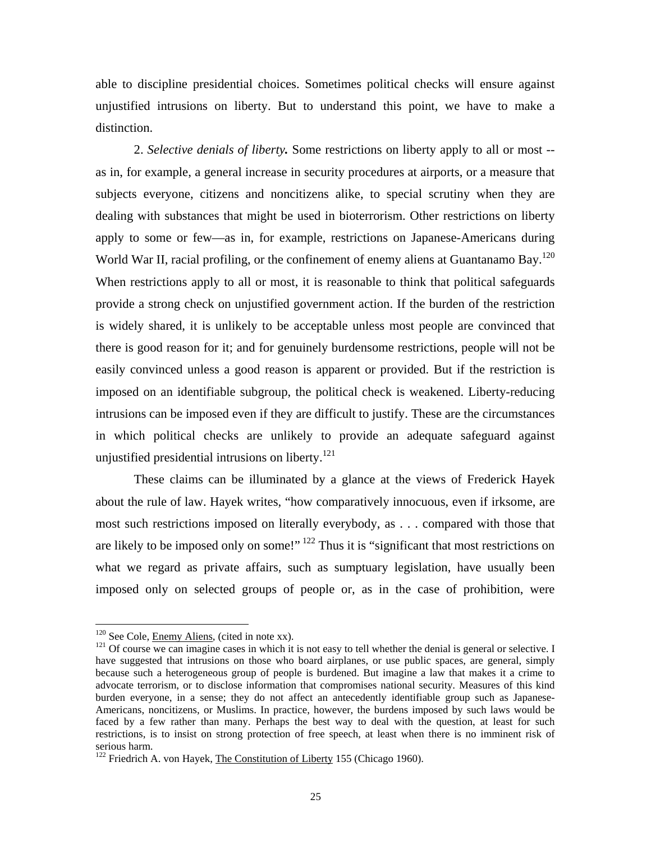able to discipline presidential choices. Sometimes political checks will ensure against unjustified intrusions on liberty. But to understand this point, we have to make a distinction.

2. *Selective denials of liberty.* Some restrictions on liberty apply to all or most - as in, for example, a general increase in security procedures at airports, or a measure that subjects everyone, citizens and noncitizens alike, to special scrutiny when they are dealing with substances that might be used in bioterrorism. Other restrictions on liberty apply to some or few—as in, for example, restrictions on Japanese-Americans during World War II, racial profiling, or the confinement of enemy aliens at Guantanamo Bay.<sup>120</sup> When restrictions apply to all or most, it is reasonable to think that political safeguards provide a strong check on unjustified government action. If the burden of the restriction is widely shared, it is unlikely to be acceptable unless most people are convinced that there is good reason for it; and for genuinely burdensome restrictions, people will not be easily convinced unless a good reason is apparent or provided. But if the restriction is imposed on an identifiable subgroup, the political check is weakened. Liberty-reducing intrusions can be imposed even if they are difficult to justify. These are the circumstances in which political checks are unlikely to provide an adequate safeguard against unjustified presidential intrusions on liberty. $121$ 

These claims can be illuminated by a glance at the views of Frederick Hayek about the rule of law. Hayek writes, "how comparatively innocuous, even if irksome, are most such restrictions imposed on literally everybody, as . . . compared with those that are likely to be imposed only on some!" <sup>122</sup> Thus it is "significant that most restrictions on what we regard as private affairs, such as sumptuary legislation, have usually been imposed only on selected groups of people or, as in the case of prohibition, were

<span id="page-26-1"></span><span id="page-26-0"></span>

<sup>&</sup>lt;sup>120</sup> See Cole, <u>Enemy Aliens</u>, (cited in note xx).<br><sup>121</sup> Of course we can imagine cases in which it is not easy to tell whether the denial is general or selective. I have suggested that intrusions on those who board airplanes, or use public spaces, are general, simply because such a heterogeneous group of people is burdened. But imagine a law that makes it a crime to advocate terrorism, or to disclose information that compromises national security. Measures of this kind burden everyone, in a sense; they do not affect an antecedently identifiable group such as Japanese-Americans, noncitizens, or Muslims. In practice, however, the burdens imposed by such laws would be faced by a few rather than many. Perhaps the best way to deal with the question, at least for such restrictions, is to insist on strong protection of free speech, at least when there is no imminent risk of serious harm.<br><sup>122</sup> Friedrich A. von Hayek, <u>The Constitution of Liberty</u> 155 (Chicago 1960).

<span id="page-26-2"></span>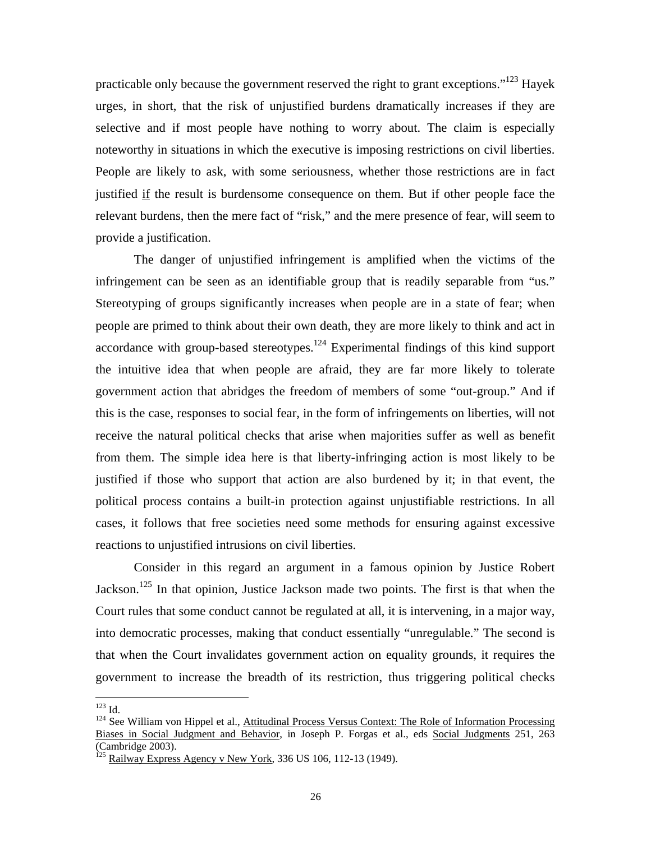practicable only because the government reserved the right to grant exceptions."[123 H](#page-27-0)ayek urges, in short, that the risk of unjustified burdens dramatically increases if they are selective and if most people have nothing to worry about. The claim is especially noteworthy in situations in which the executive is imposing restrictions on civil liberties. People are likely to ask, with some seriousness, whether those restrictions are in fact justified if the result is burdensome consequence on them. But if other people face the relevant burdens, then the mere fact of "risk," and the mere presence of fear, will seem to provide a justification.

The danger of unjustified infringement is amplified when the victims of the infringement can be seen as an identifiable group that is readily separable from "us." Stereotyping of groups significantly increases when people are in a state of fear; when people are primed to think about their own death, they are more likely to think and act in accordance with group-based stereotypes.<sup>124</sup> Experimental findings of this kind support the intuitive idea that when people are afraid, they are far more likely to tolerate government action that abridges the freedom of members of some "out-group." And if this is the case, responses to social fear, in the form of infringements on liberties, will not receive the natural political checks that arise when majorities suffer as well as benefit from them. The simple idea here is that liberty-infringing action is most likely to be justified if those who support that action are also burdened by it; in that event, the political process contains a built-in protection against unjustifiable restrictions. In all cases, it follows that free societies need some methods for ensuring against excessive reactions to unjustified intrusions on civil liberties.

Consider in this regard an argument in a famous opinion by Justice Robert Jackson.<sup>125</sup> In that opinion, Justice Jackson made two points. The first is that when the Court rules that some conduct cannot be regulated at all, it is intervening, in a major way, into democratic processes, making that conduct essentially "unregulable." The second is that when the Court invalidates government action on equality grounds, it requires the government to increase the breadth of its restriction, thus triggering political checks

<span id="page-27-0"></span> $123$  Id.

<span id="page-27-1"></span><sup>&</sup>lt;sup>124</sup> See William von Hippel et al., Attitudinal Process Versus Context: The Role of Information Processing Biases in Social Judgment and Behavior, in Joseph P. Forgas et al., eds Social Judgments 251, 263 (Cambridge 2003).

<span id="page-27-2"></span>Railway Express Agency v New York, 336 US 106, 112-13 (1949).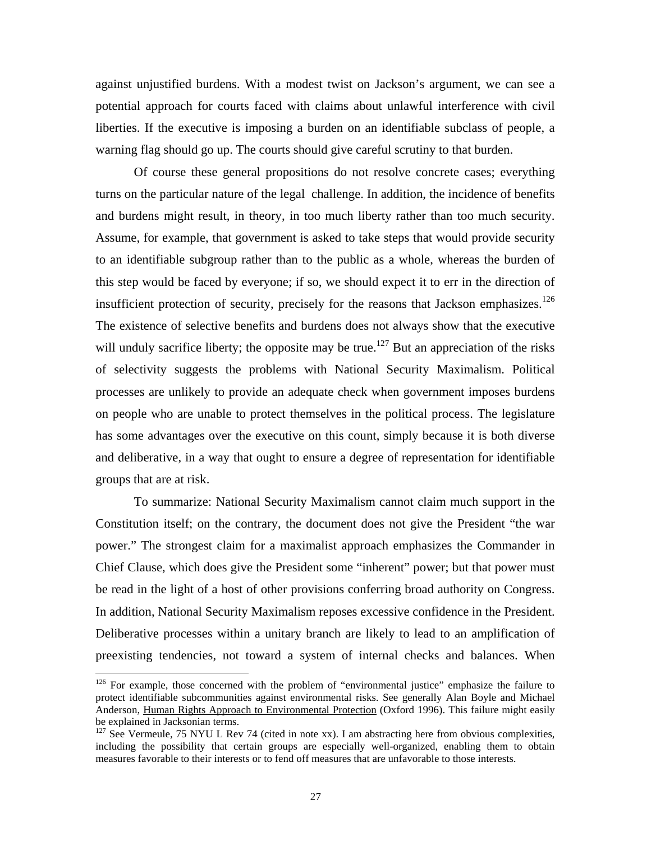against unjustified burdens. With a modest twist on Jackson's argument, we can see a potential approach for courts faced with claims about unlawful interference with civil liberties. If the executive is imposing a burden on an identifiable subclass of people, a warning flag should go up. The courts should give careful scrutiny to that burden.

Of course these general propositions do not resolve concrete cases; everything turns on the particular nature of the legal challenge. In addition, the incidence of benefits and burdens might result, in theory, in too much liberty rather than too much security. Assume, for example, that government is asked to take steps that would provide security to an identifiable subgroup rather than to the public as a whole, whereas the burden of this step would be faced by everyone; if so, we should expect it to err in the direction of insufficient protection of security, precisely for the reasons that Jackson emphasizes.<sup>126</sup> The existence of selective benefits and burdens does not always show that the executive will unduly sacrifice liberty; the opposite may be true.<sup>127</sup> But an appreciation of the risks of selectivity suggests the problems with National Security Maximalism. Political processes are unlikely to provide an adequate check when government imposes burdens on people who are unable to protect themselves in the political process. The legislature has some advantages over the executive on this count, simply because it is both diverse and deliberative, in a way that ought to ensure a degree of representation for identifiable groups that are at risk.

To summarize: National Security Maximalism cannot claim much support in the Constitution itself; on the contrary, the document does not give the President "the war power." The strongest claim for a maximalist approach emphasizes the Commander in Chief Clause, which does give the President some "inherent" power; but that power must be read in the light of a host of other provisions conferring broad authority on Congress. In addition, National Security Maximalism reposes excessive confidence in the President. Deliberative processes within a unitary branch are likely to lead to an amplification of preexisting tendencies, not toward a system of internal checks and balances. When

<span id="page-28-0"></span> $126$  For example, those concerned with the problem of "environmental justice" emphasize the failure to protect identifiable subcommunities against environmental risks. See generally Alan Boyle and Michael Anderson, Human Rights Approach to Environmental Protection (Oxford 1996). This failure might easily be explained in Jacksonian terms.<br><sup>127</sup> See Vermeule, 75 NYU L Rev 74 (cited in note xx). I am abstracting here from obvious complexities,

<span id="page-28-1"></span>including the possibility that certain groups are especially well-organized, enabling them to obtain measures favorable to their interests or to fend off measures that are unfavorable to those interests.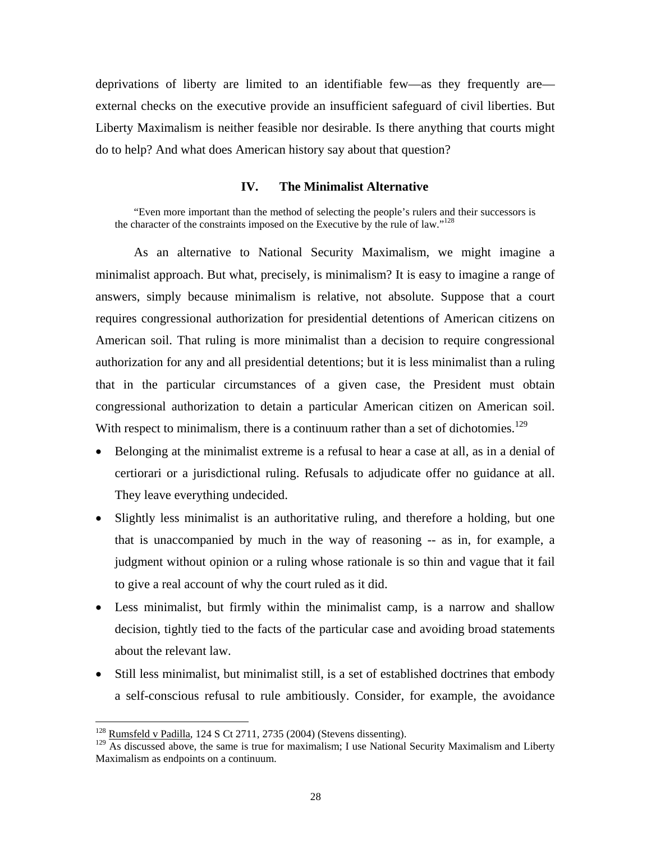deprivations of liberty are limited to an identifiable few—as they frequently are external checks on the executive provide an insufficient safeguard of civil liberties. But Liberty Maximalism is neither feasible nor desirable. Is there anything that courts might do to help? And what does American history say about that question?

#### **IV. The Minimalist Alternative**

"Even more important than the method of selecting the people's rulers and their successors is the character of the constraints imposed on the Executive by the rule of law."<sup>128</sup>

As an alternative to National Security Maximalism, we might imagine a minimalist approach. But what, precisely, is minimalism? It is easy to imagine a range of answers, simply because minimalism is relative, not absolute. Suppose that a court requires congressional authorization for presidential detentions of American citizens on American soil. That ruling is more minimalist than a decision to require congressional authorization for any and all presidential detentions; but it is less minimalist than a ruling that in the particular circumstances of a given case, the President must obtain congressional authorization to detain a particular American citizen on American soil. With respect to minimalism, there is a continuum rather than a set of dichotomies.<sup>129</sup>

- Belonging at the minimalist extreme is a refusal to hear a case at all, as in a denial of certiorari or a jurisdictional ruling. Refusals to adjudicate offer no guidance at all. They leave everything undecided.
- Slightly less minimalist is an authoritative ruling, and therefore a holding, but one that is unaccompanied by much in the way of reasoning -- as in, for example, a judgment without opinion or a ruling whose rationale is so thin and vague that it fail to give a real account of why the court ruled as it did.
- Less minimalist, but firmly within the minimalist camp, is a narrow and shallow decision, tightly tied to the facts of the particular case and avoiding broad statements about the relevant law.
- Still less minimalist, but minimalist still, is a set of established doctrines that embody a self-conscious refusal to rule ambitiously. Consider, for example, the avoidance

<span id="page-29-0"></span> $128$  Rumsfeld v Padilla, 124 S Ct 2711, 2735 (2004) (Stevens dissenting).

<span id="page-29-1"></span> $129$  As discussed above, the same is true for maximalism; I use National Security Maximalism and Liberty Maximalism as endpoints on a continuum.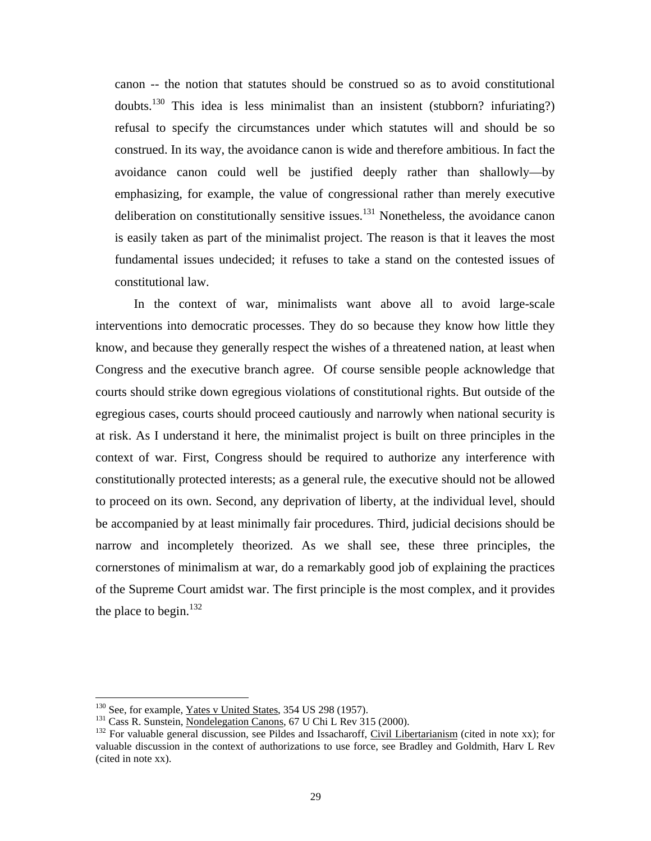canon -- the notion that statutes should be construed so as to avoid constitutional doubts.<sup>130</sup> This idea is less minimalist than an insistent (stubborn? infuriating?) refusal to specify the circumstances under which statutes will and should be so construed. In its way, the avoidance canon is wide and therefore ambitious. In fact the avoidance canon could well be justified deeply rather than shallowly—by emphasizing, for example, the value of congressional rather than merely executive deliberation on constitutionally sensitive issues. $131$  Nonetheless, the avoidance canon is easily taken as part of the minimalist project. The reason is that it leaves the most fundamental issues undecided; it refuses to take a stand on the contested issues of constitutional law.

In the context of war, minimalists want above all to avoid large-scale interventions into democratic processes. They do so because they know how little they know, and because they generally respect the wishes of a threatened nation, at least when Congress and the executive branch agree. Of course sensible people acknowledge that courts should strike down egregious violations of constitutional rights. But outside of the egregious cases, courts should proceed cautiously and narrowly when national security is at risk. As I understand it here, the minimalist project is built on three principles in the context of war. First, Congress should be required to authorize any interference with constitutionally protected interests; as a general rule, the executive should not be allowed to proceed on its own. Second, any deprivation of liberty, at the individual level, should be accompanied by at least minimally fair procedures. Third, judicial decisions should be narrow and incompletely theorized. As we shall see, these three principles, the cornerstones of minimalism at war, do a remarkably good job of explaining the practices of the Supreme Court amidst war. The first principle is the most complex, and it provides the place to begin. $^{132}$ 

<span id="page-30-0"></span><sup>&</sup>lt;sup>130</sup> See, for example, Yates v United States, 354 US 298 (1957).

<span id="page-30-2"></span><span id="page-30-1"></span>

<sup>&</sup>lt;sup>131</sup> Cass R. Sunstein, *Nondelegation Canons*, 67 U Chi L Rev 315 (2000).<br><sup>132</sup> For valuable general discussion, see Pildes and Issacharoff, *Civil Libertarianism* (cited in note xx); for valuable discussion in the context of authorizations to use force, see Bradley and Goldmith, Harv L Rev (cited in note xx).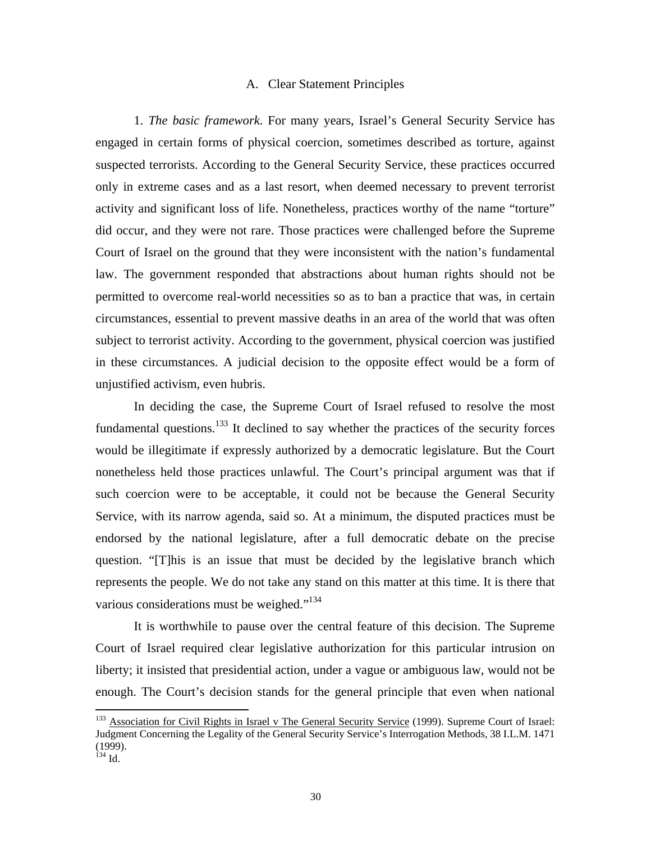#### A. Clear Statement Principles

1. *The basic framework*. For many years, Israel's General Security Service has engaged in certain forms of physical coercion, sometimes described as torture, against suspected terrorists. According to the General Security Service, these practices occurred only in extreme cases and as a last resort, when deemed necessary to prevent terrorist activity and significant loss of life. Nonetheless, practices worthy of the name "torture" did occur, and they were not rare. Those practices were challenged before the Supreme Court of Israel on the ground that they were inconsistent with the nation's fundamental law. The government responded that abstractions about human rights should not be permitted to overcome real-world necessities so as to ban a practice that was, in certain circumstances, essential to prevent massive deaths in an area of the world that was often subject to terrorist activity. According to the government, physical coercion was justified in these circumstances. A judicial decision to the opposite effect would be a form of unjustified activism, even hubris.

In deciding the case, the Supreme Court of Israel refused to resolve the most fundamental questions.<sup>133</sup> It declined to say whether the practices of the security forces would be illegitimate if expressly authorized by a democratic legislature. But the Court nonetheless held those practices unlawful. The Court's principal argument was that if such coercion were to be acceptable, it could not be because the General Security Service, with its narrow agenda, said so. At a minimum, the disputed practices must be endorsed by the national legislature, after a full democratic debate on the precise question. "[T]his is an issue that must be decided by the legislative branch which represents the people. We do not take any stand on this matter at this time. It is there that various considerations must be weighed."<sup>134</sup>

It is worthwhile to pause over the central feature of this decision. The Supreme Court of Israel required clear legislative authorization for this particular intrusion on liberty; it insisted that presidential action, under a vague or ambiguous law, would not be enough. The Court's decision stands for the general principle that even when national

<span id="page-31-0"></span><sup>&</sup>lt;sup>133</sup> Association for Civil Rights in Israel v The General Security Service (1999). Supreme Court of Israel: Judgment Concerning the Legality of the General Security Service's Interrogation Methods, 38 I.L.M. 1471 (1999).

<span id="page-31-1"></span> $^{134}$  Id.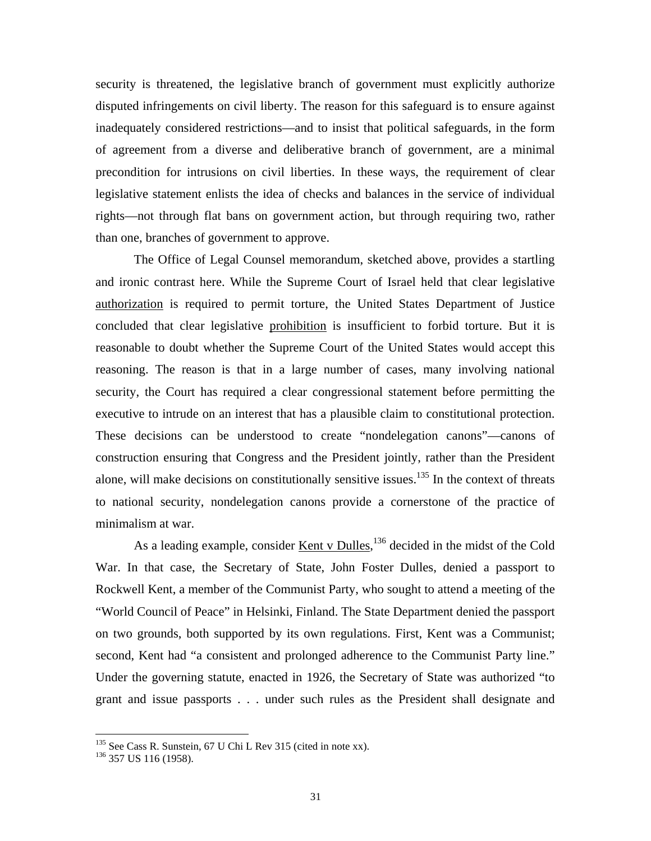security is threatened, the legislative branch of government must explicitly authorize disputed infringements on civil liberty. The reason for this safeguard is to ensure against inadequately considered restrictions—and to insist that political safeguards, in the form of agreement from a diverse and deliberative branch of government, are a minimal precondition for intrusions on civil liberties. In these ways, the requirement of clear legislative statement enlists the idea of checks and balances in the service of individual rights—not through flat bans on government action, but through requiring two, rather than one, branches of government to approve.

The Office of Legal Counsel memorandum, sketched above, provides a startling and ironic contrast here. While the Supreme Court of Israel held that clear legislative authorization is required to permit torture, the United States Department of Justice concluded that clear legislative prohibition is insufficient to forbid torture. But it is reasonable to doubt whether the Supreme Court of the United States would accept this reasoning. The reason is that in a large number of cases, many involving national security, the Court has required a clear congressional statement before permitting the executive to intrude on an interest that has a plausible claim to constitutional protection. These decisions can be understood to create "nondelegation canons"—canons of construction ensuring that Congress and the President jointly, rather than the President alone, will make decisions on constitutionally sensitive issues.<sup>135</sup> In the context of threats to national security, nondelegation canons provide a cornerstone of the practice of minimalism at war.

As a leading example, consider <u>Kent v Dulles</u>,<sup>136</sup> decided in the midst of the Cold War. In that case, the Secretary of State, John Foster Dulles, denied a passport to Rockwell Kent, a member of the Communist Party, who sought to attend a meeting of the "World Council of Peace" in Helsinki, Finland. The State Department denied the passport on two grounds, both supported by its own regulations. First, Kent was a Communist; second, Kent had "a consistent and prolonged adherence to the Communist Party line." Under the governing statute, enacted in 1926, the Secretary of State was authorized "to grant and issue passports . . . under such rules as the President shall designate and

<span id="page-32-0"></span><sup>&</sup>lt;sup>135</sup> See Cass R. Sunstein, 67 U Chi L Rev 315 (cited in note xx).  $136\,357$  US 116 (1958).

<span id="page-32-1"></span>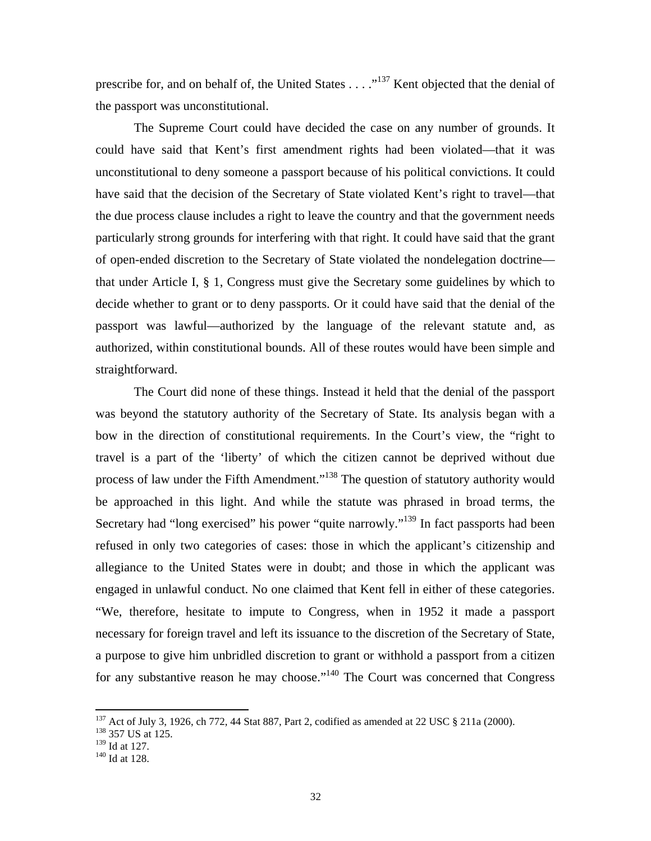prescribe for, and on behalf of, the United States . . . . "<sup>137</sup> Kent objected that the denial of the passport was unconstitutional.

The Supreme Court could have decided the case on any number of grounds. It could have said that Kent's first amendment rights had been violated—that it was unconstitutional to deny someone a passport because of his political convictions. It could have said that the decision of the Secretary of State violated Kent's right to travel—that the due process clause includes a right to leave the country and that the government needs particularly strong grounds for interfering with that right. It could have said that the grant of open-ended discretion to the Secretary of State violated the nondelegation doctrine that under Article I, § 1, Congress must give the Secretary some guidelines by which to decide whether to grant or to deny passports. Or it could have said that the denial of the passport was lawful—authorized by the language of the relevant statute and, as authorized, within constitutional bounds. All of these routes would have been simple and straightforward.

The Court did none of these things. Instead it held that the denial of the passport was beyond the statutory authority of the Secretary of State. Its analysis began with a bow in the direction of constitutional requirements. In the Court's view, the "right to travel is a part of the 'liberty' of which the citizen cannot be deprived without due process of law under the Fifth Amendment."[138 T](#page-33-1)he question of statutory authority would be approached in this light. And while the statute was phrased in broad terms, the Secretary had "long exercised" his power "quite narrowly."<sup>139</sup> In fact passports had been refused in only two categories of cases: those in which the applicant's citizenship and allegiance to the United States were in doubt; and those in which the applicant was engaged in unlawful conduct. No one claimed that Kent fell in either of these categories. "We, therefore, hesitate to impute to Congress, when in 1952 it made a passport necessary for foreign travel and left its issuance to the discretion of the Secretary of State, a purpose to give him unbridled discretion to grant or withhold a passport from a citizen for any substantive reason he may choose." $140$  The Court was concerned that Congress

<span id="page-33-0"></span><sup>&</sup>lt;sup>137</sup> Act of July 3, 1926, ch 772, 44 Stat 887, Part 2, codified as amended at 22 USC § 211a (2000).<br><sup>138</sup> 357 US at 125.

<span id="page-33-1"></span> $^{138}$  357 US at 125.<br>  $^{139}$  Id at 127.<br>  $^{140}$  Id at 128.

<span id="page-33-2"></span>

<span id="page-33-3"></span>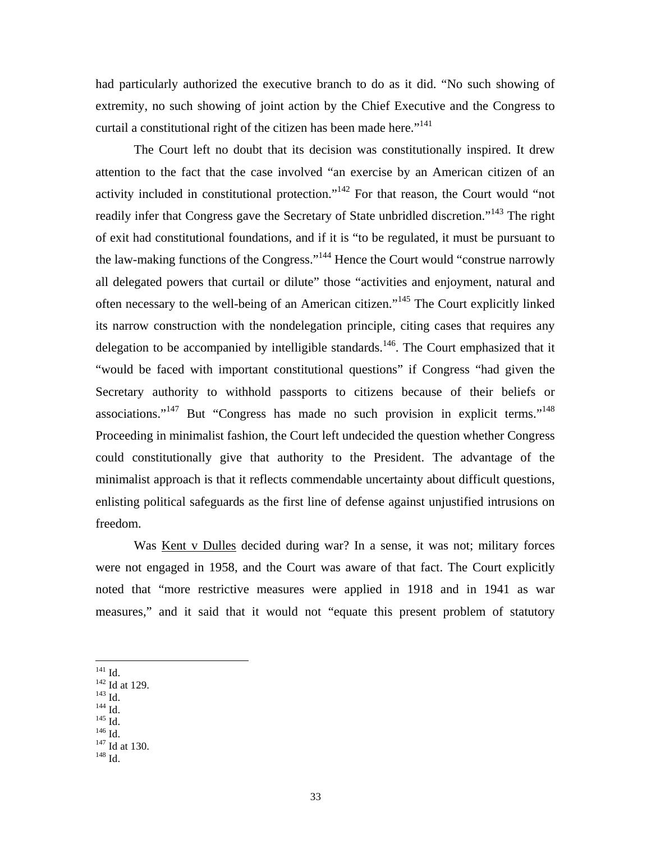had particularly authorized the executive branch to do as it did. "No such showing of extremity, no such showing of joint action by the Chief Executive and the Congress to curtail a constitutional right of the citizen has been made here."<sup>141</sup>

The Court left no doubt that its decision was constitutionally inspired. It drew attention to the fact that the case involved "an exercise by an American citizen of an activity included in constitutional protection.["142](#page-34-1) For that reason, the Court would "not readily infer that Congress gave the Secretary of State unbridled discretion."<sup>143</sup> The right of exit had constitutional foundations, and if it is "to be regulated, it must be pursuant to the law-making functions of the Congress."[144 H](#page-34-3)ence the Court would "construe narrowly all delegated powers that curtail or dilute" those "activities and enjoyment, natural and often necessary to the well-being of an American citizen."[145 T](#page-34-4)he Court explicitly linked its narrow construction with the nondelegation principle, citing cases that requires any delegation to be accompanied by intelligible standards.<sup>146</sup>. The Court emphasized that it "would be faced with important constitutional questions" if Congress "had given the Secretary authority to withhold passports to citizens because of their beliefs or associations."<sup>147</sup> But "Congress has made no such provision in explicit terms."<sup>148</sup> Proceeding in minimalist fashion, the Court left undecided the question whether Congress could constitutionally give that authority to the President. The advantage of the minimalist approach is that it reflects commendable uncertainty about difficult questions, enlisting political safeguards as the first line of defense against unjustified intrusions on freedom.

Was Kent v Dulles decided during war? In a sense, it was not; military forces were not engaged in 1958, and the Court was aware of that fact. The Court explicitly noted that "more restrictive measures were applied in 1918 and in 1941 as war measures," and it said that it would not "equate this present problem of statutory

- <span id="page-34-1"></span>
- <span id="page-34-2"></span>
- <span id="page-34-3"></span>
- <span id="page-34-4"></span>
- <sup>142</sup> Id at 129.<br>
<sup>143</sup> Id.<br>
<sup>144</sup> Id.<br>
<sup>145</sup> Id.<br>
<sup>147</sup> Id at 130.<br>
<sup>148</sup> Id.
- <span id="page-34-7"></span>

<span id="page-34-0"></span> $^{141}$  Id.

<span id="page-34-6"></span><span id="page-34-5"></span>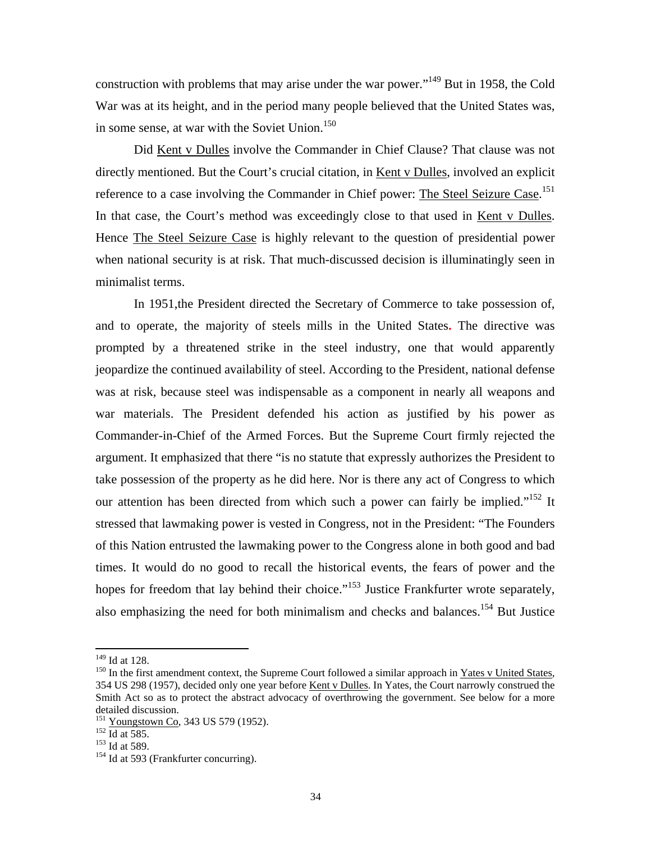construction with problems that may arise under the war power."[149](#page-35-0) But in 1958, the Cold War was at its height, and in the period many people believed that the United States was, in some sense, at war with the Soviet Union.<sup>150</sup>

Did Kent v Dulles involve the Commander in Chief Clause? That clause was not directly mentioned. But the Court's crucial citation, in Kent v Dulles, involved an explicit reference to a case involving the Commander in Chief power: The Steel Seizure Case.<sup>[151](#page-35-2)</sup> In that case, the Court's method was exceedingly close to that used in Kent v Dulles. Hence The Steel Seizure Case is highly relevant to the question of presidential power when national security is at risk. That much-discussed decision is illuminatingly seen in minimalist terms.

In 1951,the President directed the Secretary of Commerce to take possession of, and to operate, the majority of steels mills in the United States**.** The directive was prompted by a threatened strike in the steel industry, one that would apparently jeopardize the continued availability of steel. According to the President, national defense was at risk, because steel was indispensable as a component in nearly all weapons and war materials. The President defended his action as justified by his power as Commander-in-Chief of the Armed Forces. But the Supreme Court firmly rejected the argument. It emphasized that there "is no statute that expressly authorizes the President to take possession of the property as he did here. Nor is there any act of Congress to which our attention has been directed from which such a power can fairly be implied."<sup>152</sup> It stressed that lawmaking power is vested in Congress, not in the President: "The Founders of this Nation entrusted the lawmaking power to the Congress alone in both good and bad times. It would do no good to recall the historical events, the fears of power and the hopes for freedom that lay behind their choice."<sup>153</sup> Justice Frankfurter wrote separately, also emphasizing the need for both minimalism and checks and balances.[154 B](#page-35-5)ut Justice

<span id="page-35-0"></span> $149$  Id at 128.

<span id="page-35-1"></span> $150$  In the first amendment context, the Supreme Court followed a similar approach in Yates v United States, 354 US 298 (1957), decided only one year before Kent v Dulles. In Yates, the Court narrowly construed the Smith Act so as to protect the abstract advocacy of overthrowing the government. See below for a more detailed discussion.<br><sup>151</sup> Youngstown Co, 343 US 579 (1952).<br><sup>152</sup> Id at 585.<br><sup>153</sup> Id at 593 (Frankfurter concurring).

<span id="page-35-2"></span>

<span id="page-35-3"></span>

<span id="page-35-4"></span>

<span id="page-35-5"></span>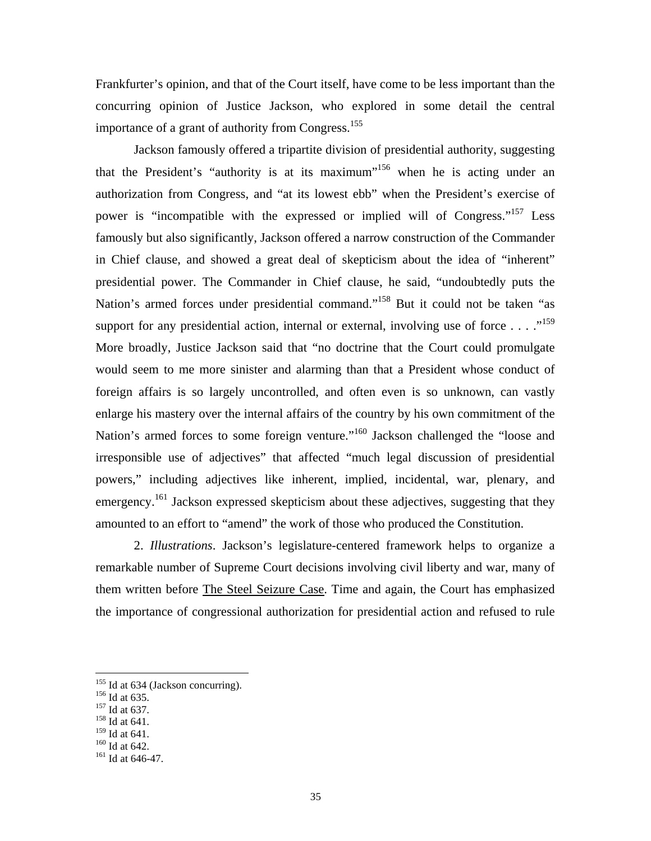Frankfurter's opinion, and that of the Court itself, have come to be less important than the concurring opinion of Justice Jackson, who explored in some detail the central importance of a grant of authority from Congress.<sup>155</sup>

Jackson famously offered a tripartite division of presidential authority, suggesting that the President's "authority is at its maximum" [156](#page-36-1) when he is acting under an authorization from Congress, and "at its lowest ebb" when the President's exercise of power is "incompatible with the expressed or implied will of Congress."<sup>157</sup> Less famously but also significantly, Jackson offered a narrow construction of the Commander in Chief clause, and showed a great deal of skepticism about the idea of "inherent" presidential power. The Commander in Chief clause, he said, "undoubtedly puts the Nation's armed forces under presidential command."[158](#page-36-3) But it could not be taken "as support for any presidential action, internal or external, involving use of force  $\dots$ ."<sup>[159](#page-36-4)</sup> More broadly, Justice Jackson said that "no doctrine that the Court could promulgate would seem to me more sinister and alarming than that a President whose conduct of foreign affairs is so largely uncontrolled, and often even is so unknown, can vastly enlarge his mastery over the internal affairs of the country by his own commitment of the Nation's armed forces to some foreign venture."<sup>160</sup> Jackson challenged the "loose and irresponsible use of adjectives" that affected "much legal discussion of presidential powers," including adjectives like inherent, implied, incidental, war, plenary, and emergency.<sup>161</sup> Jackson expressed skepticism about these adjectives, suggesting that they amounted to an effort to "amend" the work of those who produced the Constitution.

2. *Illustrations*. Jackson's legislature-centered framework helps to organize a remarkable number of Supreme Court decisions involving civil liberty and war, many of them written before The Steel Seizure Case. Time and again, the Court has emphasized the importance of congressional authorization for presidential action and refused to rule

<span id="page-36-6"></span><span id="page-36-5"></span>

<span id="page-36-0"></span><sup>&</sup>lt;sup>155</sup> Id at 634 (Jackson concurring).<br><sup>156</sup> Id at 635.<br><sup>157</sup> Id at 637.<br><sup>158</sup> Id at 641.

<span id="page-36-1"></span>

<span id="page-36-2"></span>

<span id="page-36-3"></span>

<span id="page-36-4"></span>

<sup>&</sup>lt;sup>158</sup> Id at 641.<br><sup>159</sup> Id at 641.<br><sup>160</sup> Id at 642.<br><sup>161</sup> Id at 646-47.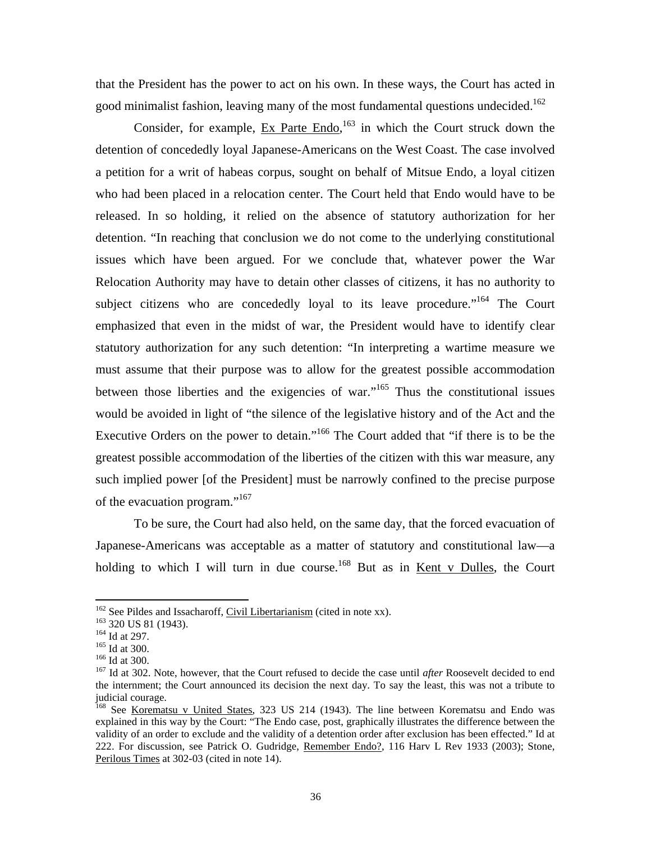that the President has the power to act on his own. In these ways, the Court has acted in good minimalist fashion, leaving many of the most fundamental questions undecided.<sup>162</sup>

Consider, for example,  $Ex$  Parte  $Endo<sub>z</sub><sup>163</sup>$  in which the Court struck down the detention of concededly loyal Japanese-Americans on the West Coast. The case involved a petition for a writ of habeas corpus, sought on behalf of Mitsue Endo, a loyal citizen who had been placed in a relocation center. The Court held that Endo would have to be released. In so holding, it relied on the absence of statutory authorization for her detention. "In reaching that conclusion we do not come to the underlying constitutional issues which have been argued. For we conclude that, whatever power the War Relocation Authority may have to detain other classes of citizens, it has no authority to subject citizens who are concededly loyal to its leave procedure."<sup>164</sup> The Court emphasized that even in the midst of war, the President would have to identify clear statutory authorization for any such detention: "In interpreting a wartime measure we must assume that their purpose was to allow for the greatest possible accommodation between those liberties and the exigencies of war."[165](#page-37-3) Thus the constitutional issues would be avoided in light of "the silence of the legislative history and of the Act and the Executive Orders on the power to detain.["166](#page-37-4) The Court added that "if there is to be the greatest possible accommodation of the liberties of the citizen with this war measure, any such implied power [of the President] must be narrowly confined to the precise purpose of the evacuation program."<sup>167</sup>

To be sure, the Court had also held, on the same day, that the forced evacuation of Japanese-Americans was acceptable as a matter of statutory and constitutional law—a holding to which I will turn in due course.<sup>168</sup> But as in Kent v Dulles, the Court

<span id="page-37-0"></span>

<span id="page-37-1"></span>

<span id="page-37-2"></span>

<span id="page-37-3"></span>

<span id="page-37-5"></span><span id="page-37-4"></span>

<sup>&</sup>lt;sup>162</sup> See Pildes and Issacharoff, Civil Libertarianism (cited in note xx).<br><sup>163</sup> 320 US 81 (1943).<br><sup>164</sup> Id at 297.<br><sup>164</sup> Id at 300.<br><sup>165</sup> Id at 300.<br><sup>166</sup> Id at 302. Note, however, that the Court refused to decide the ca the internment; the Court announced its decision the next day. To say the least, this was not a tribute to judicial courage.

<span id="page-37-6"></span><sup>168</sup> See Korematsu v United States, 323 US 214 (1943). The line between Korematsu and Endo was explained in this way by the Court: "The Endo case, post, graphically illustrates the difference between the validity of an order to exclude and the validity of a detention order after exclusion has been effected." Id at 222. For discussion, see Patrick O. Gudridge, Remember Endo?, 116 Harv L Rev 1933 (2003); Stone, Perilous Times at 302-03 (cited in note 14).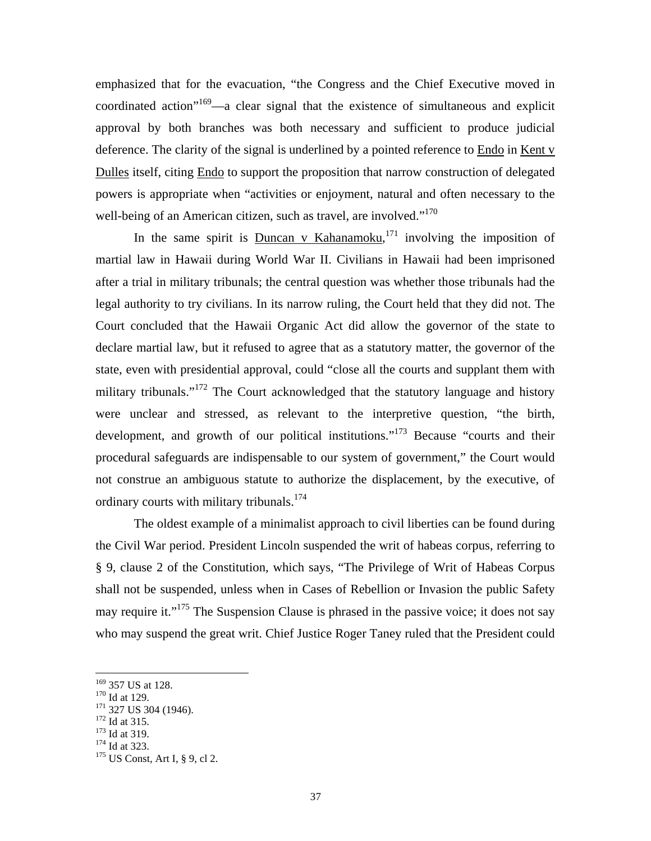emphasized that for the evacuation, "the Congress and the Chief Executive moved in coordinated action<sup> $169$ </sup>—a clear signal that the existence of simultaneous and explicit approval by both branches was both necessary and sufficient to produce judicial deference. The clarity of the signal is underlined by a pointed reference to Endo in Kent v Dulles itself, citing Endo to support the proposition that narrow construction of delegated powers is appropriate when "activities or enjoyment, natural and often necessary to the well-being of an American citizen, such as travel, are involved."<sup>[170](#page-38-1)</sup>

In the same spirit is **Duncan v Kahanamoku**,<sup>171</sup> involving the imposition of martial law in Hawaii during World War II. Civilians in Hawaii had been imprisoned after a trial in military tribunals; the central question was whether those tribunals had the legal authority to try civilians. In its narrow ruling, the Court held that they did not. The Court concluded that the Hawaii Organic Act did allow the governor of the state to declare martial law, but it refused to agree that as a statutory matter, the governor of the state, even with presidential approval, could "close all the courts and supplant them with military tribunals."<sup>172</sup> The Court acknowledged that the statutory language and history were unclear and stressed, as relevant to the interpretive question, "the birth, development, and growth of our political institutions."<sup>173</sup> Because "courts and their procedural safeguards are indispensable to our system of government," the Court would not construe an ambiguous statute to authorize the displacement, by the executive, of ordinary courts with military tribunals.<sup>[174](#page-38-5)</sup>

The oldest example of a minimalist approach to civil liberties can be found during the Civil War period. President Lincoln suspended the writ of habeas corpus, referring to § 9, clause 2 of the Constitution, which says, "The Privilege of Writ of Habeas Corpus shall not be suspended, unless when in Cases of Rebellion or Invasion the public Safety may require it."<sup>175</sup> The Suspension Clause is phrased in the passive voice; it does not say who may suspend the great writ. Chief Justice Roger Taney ruled that the President could

<span id="page-38-0"></span><sup>&</sup>lt;sup>169</sup> 357 US at 128.

<span id="page-38-1"></span>

<span id="page-38-2"></span>

<span id="page-38-3"></span>

<span id="page-38-4"></span>

<span id="page-38-6"></span><span id="page-38-5"></span>

<sup>&</sup>lt;sup>170</sup> Id at 129.<br><sup>172</sup> Id at 315.<br><sup>172</sup> Id at 315.<br><sup>173</sup> Id at 323.<br><sup>175</sup> US Const, Art I, § 9, cl 2.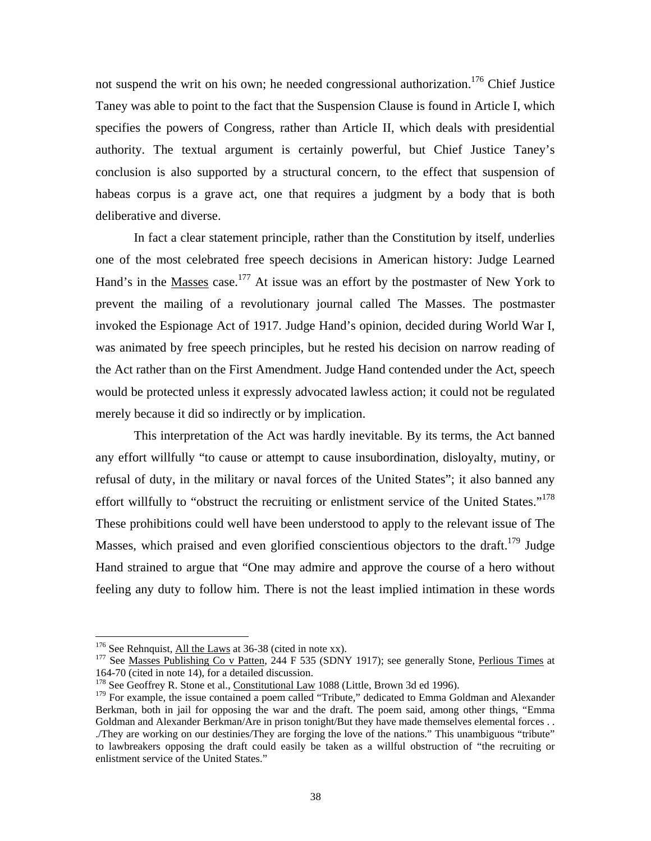not suspend the writ on his own; he needed congressional authorization.<sup>176</sup> Chief Justice Taney was able to point to the fact that the Suspension Clause is found in Article I, which specifies the powers of Congress, rather than Article II, which deals with presidential authority. The textual argument is certainly powerful, but Chief Justice Taney's conclusion is also supported by a structural concern, to the effect that suspension of habeas corpus is a grave act, one that requires a judgment by a body that is both deliberative and diverse.

In fact a clear statement principle, rather than the Constitution by itself, underlies one of the most celebrated free speech decisions in American history: Judge Learned Hand's in the Masses case.<sup>177</sup> At issue was an effort by the postmaster of New York to prevent the mailing of a revolutionary journal called The Masses. The postmaster invoked the Espionage Act of 1917. Judge Hand's opinion, decided during World War I, was animated by free speech principles, but he rested his decision on narrow reading of the Act rather than on the First Amendment. Judge Hand contended under the Act, speech would be protected unless it expressly advocated lawless action; it could not be regulated merely because it did so indirectly or by implication.

This interpretation of the Act was hardly inevitable. By its terms, the Act banned any effort willfully "to cause or attempt to cause insubordination, disloyalty, mutiny, or refusal of duty, in the military or naval forces of the United States"; it also banned any effort willfully to "obstruct the recruiting or enlistment service of the United States."<sup>178</sup> These prohibitions could well have been understood to apply to the relevant issue of The Masses, which praised and even glorified conscientious objectors to the draft.<sup>179</sup> Judge Hand strained to argue that "One may admire and approve the course of a hero without feeling any duty to follow him. There is not the least implied intimation in these words

<span id="page-39-1"></span><span id="page-39-0"></span>

<sup>&</sup>lt;sup>176</sup> See Rehnquist, <u>All the Laws</u> at 36-38 (cited in note xx).<br><sup>177</sup> See <u>Masses Publishing Co v Patten</u>, 244 F 535 (SDNY 1917); see generally Stone, <u>Perlious Times</u> at 164-70 (cited in note 14), for a detailed discuss

<span id="page-39-2"></span><sup>&</sup>lt;sup>178</sup> See Geoffrey R. Stone et al., *Constitutional Law 1088* (Little, Brown 3d ed 1996).

<span id="page-39-3"></span><sup>&</sup>lt;sup>179</sup> For example, the issue contained a poem called "Tribute," dedicated to Emma Goldman and Alexander Berkman, both in jail for opposing the war and the draft. The poem said, among other things, "Emma Goldman and Alexander Berkman/Are in prison tonight/But they have made themselves elemental forces . . ./They are working on our destinies/They are forging the love of the nations." This unambiguous "tribute" to lawbreakers opposing the draft could easily be taken as a willful obstruction of "the recruiting or

enlistment service of the United States."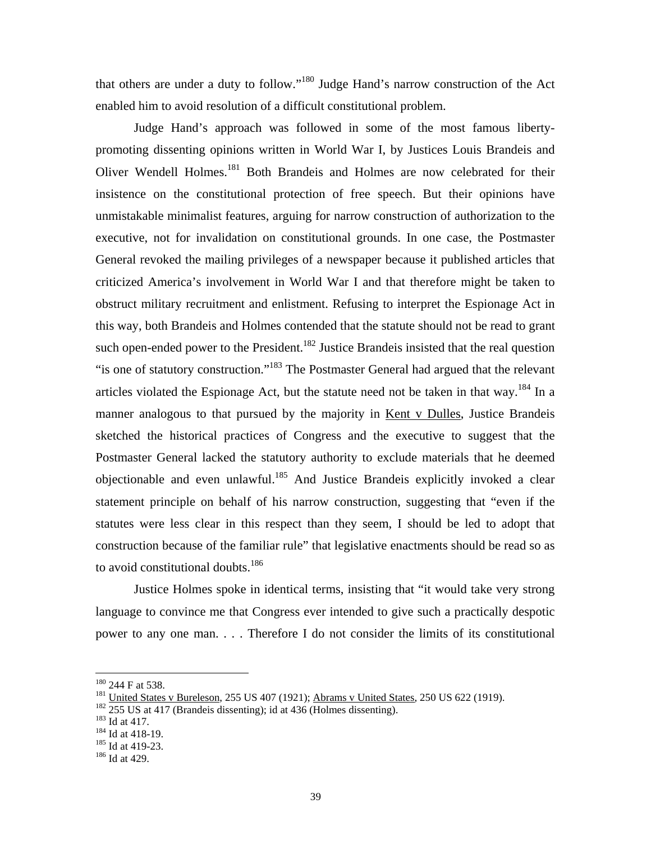that others are under a duty to follow."[180](#page-40-0) Judge Hand's narrow construction of the Act enabled him to avoid resolution of a difficult constitutional problem.

Judge Hand's approach was followed in some of the most famous libertypromoting dissenting opinions written in World War I, by Justices Louis Brandeis and Oliver Wendell Holmes.[181](#page-40-1) Both Brandeis and Holmes are now celebrated for their insistence on the constitutional protection of free speech. But their opinions have unmistakable minimalist features, arguing for narrow construction of authorization to the executive, not for invalidation on constitutional grounds. In one case, the Postmaster General revoked the mailing privileges of a newspaper because it published articles that criticized America's involvement in World War I and that therefore might be taken to obstruct military recruitment and enlistment. Refusing to interpret the Espionage Act in this way, both Brandeis and Holmes contended that the statute should not be read to grant such open-ended power to the President.<sup>182</sup> Justice Brandeis insisted that the real question "is one of statutory construction."[183 T](#page-40-3)he Postmaster General had argued that the relevant articles violated the Espionage Act, but the statute need not be taken in that way.<sup>184</sup> In a manner analogous to that pursued by the majority in Kent v Dulles, Justice Brandeis sketched the historical practices of Congress and the executive to suggest that the Postmaster General lacked the statutory authority to exclude materials that he deemed objectionable and even unlawful.<sup>185</sup> And Justice Brandeis explicitly invoked a clear statement principle on behalf of his narrow construction, suggesting that "even if the statutes were less clear in this respect than they seem, I should be led to adopt that construction because of the familiar rule" that legislative enactments should be read so as to avoid constitutional doubts.<sup>186</sup>

Justice Holmes spoke in identical terms, insisting that "it would take very strong language to convince me that Congress ever intended to give such a practically despotic power to any one man. . . . Therefore I do not consider the limits of its constitutional

<span id="page-40-0"></span><sup>&</sup>lt;sup>180</sup> 244 F at 538.

<span id="page-40-1"></span><sup>&</sup>lt;sup>181</sup> United States v Bureleson, 255 US 407 (1921); Abrams v United States, 250 US 622 (1919).<br><sup>182</sup> 255 US at 417 (Brandeis dissenting); id at 436 (Holmes dissenting).<br><sup>183</sup> Id at 417.<br><sup>183</sup> Id at 418-19.<br><sup>184</sup> Id at 419

<span id="page-40-2"></span>

<span id="page-40-3"></span>

<span id="page-40-4"></span>

<span id="page-40-5"></span>

<span id="page-40-6"></span>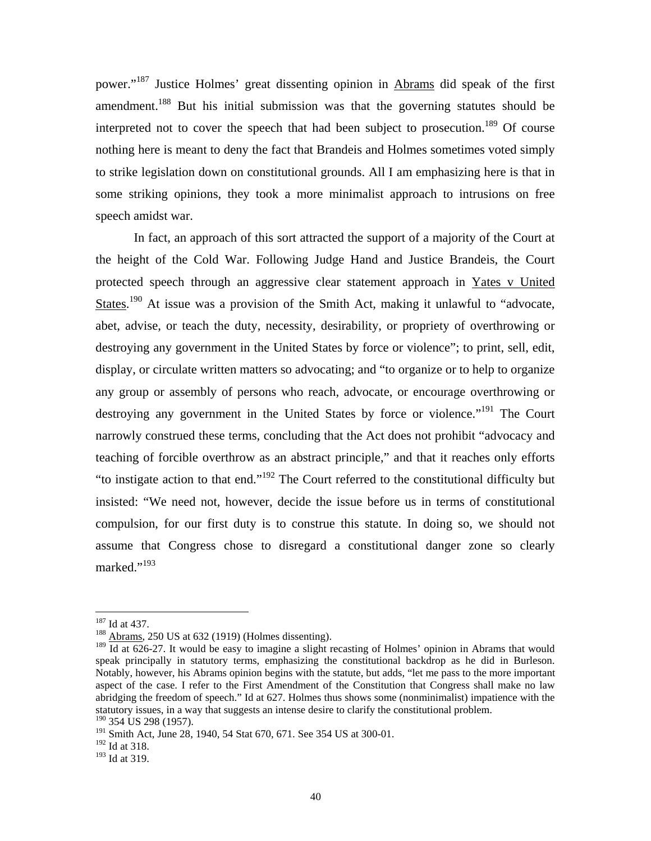power."[187](#page-41-0) Justice Holmes' great dissenting opinion in Abrams did speak of the first amendment.<sup>188</sup> But his initial submission was that the governing statutes should be interpreted not to cover the speech that had been subject to prosecution.<sup>189</sup> Of course nothing here is meant to deny the fact that Brandeis and Holmes sometimes voted simply to strike legislation down on constitutional grounds. All I am emphasizing here is that in some striking opinions, they took a more minimalist approach to intrusions on free speech amidst war.

In fact, an approach of this sort attracted the support of a majority of the Court at the height of the Cold War. Following Judge Hand and Justice Brandeis, the Court protected speech through an aggressive clear statement approach in Yates v United States.<sup>190</sup> At issue was a provision of the Smith Act, making it unlawful to "advocate, abet, advise, or teach the duty, necessity, desirability, or propriety of overthrowing or destroying any government in the United States by force or violence"; to print, sell, edit, display, or circulate written matters so advocating; and "to organize or to help to organize any group or assembly of persons who reach, advocate, or encourage overthrowing or destroying any government in the United States by force or violence."<sup>191</sup> The Court narrowly construed these terms, concluding that the Act does not prohibit "advocacy and teaching of forcible overthrow as an abstract principle," and that it reaches only efforts "to instigate action to that end."[192](#page-41-5) The Court referred to the constitutional difficulty but insisted: "We need not, however, decide the issue before us in terms of constitutional compulsion, for our first duty is to construe this statute. In doing so, we should not assume that Congress chose to disregard a constitutional danger zone so clearly marked."<sup>193</sup>

<span id="page-41-0"></span><sup>&</sup>lt;sup>187</sup> Id at 437.

<span id="page-41-1"></span> $188$  Abrams, 250 US at 632 (1919) (Holmes dissenting).

<span id="page-41-2"></span><sup>&</sup>lt;sup>189</sup> Id at 626-27. It would be easy to imagine a slight recasting of Holmes' opinion in Abrams that would speak principally in statutory terms, emphasizing the constitutional backdrop as he did in Burleson. Notably, however, his Abrams opinion begins with the statute, but adds, "let me pass to the more important aspect of the case. I refer to the First Amendment of the Constitution that Congress shall make no law abridging the freedom of speech." Id at 627. Holmes thus shows some (nonminimalist) impatience with the statutory issues, in a way that suggests an intense desire to clarify the constitutional problem. 190 354 US 298 (1957).

<span id="page-41-4"></span><span id="page-41-3"></span><sup>&</sup>lt;sup>191</sup> Smith Act, June 28, 1940, 54 Stat 670, 671. See 354 US at 300-01.

<span id="page-41-5"></span><sup>192</sup> Id at 318.

<span id="page-41-6"></span><sup>193</sup> Id at 319.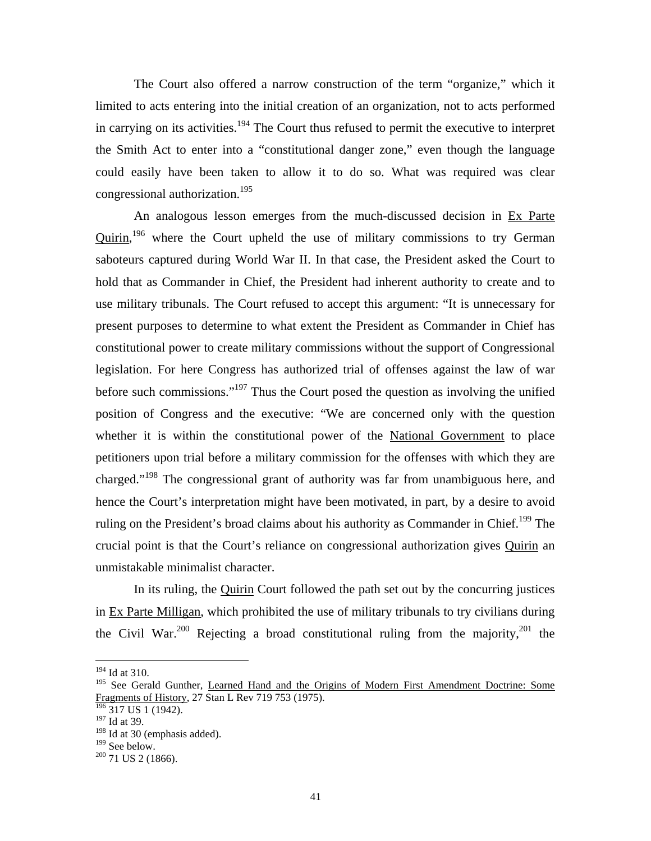The Court also offered a narrow construction of the term "organize," which it limited to acts entering into the initial creation of an organization, not to acts performed in carrying on its activities.<sup>194</sup> The Court thus refused to permit the executive to interpret the Smith Act to enter into a "constitutional danger zone," even though the language could easily have been taken to allow it to do so. What was required was clear congressional authorization[.195](#page-42-1)

An analogous lesson emerges from the much-discussed decision in Ex Parte  $Quirin, <sup>196</sup>$  where the Court upheld the use of military commissions to try German saboteurs captured during World War II. In that case, the President asked the Court to hold that as Commander in Chief, the President had inherent authority to create and to use military tribunals. The Court refused to accept this argument: "It is unnecessary for present purposes to determine to what extent the President as Commander in Chief has constitutional power to create military commissions without the support of Congressional legislation. For here Congress has authorized trial of offenses against the law of war before such commissions."<sup>197</sup> Thus the Court posed the question as involving the unified position of Congress and the executive: "We are concerned only with the question whether it is within the constitutional power of the National Government to place petitioners upon trial before a military commission for the offenses with which they are charged."[198](#page-42-4) The congressional grant of authority was far from unambiguous here, and hence the Court's interpretation might have been motivated, in part, by a desire to avoid ruling on the President's broad claims about his authority as Commander in Chief.<sup>199</sup> The crucial point is that the Court's reliance on congressional authorization gives Quirin an unmistakable minimalist character.

In its ruling, the Quirin Court followed the path set out by the concurring justices in Ex Parte Milligan, which prohibited the use of military tribunals to try civilians during the Civil War.<sup>200</sup> Rejecting a broad constitutional ruling from the majority,<sup>201</sup> the

<span id="page-42-0"></span><sup>&</sup>lt;sup>194</sup> Id at 310.

<span id="page-42-1"></span><sup>&</sup>lt;sup>195</sup> See Gerald Gunther, Learned Hand and the Origins of Modern First Amendment Doctrine: Some Fragments of History, 27 Stan L Rev 719 753 (1975).

<span id="page-42-2"></span><sup>&</sup>lt;sup>196</sup> 317 US 1 (1942).

<span id="page-42-3"></span><sup>&</sup>lt;sup>197</sup> Id at 39.

<span id="page-42-4"></span> $198$  Id at 30 (emphasis added).<br> $199$  See below.

<span id="page-42-5"></span>

<span id="page-42-6"></span> $200$  71 US 2 (1866).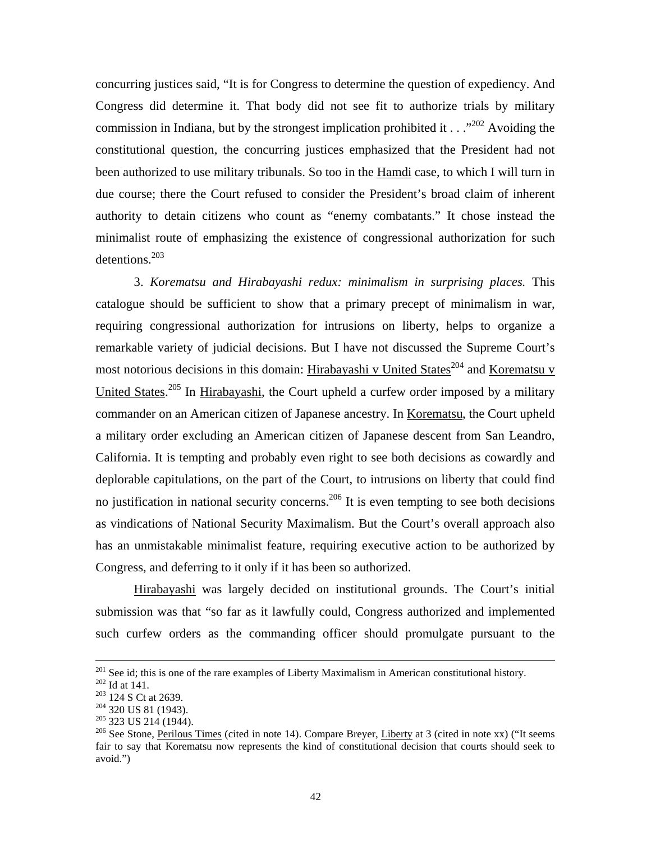concurring justices said, "It is for Congress to determine the question of expediency. And Congress did determine it. That body did not see fit to authorize trials by military commission in Indiana, but by the strongest implication prohibited it  $\ldots$ <sup>202</sup> Avoiding the constitutional question, the concurring justices emphasized that the President had not been authorized to use military tribunals. So too in the Hamdi case, to which I will turn in due course; there the Court refused to consider the President's broad claim of inherent authority to detain citizens who count as "enemy combatants." It chose instead the minimalist route of emphasizing the existence of congressional authorization for such detentions.<sup>[203](#page-43-1)</sup>

3. *Korematsu and Hirabayashi redux: minimalism in surprising places.* This catalogue should be sufficient to show that a primary precept of minimalism in war, requiring congressional authorization for intrusions on liberty, helps to organize a remarkable variety of judicial decisions. But I have not discussed the Supreme Court's most notorious decisions in this domain: Hirabayashi v United States<sup>204</sup> and Korematsu v United States.<sup>205</sup> In Hirabayashi, the Court upheld a curfew order imposed by a military commander on an American citizen of Japanese ancestry. In Korematsu, the Court upheld a military order excluding an American citizen of Japanese descent from San Leandro, California. It is tempting and probably even right to see both decisions as cowardly and deplorable capitulations, on the part of the Court, to intrusions on liberty that could find no justification in national security concerns.<sup>206</sup> It is even tempting to see both decisions as vindications of National Security Maximalism. But the Court's overall approach also has an unmistakable minimalist feature, requiring executive action to be authorized by Congress, and deferring to it only if it has been so authorized.

Hirabayashi was largely decided on institutional grounds. The Court's initial submission was that "so far as it lawfully could, Congress authorized and implemented such curfew orders as the commanding officer should promulgate pursuant to the

<sup>&</sup>lt;sup>201</sup> See id; this is one of the rare examples of Liberty Maximalism in American constitutional history.<br><sup>202</sup> Id at 141.<br><sup>203</sup> 124 S Ct at 2639.<br><sup>204</sup> 320 US 81 (1943).<br><sup>205</sup> 323 US 214 (1944).<br><sup>205</sup> See Stone, <u>Perilous</u>

<span id="page-43-0"></span>

<span id="page-43-1"></span>

<span id="page-43-2"></span>

<span id="page-43-3"></span>

<span id="page-43-4"></span>fair to say that Korematsu now represents the kind of constitutional decision that courts should seek to avoid.")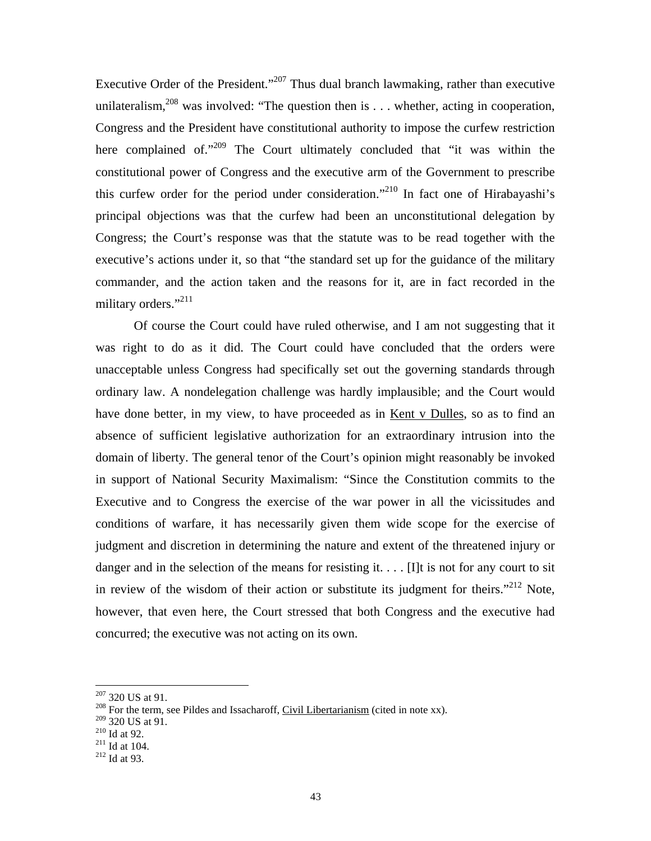Executive Order of the President."<sup>207</sup> Thus dual branch lawmaking, rather than executive unilateralism,  $208$  was involved: "The question then is . . . whether, acting in cooperation, Congress and the President have constitutional authority to impose the curfew restriction here complained of."<sup>209</sup> The Court ultimately concluded that "it was within the constitutional power of Congress and the executive arm of the Government to prescribe this curfew order for the period under consideration.["210](#page-44-3) In fact one of Hirabayashi's principal objections was that the curfew had been an unconstitutional delegation by Congress; the Court's response was that the statute was to be read together with the executive's actions under it, so that "the standard set up for the guidance of the military commander, and the action taken and the reasons for it, are in fact recorded in the military orders."<sup>211</sup>

Of course the Court could have ruled otherwise, and I am not suggesting that it was right to do as it did. The Court could have concluded that the orders were unacceptable unless Congress had specifically set out the governing standards through ordinary law. A nondelegation challenge was hardly implausible; and the Court would have done better, in my view, to have proceeded as in <u>Kent v Dulles</u>, so as to find an absence of sufficient legislative authorization for an extraordinary intrusion into the domain of liberty. The general tenor of the Court's opinion might reasonably be invoked in support of National Security Maximalism: "Since the Constitution commits to the Executive and to Congress the exercise of the war power in all the vicissitudes and conditions of warfare, it has necessarily given them wide scope for the exercise of judgment and discretion in determining the nature and extent of the threatened injury or danger and in the selection of the means for resisting it. . . . [I]t is not for any court to sit in review of the wisdom of their action or substitute its judgment for theirs."<sup>212</sup> Note, however, that even here, the Court stressed that both Congress and the executive had concurred; the executive was not acting on its own.

<span id="page-44-0"></span> $207$  320 US at 91.

<span id="page-44-1"></span> $208$  For the term, see Pildes and Issacharoff, Civil Libertarianism (cited in note xx).

<span id="page-44-2"></span> $\frac{209}{210}$  320 US at 91.<br>
<sup>210</sup> Id at 92.<br>
<sup>211</sup> Id at 104.<br>
<sup>212</sup> Id at 93.

<span id="page-44-3"></span>

<span id="page-44-4"></span>

<span id="page-44-5"></span>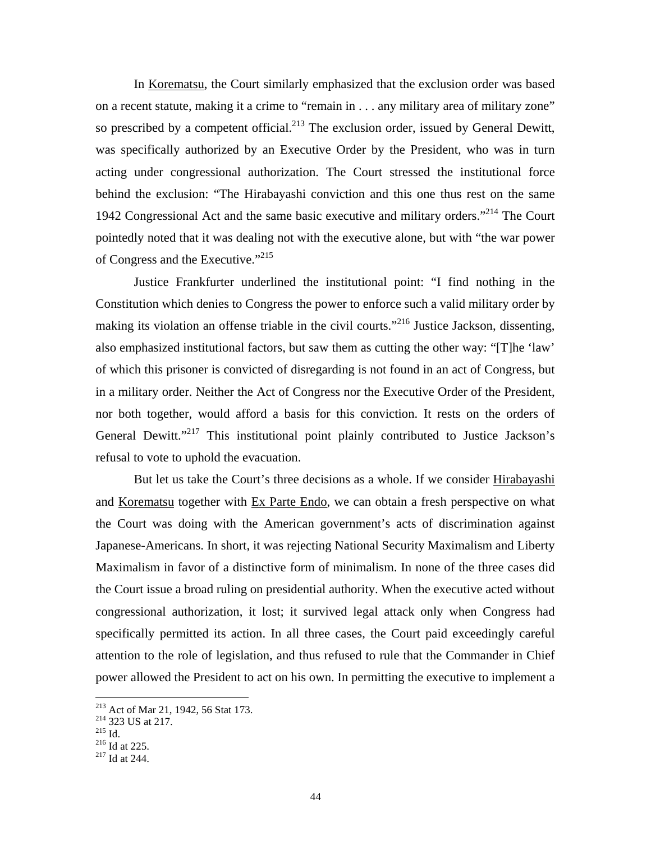In Korematsu, the Court similarly emphasized that the exclusion order was based on a recent statute, making it a crime to "remain in . . . any military area of military zone" so prescribed by a competent official.<sup>213</sup> The exclusion order, issued by General Dewitt, was specifically authorized by an Executive Order by the President, who was in turn acting under congressional authorization. The Court stressed the institutional force behind the exclusion: "The Hirabayashi conviction and this one thus rest on the same 1942 Congressional Act and the same basic executive and military orders."[214](#page-45-1) The Court pointedly noted that it was dealing not with the executive alone, but with "the war power of Congress and the Executive."<sup>215</sup>

Justice Frankfurter underlined the institutional point: "I find nothing in the Constitution which denies to Congress the power to enforce such a valid military order by making its violation an offense triable in the civil courts."<sup>216</sup> Justice Jackson, dissenting, also emphasized institutional factors, but saw them as cutting the other way: "[T]he 'law' of which this prisoner is convicted of disregarding is not found in an act of Congress, but in a military order. Neither the Act of Congress nor the Executive Order of the President, nor both together, would afford a basis for this conviction. It rests on the orders of General Dewitt. $12^{17}$  This institutional point plainly contributed to Justice Jackson's refusal to vote to uphold the evacuation.

But let us take the Court's three decisions as a whole. If we consider Hirabayashi and Korematsu together with Ex Parte Endo, we can obtain a fresh perspective on what the Court was doing with the American government's acts of discrimination against Japanese-Americans. In short, it was rejecting National Security Maximalism and Liberty Maximalism in favor of a distinctive form of minimalism. In none of the three cases did the Court issue a broad ruling on presidential authority. When the executive acted without congressional authorization, it lost; it survived legal attack only when Congress had specifically permitted its action. In all three cases, the Court paid exceedingly careful attention to the role of legislation, and thus refused to rule that the Commander in Chief power allowed the President to act on his own. In permitting the executive to implement a

<span id="page-45-0"></span><sup>&</sup>lt;sup>213</sup> Act of Mar 21, 1942, 56 Stat 173.<br><sup>214</sup> 323 US at 217.<br><sup>215</sup> Id. <sup>216</sup> Id at 225.<br><sup>217</sup> Id at 244.

<span id="page-45-1"></span>

<span id="page-45-2"></span>

<span id="page-45-3"></span>

<span id="page-45-4"></span>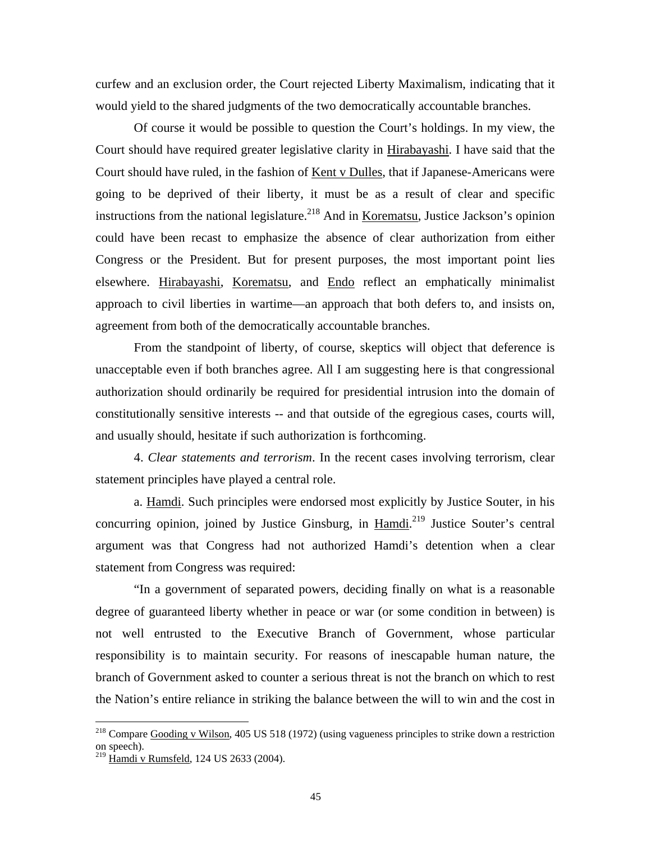curfew and an exclusion order, the Court rejected Liberty Maximalism, indicating that it would yield to the shared judgments of the two democratically accountable branches.

Of course it would be possible to question the Court's holdings. In my view, the Court should have required greater legislative clarity in Hirabayashi. I have said that the Court should have ruled, in the fashion of Kent v Dulles, that if Japanese-Americans were going to be deprived of their liberty, it must be as a result of clear and specific instructions from the national legislature.<sup>218</sup> And in Korematsu, Justice Jackson's opinion could have been recast to emphasize the absence of clear authorization from either Congress or the President. But for present purposes, the most important point lies elsewhere. Hirabayashi, Korematsu, and Endo reflect an emphatically minimalist approach to civil liberties in wartime—an approach that both defers to, and insists on, agreement from both of the democratically accountable branches.

From the standpoint of liberty, of course, skeptics will object that deference is unacceptable even if both branches agree. All I am suggesting here is that congressional authorization should ordinarily be required for presidential intrusion into the domain of constitutionally sensitive interests -- and that outside of the egregious cases, courts will, and usually should, hesitate if such authorization is forthcoming.

4. *Clear statements and terrorism*. In the recent cases involving terrorism, clear statement principles have played a central role.

a. Hamdi. Such principles were endorsed most explicitly by Justice Souter, in his concurring opinion, joined by Justice Ginsburg, in Hamdi.<sup>219</sup> Justice Souter's central argument was that Congress had not authorized Hamdi's detention when a clear statement from Congress was required:

"In a government of separated powers, deciding finally on what is a reasonable degree of guaranteed liberty whether in peace or war (or some condition in between) is not well entrusted to the Executive Branch of Government, whose particular responsibility is to maintain security. For reasons of inescapable human nature, the branch of Government asked to counter a serious threat is not the branch on which to rest the Nation's entire reliance in striking the balance between the will to win and the cost in

<span id="page-46-0"></span><sup>&</sup>lt;sup>218</sup> Compare Gooding v Wilson, 405 US 518 (1972) (using vagueness principles to strike down a restriction on speech).

<span id="page-46-1"></span> $^{219}$  Hamdi v Rumsfeld, 124 US 2633 (2004).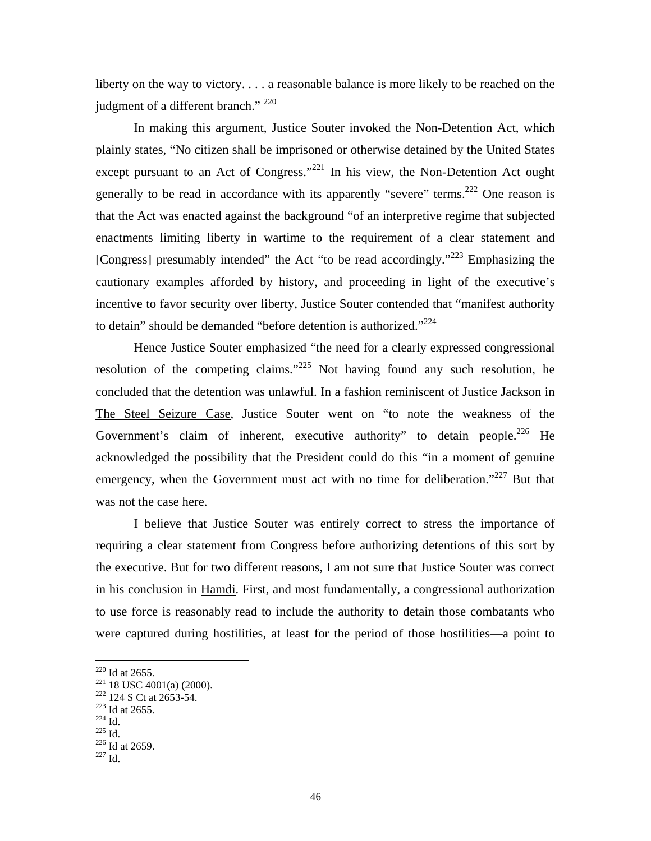liberty on the way to victory. . . . a reasonable balance is more likely to be reached on the judgment of a different branch."  $^{220}$ 

In making this argument, Justice Souter invoked the Non-Detention Act, which plainly states, "No citizen shall be imprisoned or otherwise detained by the United States except pursuant to an Act of Congress."<sup>221</sup> In his view, the Non-Detention Act ought generally to be read in accordance with its apparently "severe" terms.<sup>222</sup> One reason is that the Act was enacted against the background "of an interpretive regime that subjected enactments limiting liberty in wartime to the requirement of a clear statement and [Congress] presumably intended" the Act "to be read accordingly."<sup>223</sup> Emphasizing the cautionary examples afforded by history, and proceeding in light of the executive's incentive to favor security over liberty, Justice Souter contended that "manifest authority to detain" should be demanded "before detention is authorized."<sup> $224$ </sup>

Hence Justice Souter emphasized "the need for a clearly expressed congressional resolution of the competing claims."<sup>225</sup> Not having found any such resolution, he concluded that the detention was unlawful. In a fashion reminiscent of Justice Jackson in The Steel Seizure Case, Justice Souter went on "to note the weakness of the Government's claim of inherent, executive authority" to detain people.<sup>226</sup> He acknowledged the possibility that the President could do this "in a moment of genuine emergency, when the Government must act with no time for deliberation."<sup>227</sup> But that was not the case here.

I believe that Justice Souter was entirely correct to stress the importance of requiring a clear statement from Congress before authorizing detentions of this sort by the executive. But for two different reasons, I am not sure that Justice Souter was correct in his conclusion in Hamdi. First, and most fundamentally, a congressional authorization to use force is reasonably read to include the authority to detain those combatants who were captured during hostilities, at least for the period of those hostilities—a point to

<span id="page-47-0"></span> $220$  Id at 2655.

<span id="page-47-1"></span><sup>221 18</sup> USC 4001(a) (2000).<br>
<sup>222</sup> 124 S Ct at 2653-54.<br>
<sup>223</sup> Id at 2655.<br>
<sup>225</sup> Id.<br>
<sup>226</sup> Id at 2659.<br>
<sup>227</sup> Id.

<span id="page-47-2"></span>

<span id="page-47-3"></span>

<span id="page-47-4"></span>

<span id="page-47-5"></span>

<span id="page-47-6"></span>

<span id="page-47-7"></span>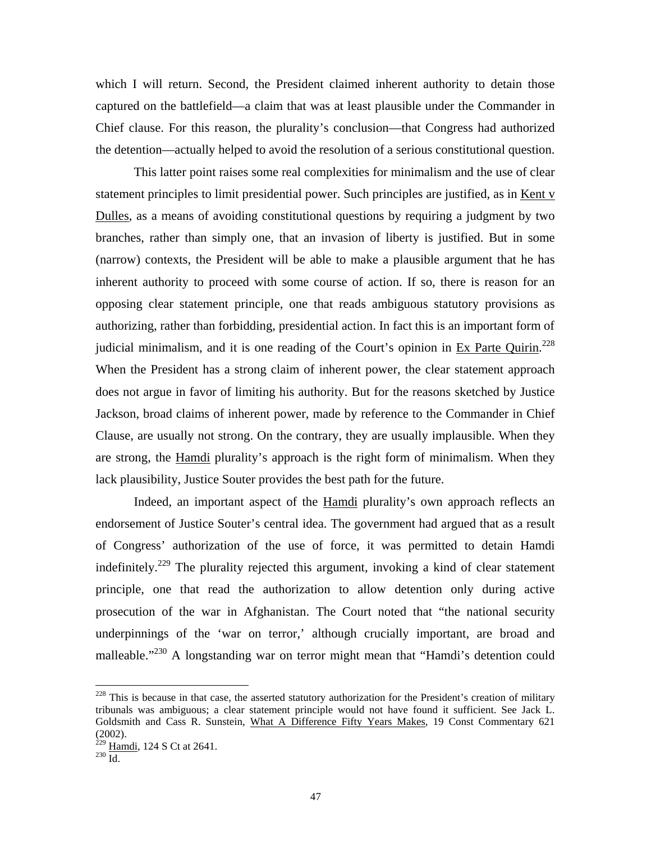which I will return. Second, the President claimed inherent authority to detain those captured on the battlefield—a claim that was at least plausible under the Commander in Chief clause. For this reason, the plurality's conclusion—that Congress had authorized the detention—actually helped to avoid the resolution of a serious constitutional question.

This latter point raises some real complexities for minimalism and the use of clear statement principles to limit presidential power. Such principles are justified, as in Kent v Dulles, as a means of avoiding constitutional questions by requiring a judgment by two branches, rather than simply one, that an invasion of liberty is justified. But in some (narrow) contexts, the President will be able to make a plausible argument that he has inherent authority to proceed with some course of action. If so, there is reason for an opposing clear statement principle, one that reads ambiguous statutory provisions as authorizing, rather than forbidding, presidential action. In fact this is an important form of judicial minimalism, and it is one reading of the Court's opinion in  $Ex$  Parte Quirin.<sup>[228](#page-48-0)</sup> When the President has a strong claim of inherent power, the clear statement approach does not argue in favor of limiting his authority. But for the reasons sketched by Justice Jackson, broad claims of inherent power, made by reference to the Commander in Chief Clause, are usually not strong. On the contrary, they are usually implausible. When they are strong, the Hamdi plurality's approach is the right form of minimalism. When they lack plausibility, Justice Souter provides the best path for the future.

Indeed, an important aspect of the Hamdi plurality's own approach reflects an endorsement of Justice Souter's central idea. The government had argued that as a result of Congress' authorization of the use of force, it was permitted to detain Hamdi indefinitely.[229](#page-48-1) The plurality rejected this argument, invoking a kind of clear statement principle, one that read the authorization to allow detention only during active prosecution of the war in Afghanistan. The Court noted that "the national security underpinnings of the 'war on terror,' although crucially important, are broad and malleable."[230](#page-48-2) A longstanding war on terror might mean that "Hamdi's detention could

<span id="page-48-0"></span> $228$  This is because in that case, the asserted statutory authorization for the President's creation of military tribunals was ambiguous; a clear statement principle would not have found it sufficient. See Jack L. Goldsmith and Cass R. Sunstein, What A Difference Fifty Years Makes, 19 Const Commentary 621 (2002).

<span id="page-48-1"></span> $\frac{229}{229}$  Hamdi, 124 S Ct at 2641.

<span id="page-48-2"></span>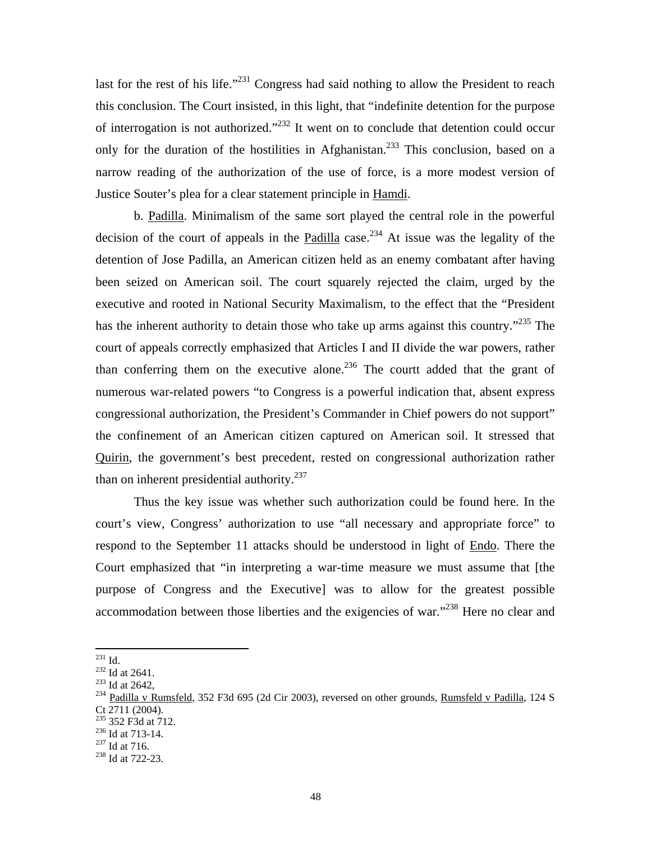last for the rest of his life."<sup>231</sup> Congress had said nothing to allow the President to reach this conclusion. The Court insisted, in this light, that "indefinite detention for the purpose of interrogation is not authorized."<sup>232</sup> It went on to conclude that detention could occur only for the duration of the hostilities in Afghanistan.<sup>233</sup> This conclusion, based on a narrow reading of the authorization of the use of force, is a more modest version of Justice Souter's plea for a clear statement principle in Hamdi.

b. Padilla. Minimalism of the same sort played the central role in the powerful decision of the court of appeals in the Padilla case.<sup>234</sup> At issue was the legality of the detention of Jose Padilla, an American citizen held as an enemy combatant after having been seized on American soil. The court squarely rejected the claim, urged by the executive and rooted in National Security Maximalism, to the effect that the "President has the inherent authority to detain those who take up arms against this country."<sup>235</sup> The court of appeals correctly emphasized that Articles I and II divide the war powers, rather than conferring them on the executive alone.<sup>236</sup> The court added that the grant of numerous war-related powers "to Congress is a powerful indication that, absent express congressional authorization, the President's Commander in Chief powers do not support" the confinement of an American citizen captured on American soil. It stressed that Quirin, the government's best precedent, rested on congressional authorization rather than on inherent presidential authority.<sup>237</sup>

Thus the key issue was whether such authorization could be found here. In the court's view, Congress' authorization to use "all necessary and appropriate force" to respond to the September 11 attacks should be understood in light of Endo. There the Court emphasized that "in interpreting a war-time measure we must assume that [the purpose of Congress and the Executive] was to allow for the greatest possible accommodation between those liberties and the exigencies of war.["238 H](#page-49-7)ere no clear and

<span id="page-49-4"></span>

<span id="page-49-6"></span>

<span id="page-49-0"></span> $^{231}$  Id.

<span id="page-49-1"></span>

<span id="page-49-3"></span><span id="page-49-2"></span>

<sup>&</sup>lt;sup>232</sup> Id at 2641.<br><sup>233</sup> Id at 2642,<br><sup>234</sup> Padilla v Rumsfeld, 352 F3d 695 (2d Cir 2003), reversed on other grounds, Rumsfeld v Padilla, 124 S Ct 2711 (2004).<br>
<sup>235</sup> 352 F3d at 712.<br>
<sup>236</sup> Id at 713-14.<br>
<sup>237</sup> Id at 716.<br>
<sup>238</sup> Id at 722-23.

<span id="page-49-5"></span>

<span id="page-49-7"></span>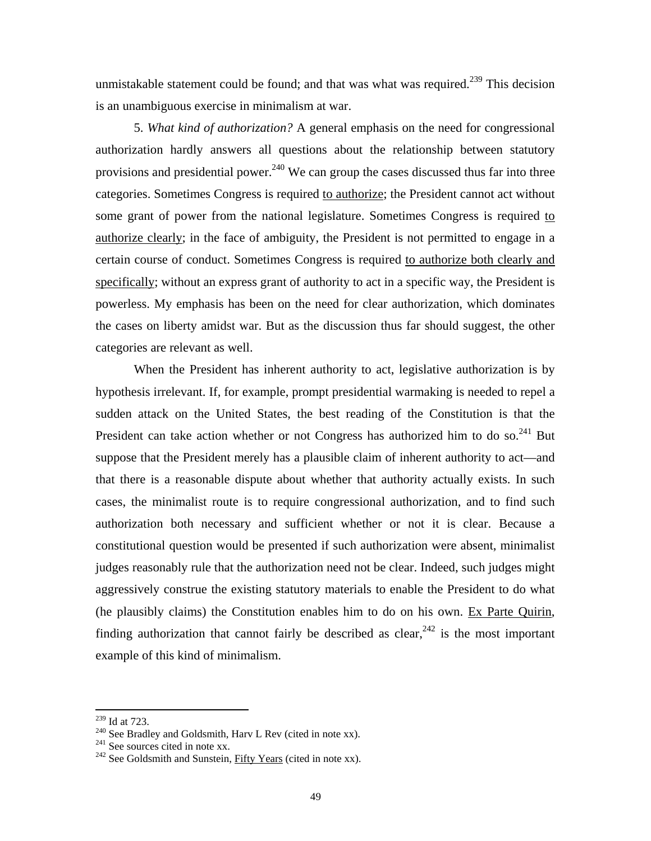unmistakable statement could be found; and that was what was required.<sup>239</sup> This decision is an unambiguous exercise in minimalism at war.

5. *What kind of authorization?* A general emphasis on the need for congressional authorization hardly answers all questions about the relationship between statutory provisions and presidential power.<sup>240</sup> We can group the cases discussed thus far into three categories. Sometimes Congress is required to authorize; the President cannot act without some grant of power from the national legislature. Sometimes Congress is required to authorize clearly; in the face of ambiguity, the President is not permitted to engage in a certain course of conduct. Sometimes Congress is required to authorize both clearly and specifically; without an express grant of authority to act in a specific way, the President is powerless. My emphasis has been on the need for clear authorization, which dominates the cases on liberty amidst war. But as the discussion thus far should suggest, the other categories are relevant as well.

When the President has inherent authority to act, legislative authorization is by hypothesis irrelevant. If, for example, prompt presidential warmaking is needed to repel a sudden attack on the United States, the best reading of the Constitution is that the President can take action whether or not Congress has authorized him to do so.<sup>241</sup> But suppose that the President merely has a plausible claim of inherent authority to act—and that there is a reasonable dispute about whether that authority actually exists. In such cases, the minimalist route is to require congressional authorization, and to find such authorization both necessary and sufficient whether or not it is clear. Because a constitutional question would be presented if such authorization were absent, minimalist judges reasonably rule that the authorization need not be clear. Indeed, such judges might aggressively construe the existing statutory materials to enable the President to do what (he plausibly claims) the Constitution enables him to do on his own. Ex Parte Quirin, finding authorization that cannot fairly be described as clear,  $242$  is the most important example of this kind of minimalism.

<span id="page-50-0"></span><sup>&</sup>lt;sup>239</sup> Id at 723.

<span id="page-50-1"></span><sup>240</sup> See Bradley and Goldsmith, Harv L Rev (cited in note xx).<br>
<sup>241</sup> See sources cited in note xx.<br>
<sup>242</sup> See Goldsmith and Sunstein, Fifty Years (cited in note xx).

<span id="page-50-2"></span>

<span id="page-50-3"></span>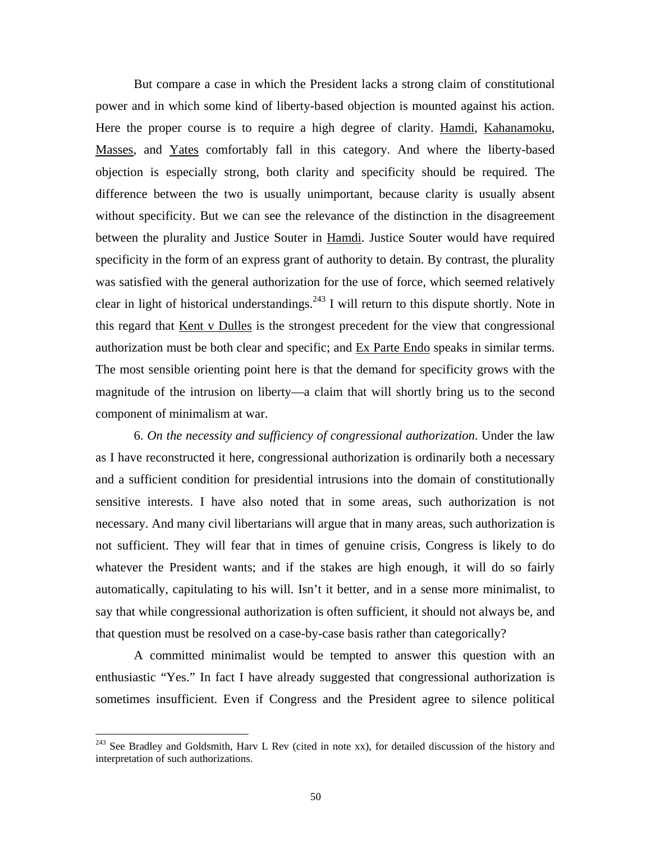But compare a case in which the President lacks a strong claim of constitutional power and in which some kind of liberty-based objection is mounted against his action. Here the proper course is to require a high degree of clarity. Hamdi, Kahanamoku, Masses, and Yates comfortably fall in this category. And where the liberty-based objection is especially strong, both clarity and specificity should be required. The difference between the two is usually unimportant, because clarity is usually absent without specificity. But we can see the relevance of the distinction in the disagreement between the plurality and Justice Souter in Hamdi. Justice Souter would have required specificity in the form of an express grant of authority to detain. By contrast, the plurality was satisfied with the general authorization for the use of force, which seemed relatively clear in light of historical understandings.<sup>243</sup> I will return to this dispute shortly. Note in this regard that Kent v Dulles is the strongest precedent for the view that congressional authorization must be both clear and specific; and Ex Parte Endo speaks in similar terms. The most sensible orienting point here is that the demand for specificity grows with the magnitude of the intrusion on liberty—a claim that will shortly bring us to the second component of minimalism at war.

 6. *On the necessity and sufficiency of congressional authorization*. Under the law as I have reconstructed it here, congressional authorization is ordinarily both a necessary and a sufficient condition for presidential intrusions into the domain of constitutionally sensitive interests. I have also noted that in some areas, such authorization is not necessary. And many civil libertarians will argue that in many areas, such authorization is not sufficient. They will fear that in times of genuine crisis, Congress is likely to do whatever the President wants; and if the stakes are high enough, it will do so fairly automatically, capitulating to his will. Isn't it better, and in a sense more minimalist, to say that while congressional authorization is often sufficient, it should not always be, and that question must be resolved on a case-by-case basis rather than categorically?

A committed minimalist would be tempted to answer this question with an enthusiastic "Yes." In fact I have already suggested that congressional authorization is sometimes insufficient. Even if Congress and the President agree to silence political

<span id="page-51-0"></span> $243$  See Bradley and Goldsmith, Harv L Rev (cited in note xx), for detailed discussion of the history and interpretation of such authorizations.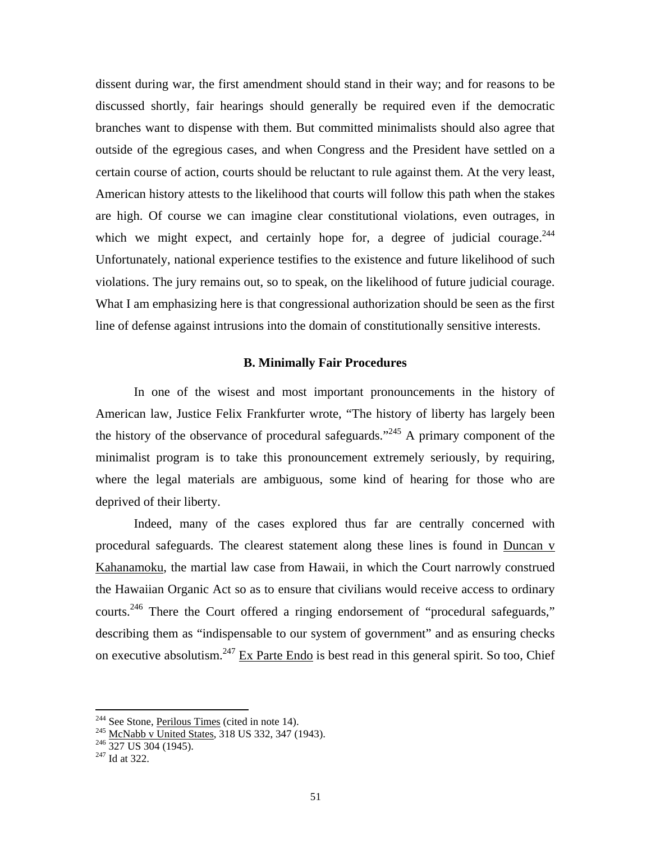dissent during war, the first amendment should stand in their way; and for reasons to be discussed shortly, fair hearings should generally be required even if the democratic branches want to dispense with them. But committed minimalists should also agree that outside of the egregious cases, and when Congress and the President have settled on a certain course of action, courts should be reluctant to rule against them. At the very least, American history attests to the likelihood that courts will follow this path when the stakes are high. Of course we can imagine clear constitutional violations, even outrages, in which we might expect, and certainly hope for, a degree of judicial courage.  $244$ Unfortunately, national experience testifies to the existence and future likelihood of such violations. The jury remains out, so to speak, on the likelihood of future judicial courage. What I am emphasizing here is that congressional authorization should be seen as the first line of defense against intrusions into the domain of constitutionally sensitive interests.

#### **B. Minimally Fair Procedures**

In one of the wisest and most important pronouncements in the history of American law, Justice Felix Frankfurter wrote, "The history of liberty has largely been the history of the observance of procedural safeguards."<sup>245</sup> A primary component of the minimalist program is to take this pronouncement extremely seriously, by requiring, where the legal materials are ambiguous, some kind of hearing for those who are deprived of their liberty.

Indeed, many of the cases explored thus far are centrally concerned with procedural safeguards. The clearest statement along these lines is found in Duncan v Kahanamoku, the martial law case from Hawaii, in which the Court narrowly construed the Hawaiian Organic Act so as to ensure that civilians would receive access to ordinary courts.<sup>246</sup> There the Court offered a ringing endorsement of "procedural safeguards," describing them as "indispensable to our system of government" and as ensuring checks on executive absolutism.<sup>247</sup> Ex Parte Endo is best read in this general spirit. So too, Chief

<span id="page-52-0"></span><sup>&</sup>lt;sup>244</sup> See Stone, *Perilous Times* (cited in note 14).

<span id="page-52-1"></span><sup>245</sup> See Stone, <u>Perilous Times (cited in note</u> 14). 245 McNabb v United States, 318 US 332, 347 (1943). 247 Id at 322.

<span id="page-52-2"></span>

<span id="page-52-3"></span>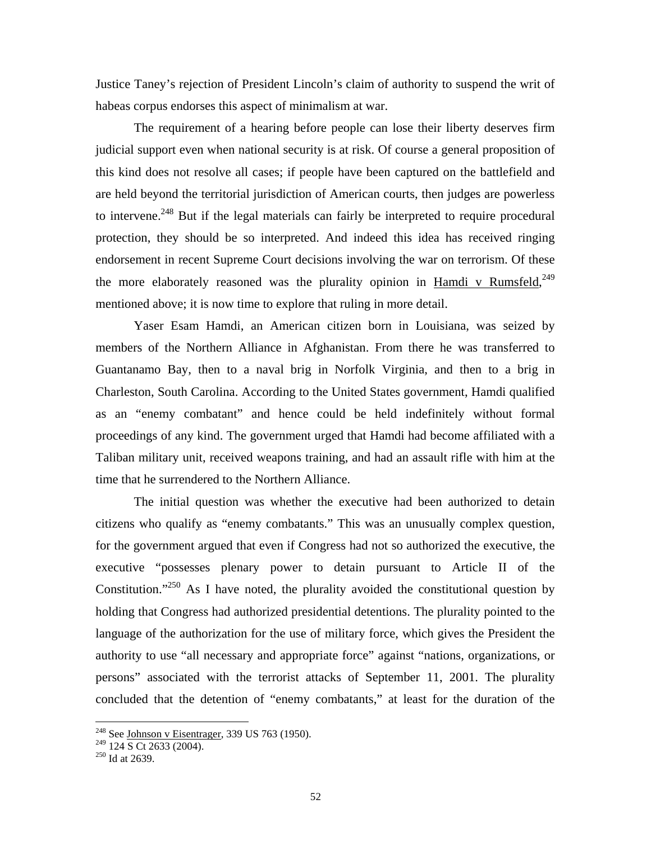Justice Taney's rejection of President Lincoln's claim of authority to suspend the writ of habeas corpus endorses this aspect of minimalism at war.

The requirement of a hearing before people can lose their liberty deserves firm judicial support even when national security is at risk. Of course a general proposition of this kind does not resolve all cases; if people have been captured on the battlefield and are held beyond the territorial jurisdiction of American courts, then judges are powerless to intervene.<sup>248</sup> But if the legal materials can fairly be interpreted to require procedural protection, they should be so interpreted. And indeed this idea has received ringing endorsement in recent Supreme Court decisions involving the war on terrorism. Of these the more elaborately reasoned was the plurality opinion in Hamdi v Rumsfeld,<sup>[249](#page-53-1)</sup> mentioned above; it is now time to explore that ruling in more detail.

Yaser Esam Hamdi, an American citizen born in Louisiana, was seized by members of the Northern Alliance in Afghanistan. From there he was transferred to Guantanamo Bay, then to a naval brig in Norfolk Virginia, and then to a brig in Charleston, South Carolina. According to the United States government, Hamdi qualified as an "enemy combatant" and hence could be held indefinitely without formal proceedings of any kind. The government urged that Hamdi had become affiliated with a Taliban military unit, received weapons training, and had an assault rifle with him at the time that he surrendered to the Northern Alliance.

The initial question was whether the executive had been authorized to detain citizens who qualify as "enemy combatants." This was an unusually complex question, for the government argued that even if Congress had not so authorized the executive, the executive "possesses plenary power to detain pursuant to Article II of the Constitution."<sup>250</sup> As I have noted, the plurality avoided the constitutional question by holding that Congress had authorized presidential detentions. The plurality pointed to the language of the authorization for the use of military force, which gives the President the authority to use "all necessary and appropriate force" against "nations, organizations, or persons" associated with the terrorist attacks of September 11, 2001. The plurality concluded that the detention of "enemy combatants," at least for the duration of the

<span id="page-53-0"></span> $248$  See Johnson v Eisentrager, 339 US 763 (1950).

<span id="page-53-1"></span> $^{249}$  124 S Ct 2633 (2004).<br><sup>250</sup> Id at 2639.

<span id="page-53-2"></span>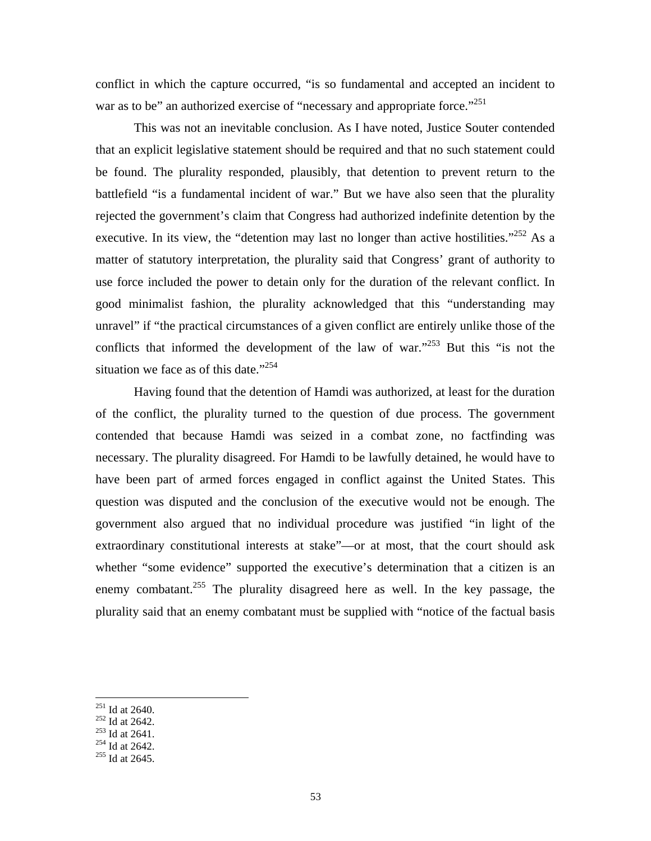conflict in which the capture occurred, "is so fundamental and accepted an incident to war as to be" an authorized exercise of "necessary and appropriate force."<sup>[251](#page-54-0)</sup>

This was not an inevitable conclusion. As I have noted, Justice Souter contended that an explicit legislative statement should be required and that no such statement could be found. The plurality responded, plausibly, that detention to prevent return to the battlefield "is a fundamental incident of war." But we have also seen that the plurality rejected the government's claim that Congress had authorized indefinite detention by the executive. In its view, the "detention may last no longer than active hostilities."<sup>252</sup> As a matter of statutory interpretation, the plurality said that Congress' grant of authority to use force included the power to detain only for the duration of the relevant conflict. In good minimalist fashion, the plurality acknowledged that this "understanding may unravel" if "the practical circumstances of a given conflict are entirely unlike those of the conflicts that informed the development of the law of war."<sup>253</sup> But this "is not the situation we face as of this date." $254$ 

Having found that the detention of Hamdi was authorized, at least for the duration of the conflict, the plurality turned to the question of due process. The government contended that because Hamdi was seized in a combat zone, no factfinding was necessary. The plurality disagreed. For Hamdi to be lawfully detained, he would have to have been part of armed forces engaged in conflict against the United States. This question was disputed and the conclusion of the executive would not be enough. The government also argued that no individual procedure was justified "in light of the extraordinary constitutional interests at stake"—or at most, that the court should ask whether "some evidence" supported the executive's determination that a citizen is an enemy combatant.<sup>255</sup> The plurality disagreed here as well. In the key passage, the plurality said that an enemy combatant must be supplied with "notice of the factual basis

<span id="page-54-3"></span>

<span id="page-54-0"></span> $251$  Id at 2640.

<span id="page-54-1"></span><sup>&</sup>lt;sup>252</sup> Id at 2642.<br><sup>253</sup> Id at 2641.<br><sup>254</sup> Id at 2642.<br><sup>255</sup> Id at 2645.

<span id="page-54-2"></span>

<span id="page-54-4"></span>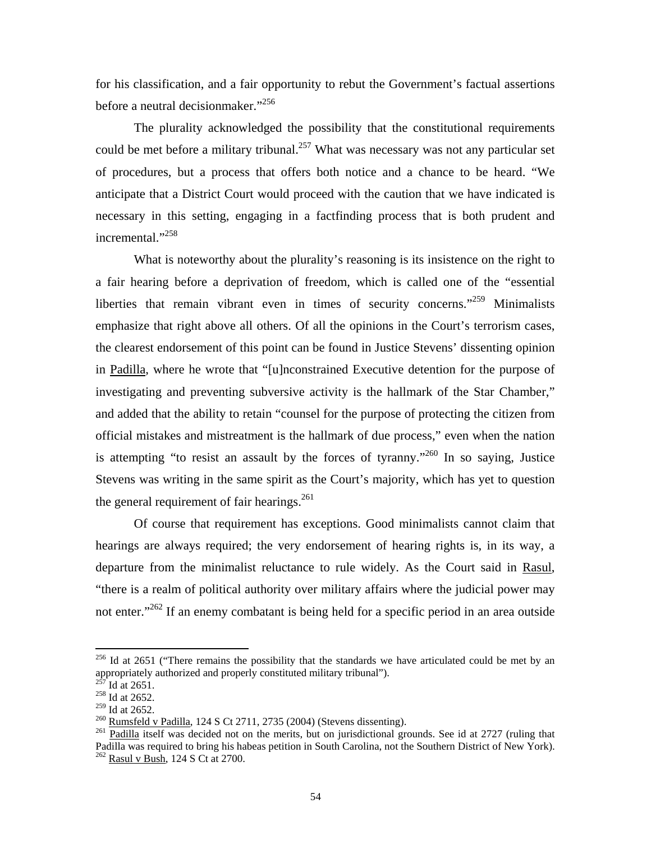for his classification, and a fair opportunity to rebut the Government's factual assertions before a neutral decisionmaker."<sup>256</sup>

The plurality acknowledged the possibility that the constitutional requirements could be met before a military tribunal.<sup>257</sup> What was necessary was not any particular set of procedures, but a process that offers both notice and a chance to be heard. "We anticipate that a District Court would proceed with the caution that we have indicated is necessary in this setting, engaging in a factfinding process that is both prudent and incremental." $^{258}$ 

What is noteworthy about the plurality's reasoning is its insistence on the right to a fair hearing before a deprivation of freedom, which is called one of the "essential liberties that remain vibrant even in times of security concerns."[259](#page-55-3) Minimalists emphasize that right above all others. Of all the opinions in the Court's terrorism cases, the clearest endorsement of this point can be found in Justice Stevens' dissenting opinion in Padilla, where he wrote that "[u]nconstrained Executive detention for the purpose of investigating and preventing subversive activity is the hallmark of the Star Chamber," and added that the ability to retain "counsel for the purpose of protecting the citizen from official mistakes and mistreatment is the hallmark of due process," even when the nation is attempting "to resist an assault by the forces of tyranny."  $^{260}$  In so saying, Justice Stevens was writing in the same spirit as the Court's majority, which has yet to question the general requirement of fair hearings.<sup>[261](#page-55-5)</sup>

Of course that requirement has exceptions. Good minimalists cannot claim that hearings are always required; the very endorsement of hearing rights is, in its way, a departure from the minimalist reluctance to rule widely. As the Court said in Rasul, "there is a realm of political authority over military affairs where the judicial power may not enter."<sup>262</sup> If an enemy combatant is being held for a specific period in an area outside

<span id="page-55-0"></span><sup>&</sup>lt;sup>256</sup> Id at 2651 ("There remains the possibility that the standards we have articulated could be met by an appropriately authorized and properly constituted military tribunal").<br>
<sup>257</sup> Id at 2651.<br>
<sup>258</sup> Id at 2652.<br>
<sup>259</sup> Id at 2652.

<span id="page-55-1"></span>

<span id="page-55-3"></span><span id="page-55-2"></span>

<span id="page-55-6"></span><span id="page-55-5"></span><span id="page-55-4"></span>

<sup>&</sup>lt;sup>260</sup> Rumsfeld v Padilla, 124 S Ct 2711, 2735 (2004) (Stevens dissenting).<br><sup>261</sup> Padilla itself was decided not on the merits, but on jurisdictional grounds. See id at 2727 (ruling that Padilla was required to bring his habeas petition in South Carolina, not the Southern District of New York). 262 Rasul v Bush, 124 S Ct at 2700.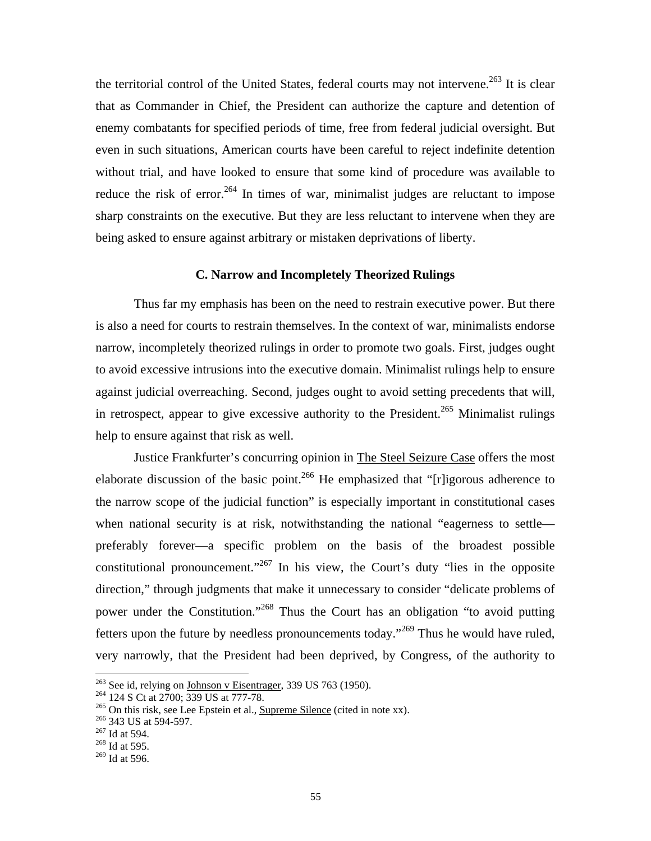the territorial control of the United States, federal courts may not intervene.<sup>263</sup> It is clear that as Commander in Chief, the President can authorize the capture and detention of enemy combatants for specified periods of time, free from federal judicial oversight. But even in such situations, American courts have been careful to reject indefinite detention without trial, and have looked to ensure that some kind of procedure was available to reduce the risk of error.<sup>264</sup> In times of war, minimalist judges are reluctant to impose sharp constraints on the executive. But they are less reluctant to intervene when they are being asked to ensure against arbitrary or mistaken deprivations of liberty.

#### **C. Narrow and Incompletely Theorized Rulings**

Thus far my emphasis has been on the need to restrain executive power. But there is also a need for courts to restrain themselves. In the context of war, minimalists endorse narrow, incompletely theorized rulings in order to promote two goals. First, judges ought to avoid excessive intrusions into the executive domain. Minimalist rulings help to ensure against judicial overreaching. Second, judges ought to avoid setting precedents that will, in retrospect, appear to give excessive authority to the President.<sup>265</sup> Minimalist rulings help to ensure against that risk as well.

Justice Frankfurter's concurring opinion in The Steel Seizure Case offers the most elaborate discussion of the basic point.<sup>266</sup> He emphasized that "[r]igorous adherence to the narrow scope of the judicial function" is especially important in constitutional cases when national security is at risk, notwithstanding the national "eagerness to settle preferably forever—a specific problem on the basis of the broadest possible constitutional pronouncement."<sup>267</sup> In his view, the Court's duty "lies in the opposite direction," through judgments that make it unnecessary to consider "delicate problems of power under the Constitution.["268](#page-56-5) Thus the Court has an obligation "to avoid putting fetters upon the future by needless pronouncements today."[269 T](#page-56-6)hus he would have ruled, very narrowly, that the President had been deprived, by Congress, of the authority to

<span id="page-56-0"></span><sup>&</sup>lt;sup>263</sup> See id, relying on *Johnson v Eisentrager*, 339 US 763 (1950).

<span id="page-56-2"></span><span id="page-56-1"></span>

<sup>&</sup>lt;sup>264</sup> 124 S Ct at 2700;  $\overline{339}$  US at 777-78.<br><sup>265</sup> On this risk, see Lee Epstein et al., <u>Supreme Silence</u> (cited in note xx).<br><sup>266</sup> 343 US at 594-597.<br><sup>267</sup> Id at 594.<br><sup>268</sup> Id at 595.

<span id="page-56-3"></span>

<span id="page-56-4"></span>

<span id="page-56-5"></span>

<span id="page-56-6"></span> $^{269}$  Id at 596.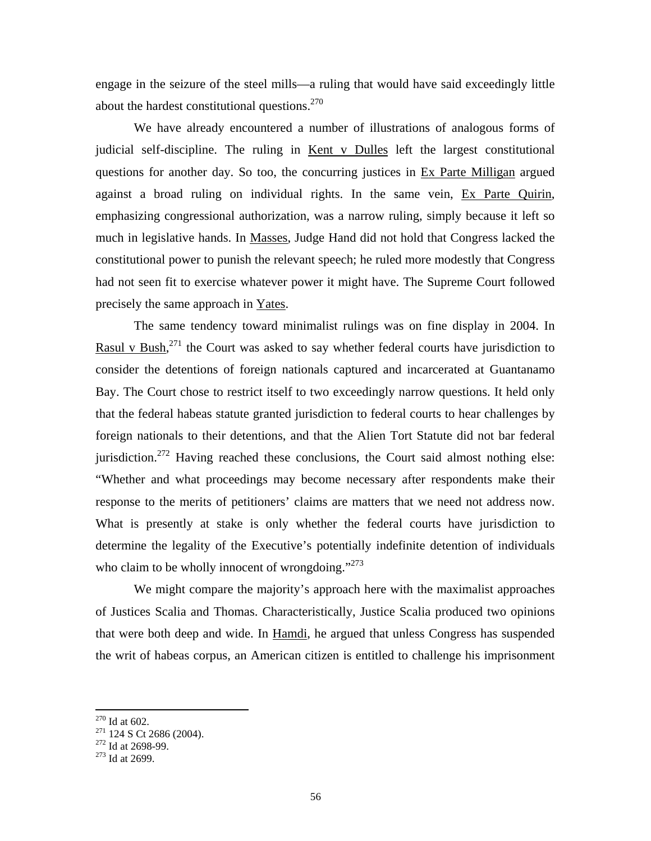engage in the seizure of the steel mills—a ruling that would have said exceedingly little about the hardest constitutional questions. $270$ 

We have already encountered a number of illustrations of analogous forms of judicial self-discipline. The ruling in Kent v Dulles left the largest constitutional questions for another day. So too, the concurring justices in Ex Parte Milligan argued against a broad ruling on individual rights. In the same vein, Ex Parte Quirin, emphasizing congressional authorization, was a narrow ruling, simply because it left so much in legislative hands. In Masses, Judge Hand did not hold that Congress lacked the constitutional power to punish the relevant speech; he ruled more modestly that Congress had not seen fit to exercise whatever power it might have. The Supreme Court followed precisely the same approach in Yates.

The same tendency toward minimalist rulings was on fine display in 2004. In Rasul v Bush,<sup>271</sup> the Court was asked to say whether federal courts have jurisdiction to consider the detentions of foreign nationals captured and incarcerated at Guantanamo Bay. The Court chose to restrict itself to two exceedingly narrow questions. It held only that the federal habeas statute granted jurisdiction to federal courts to hear challenges by foreign nationals to their detentions, and that the Alien Tort Statute did not bar federal jurisdiction.<sup>272</sup> Having reached these conclusions, the Court said almost nothing else: "Whether and what proceedings may become necessary after respondents make their response to the merits of petitioners' claims are matters that we need not address now. What is presently at stake is only whether the federal courts have jurisdiction to determine the legality of the Executive's potentially indefinite detention of individuals who claim to be wholly innocent of wrongdoing." $273$ 

We might compare the majority's approach here with the maximalist approaches of Justices Scalia and Thomas. Characteristically, Justice Scalia produced two opinions that were both deep and wide. In Hamdi, he argued that unless Congress has suspended the writ of habeas corpus, an American citizen is entitled to challenge his imprisonment

<span id="page-57-0"></span> $270$  Id at 602.

<span id="page-57-1"></span> $^{271}$  124 S Ct 2686 (2004).<br>
<sup>272</sup> Id at 2698-99.<br>
<sup>273</sup> Id at 2699.

<span id="page-57-2"></span>

<span id="page-57-3"></span>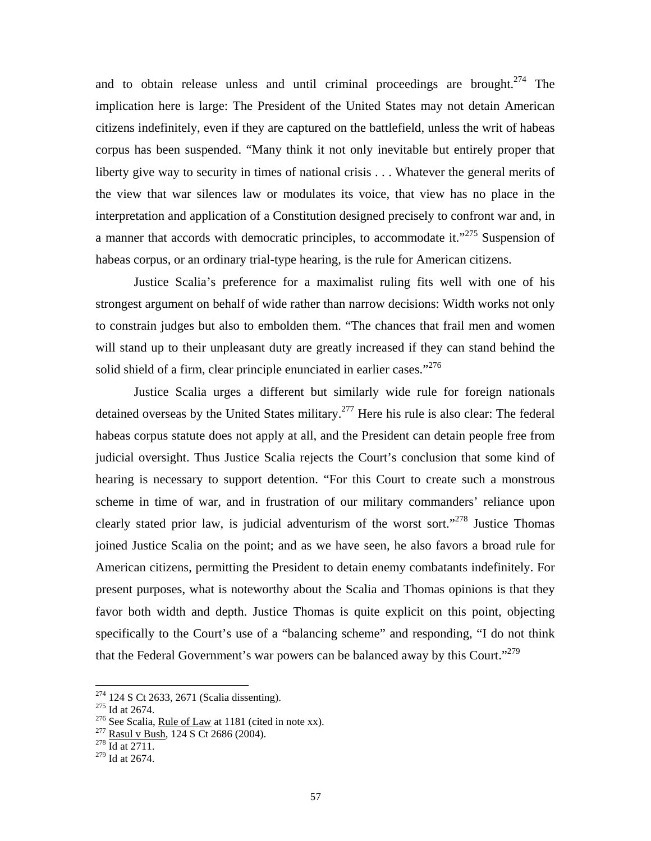and to obtain release unless and until criminal proceedings are brought.<sup>274</sup> The implication here is large: The President of the United States may not detain American citizens indefinitely, even if they are captured on the battlefield, unless the writ of habeas corpus has been suspended. "Many think it not only inevitable but entirely proper that liberty give way to security in times of national crisis . . . Whatever the general merits of the view that war silences law or modulates its voice, that view has no place in the interpretation and application of a Constitution designed precisely to confront war and, in a manner that accords with democratic principles, to accommodate it."<sup>275</sup> Suspension of habeas corpus, or an ordinary trial-type hearing, is the rule for American citizens.

Justice Scalia's preference for a maximalist ruling fits well with one of his strongest argument on behalf of wide rather than narrow decisions: Width works not only to constrain judges but also to embolden them. "The chances that frail men and women will stand up to their unpleasant duty are greatly increased if they can stand behind the solid shield of a firm, clear principle enunciated in earlier cases."<sup>276</sup>

Justice Scalia urges a different but similarly wide rule for foreign nationals detained overseas by the United States military.<sup>277</sup> Here his rule is also clear: The federal habeas corpus statute does not apply at all, and the President can detain people free from judicial oversight. Thus Justice Scalia rejects the Court's conclusion that some kind of hearing is necessary to support detention. "For this Court to create such a monstrous scheme in time of war, and in frustration of our military commanders' reliance upon clearly stated prior law, is judicial adventurism of the worst sort."<sup>278</sup> Justice Thomas joined Justice Scalia on the point; and as we have seen, he also favors a broad rule for American citizens, permitting the President to detain enemy combatants indefinitely. For present purposes, what is noteworthy about the Scalia and Thomas opinions is that they favor both width and depth. Justice Thomas is quite explicit on this point, objecting specifically to the Court's use of a "balancing scheme" and responding, "I do not think that the Federal Government's war powers can be balanced away by this Court."<sup>279</sup>

<span id="page-58-0"></span><sup>&</sup>lt;sup>274</sup> 124 S Ct 2633, 2671 (Scalia dissenting).

<span id="page-58-2"></span><span id="page-58-1"></span>

<sup>&</sup>lt;sup>275</sup> Id at 2674.<br><sup>276</sup> See Scalia, <u>Rule of Law</u> at 1181 (cited in note xx).<br><sup>277</sup> Rasul v Bush, 124 S Ct 2686 (2004).<br><sup>278</sup> Id at 2711.

<span id="page-58-3"></span>

<span id="page-58-4"></span>

<span id="page-58-5"></span><sup>279</sup> Id at 2674.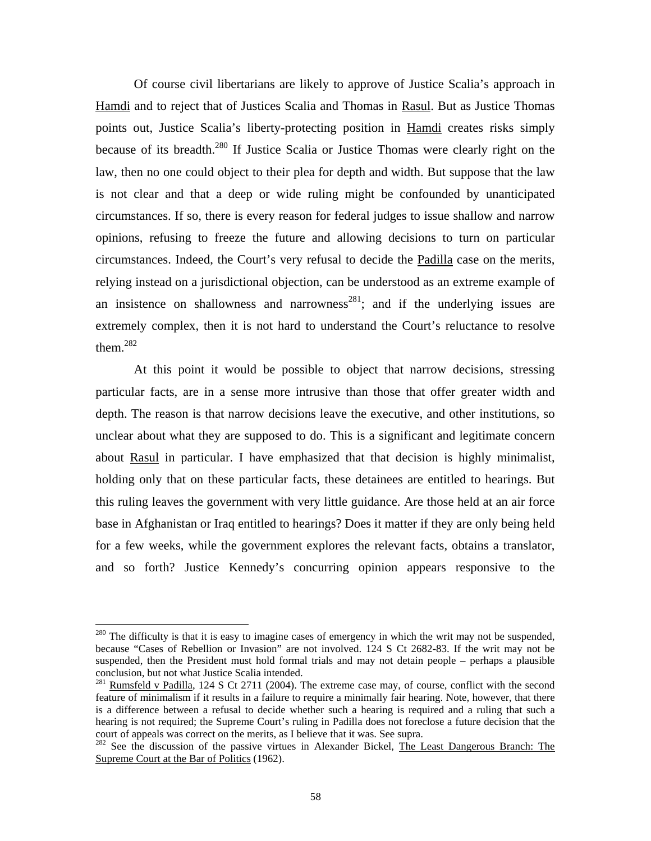Of course civil libertarians are likely to approve of Justice Scalia's approach in Hamdi and to reject that of Justices Scalia and Thomas in Rasul. But as Justice Thomas points out, Justice Scalia's liberty-protecting position in Hamdi creates risks simply because of its breadth.<sup>280</sup> If Justice Scalia or Justice Thomas were clearly right on the law, then no one could object to their plea for depth and width. But suppose that the law is not clear and that a deep or wide ruling might be confounded by unanticipated circumstances. If so, there is every reason for federal judges to issue shallow and narrow opinions, refusing to freeze the future and allowing decisions to turn on particular circumstances. Indeed, the Court's very refusal to decide the Padilla case on the merits, relying instead on a jurisdictional objection, can be understood as an extreme example of an insistence on shallowness and narrowness<sup>281</sup>; and if the underlying issues are extremely complex, then it is not hard to understand the Court's reluctance to resolve them. [282](#page-59-2) 

At this point it would be possible to object that narrow decisions, stressing particular facts, are in a sense more intrusive than those that offer greater width and depth. The reason is that narrow decisions leave the executive, and other institutions, so unclear about what they are supposed to do. This is a significant and legitimate concern about Rasul in particular. I have emphasized that that decision is highly minimalist, holding only that on these particular facts, these detainees are entitled to hearings. But this ruling leaves the government with very little guidance. Are those held at an air force base in Afghanistan or Iraq entitled to hearings? Does it matter if they are only being held for a few weeks, while the government explores the relevant facts, obtains a translator, and so forth? Justice Kennedy's concurring opinion appears responsive to the

<span id="page-59-0"></span> $^{280}$  The difficulty is that it is easy to imagine cases of emergency in which the writ may not be suspended, because "Cases of Rebellion or Invasion" are not involved. 124 S Ct 2682-83. If the writ may not be suspended, then the President must hold formal trials and may not detain people – perhaps a plausible conclusion, but not what Justice Scalia intended.<br><sup>281</sup> Rumsfeld v Padilla, 124 S Ct 2711 (2004). The extreme case may, of course, conflict with the second

<span id="page-59-1"></span>feature of minimalism if it results in a failure to require a minimally fair hearing. Note, however, that there is a difference between a refusal to decide whether such a hearing is required and a ruling that such a hearing is not required; the Supreme Court's ruling in Padilla does not foreclose a future decision that the court of appeals was correct on the merits, as I believe that it was. See supra.<br><sup>282</sup> See the discussion of the passive virtues in Alexander Bickel, <u>The Least Dangerous Branch: The</u>

<span id="page-59-2"></span>Supreme Court at the Bar of Politics (1962).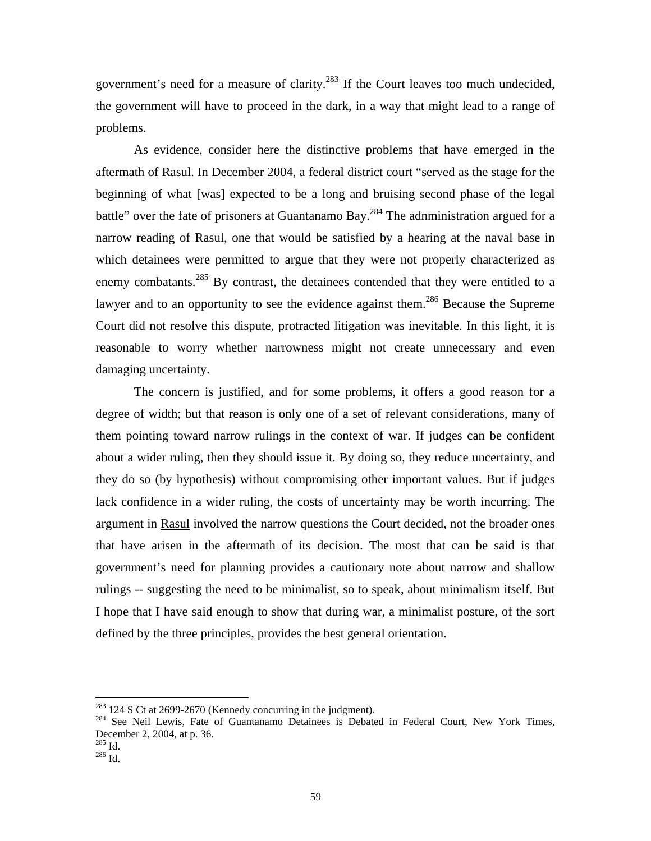government's need for a measure of clarity.[283](#page-60-0) If the Court leaves too much undecided, the government will have to proceed in the dark, in a way that might lead to a range of problems.

As evidence, consider here the distinctive problems that have emerged in the aftermath of Rasul. In December 2004, a federal district court "served as the stage for the beginning of what [was] expected to be a long and bruising second phase of the legal battle" over the fate of prisoners at Guantanamo Bay.<sup>284</sup> The adnministration argued for a narrow reading of Rasul, one that would be satisfied by a hearing at the naval base in which detainees were permitted to argue that they were not properly characterized as enemy combatants.<sup>285</sup> By contrast, the detainees contended that they were entitled to a lawyer and to an opportunity to see the evidence against them.<sup>286</sup> Because the Supreme Court did not resolve this dispute, protracted litigation was inevitable. In this light, it is reasonable to worry whether narrowness might not create unnecessary and even damaging uncertainty.

The concern is justified, and for some problems, it offers a good reason for a degree of width; but that reason is only one of a set of relevant considerations, many of them pointing toward narrow rulings in the context of war. If judges can be confident about a wider ruling, then they should issue it. By doing so, they reduce uncertainty, and they do so (by hypothesis) without compromising other important values. But if judges lack confidence in a wider ruling, the costs of uncertainty may be worth incurring. The argument in Rasul involved the narrow questions the Court decided, not the broader ones that have arisen in the aftermath of its decision. The most that can be said is that government's need for planning provides a cautionary note about narrow and shallow rulings -- suggesting the need to be minimalist, so to speak, about minimalism itself. But I hope that I have said enough to show that during war, a minimalist posture, of the sort defined by the three principles, provides the best general orientation.

<span id="page-60-1"></span><span id="page-60-0"></span>

 $^{283}$  124 S Ct at 2699-2670 (Kennedy concurring in the judgment).<br><sup>284</sup> See Neil Lewis, Fate of Guantanamo Detainees is Debated in Federal Court, New York Times, December 2, 2004, at p. 36.<br><sup>285</sup> Id.<br><sup>286</sup> Id.

<span id="page-60-2"></span>

<span id="page-60-3"></span>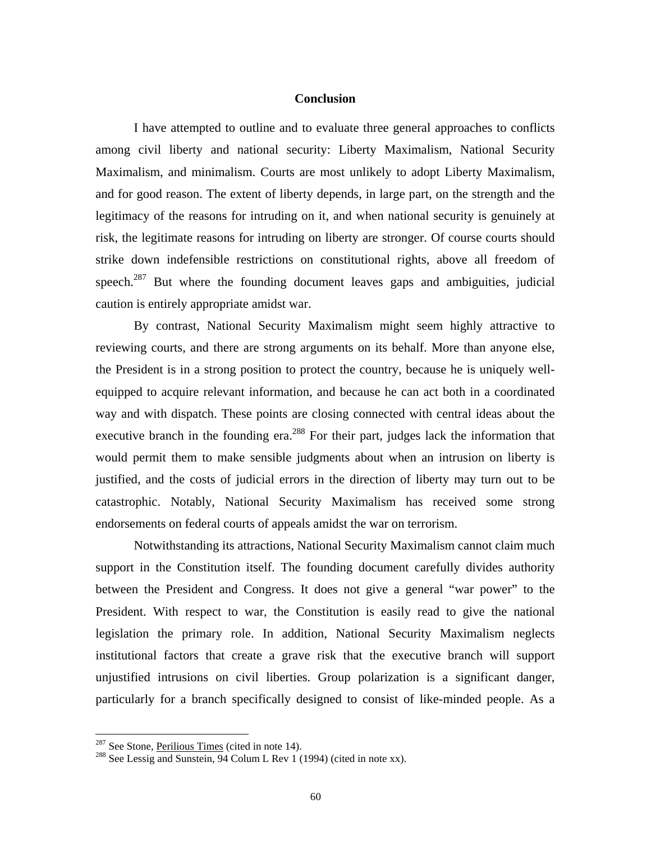#### **Conclusion**

I have attempted to outline and to evaluate three general approaches to conflicts among civil liberty and national security: Liberty Maximalism, National Security Maximalism, and minimalism. Courts are most unlikely to adopt Liberty Maximalism, and for good reason. The extent of liberty depends, in large part, on the strength and the legitimacy of the reasons for intruding on it, and when national security is genuinely at risk, the legitimate reasons for intruding on liberty are stronger. Of course courts should strike down indefensible restrictions on constitutional rights, above all freedom of speech.<sup>287</sup> But where the founding document leaves gaps and ambiguities, judicial caution is entirely appropriate amidst war.

By contrast, National Security Maximalism might seem highly attractive to reviewing courts, and there are strong arguments on its behalf. More than anyone else, the President is in a strong position to protect the country, because he is uniquely wellequipped to acquire relevant information, and because he can act both in a coordinated way and with dispatch. These points are closing connected with central ideas about the executive branch in the founding era.<sup>288</sup> For their part, judges lack the information that would permit them to make sensible judgments about when an intrusion on liberty is justified, and the costs of judicial errors in the direction of liberty may turn out to be catastrophic. Notably, National Security Maximalism has received some strong endorsements on federal courts of appeals amidst the war on terrorism.

Notwithstanding its attractions, National Security Maximalism cannot claim much support in the Constitution itself. The founding document carefully divides authority between the President and Congress. It does not give a general "war power" to the President. With respect to war, the Constitution is easily read to give the national legislation the primary role. In addition, National Security Maximalism neglects institutional factors that create a grave risk that the executive branch will support unjustified intrusions on civil liberties. Group polarization is a significant danger, particularly for a branch specifically designed to consist of like-minded people. As a

<span id="page-61-0"></span><sup>&</sup>lt;sup>287</sup> See Stone, *Perilious Times* (cited in note 14).

<span id="page-61-1"></span><sup>&</sup>lt;sup>288</sup> See Lessig and Sunstein, 94 Colum L Rev 1 (1994) (cited in note xx).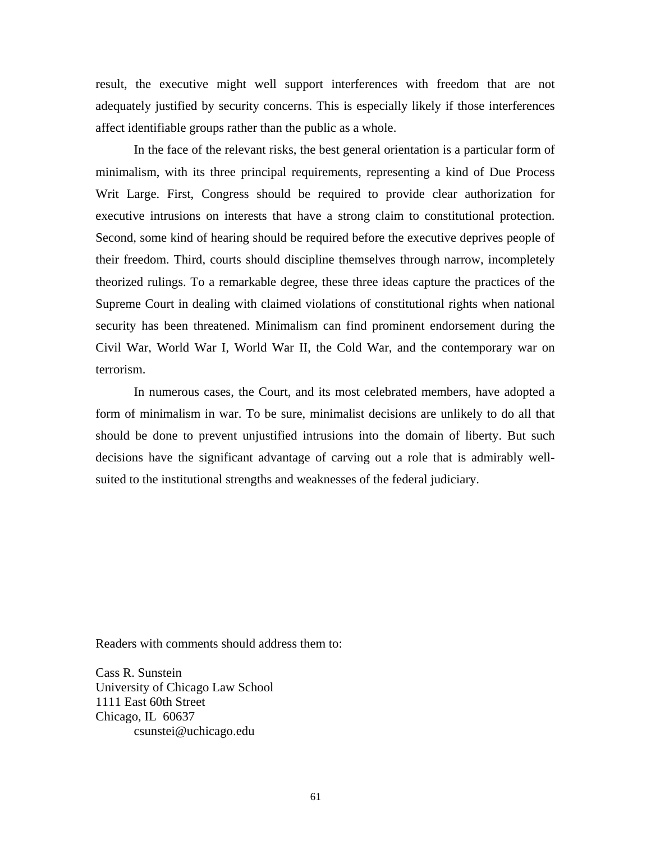result, the executive might well support interferences with freedom that are not adequately justified by security concerns. This is especially likely if those interferences affect identifiable groups rather than the public as a whole.

In the face of the relevant risks, the best general orientation is a particular form of minimalism, with its three principal requirements, representing a kind of Due Process Writ Large. First, Congress should be required to provide clear authorization for executive intrusions on interests that have a strong claim to constitutional protection. Second, some kind of hearing should be required before the executive deprives people of their freedom. Third, courts should discipline themselves through narrow, incompletely theorized rulings. To a remarkable degree, these three ideas capture the practices of the Supreme Court in dealing with claimed violations of constitutional rights when national security has been threatened. Minimalism can find prominent endorsement during the Civil War, World War I, World War II, the Cold War, and the contemporary war on terrorism.

In numerous cases, the Court, and its most celebrated members, have adopted a form of minimalism in war. To be sure, minimalist decisions are unlikely to do all that should be done to prevent unjustified intrusions into the domain of liberty. But such decisions have the significant advantage of carving out a role that is admirably wellsuited to the institutional strengths and weaknesses of the federal judiciary.

Readers with comments should address them to:

Cass R. Sunstein University of Chicago Law School 1111 East 60th Street Chicago, IL 60637 csunstei@uchicago.edu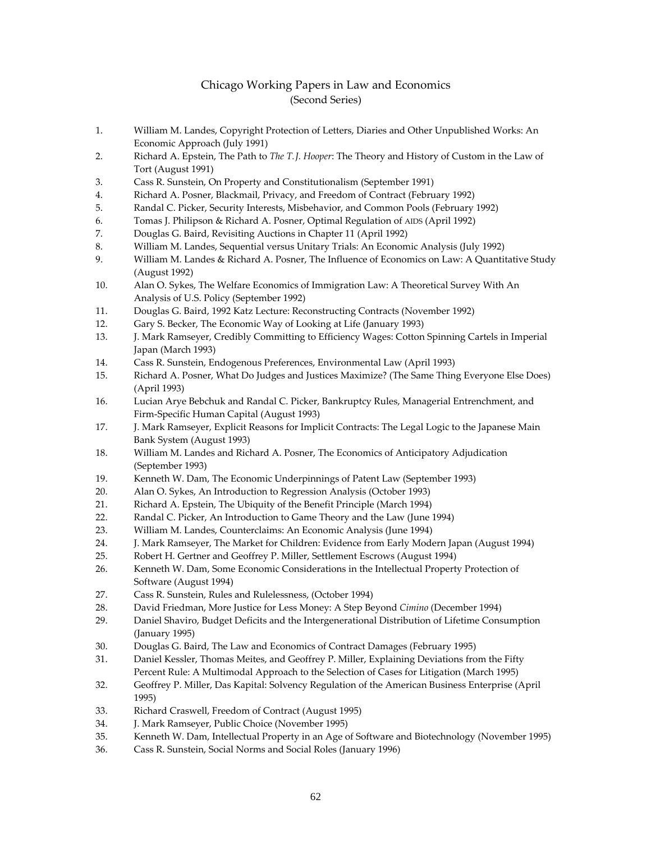#### Chicago Working Papers in Law and Economics (Second Series)

- 1. William M. Landes, Copyright Protection of Letters, Diaries and Other Unpublished Works: An Economic Approach (July 1991)
- 2. Richard A. Epstein, The Path to *The T. J. Hooper*: The Theory and History of Custom in the Law of Tort (August 1991)
- 3. Cass R. Sunstein, On Property and Constitutionalism (September 1991)
- 4. Richard A. Posner, Blackmail, Privacy, and Freedom of Contract (February 1992)
- 5. Randal C. Picker, Security Interests, Misbehavior, and Common Pools (February 1992)
- 6. Tomas J. Philipson & Richard A. Posner, Optimal Regulation of AIDS (April 1992)
- 7. Douglas G. Baird, Revisiting Auctions in Chapter 11 (April 1992)
- 8. William M. Landes, Sequential versus Unitary Trials: An Economic Analysis (July 1992)
- 9. William M. Landes & Richard A. Posner, The Influence of Economics on Law: A Quantitative Study (August 1992)
- 10. Alan O. Sykes, The Welfare Economics of Immigration Law: A Theoretical Survey With An Analysis of U.S. Policy (September 1992)
- 11. Douglas G. Baird, 1992 Katz Lecture: Reconstructing Contracts (November 1992)
- 12. Gary S. Becker, The Economic Way of Looking at Life (January 1993)
- 13. J. Mark Ramseyer, Credibly Committing to Efficiency Wages: Cotton Spinning Cartels in Imperial Japan (March 1993)
- 14. Cass R. Sunstein, Endogenous Preferences, Environmental Law (April 1993)
- 15. Richard A. Posner, What Do Judges and Justices Maximize? (The Same Thing Everyone Else Does) (April 1993)
- 16. Lucian Arye Bebchuk and Randal C. Picker, Bankruptcy Rules, Managerial Entrenchment, and Firm-Specific Human Capital (August 1993)
- 17. J. Mark Ramseyer, Explicit Reasons for Implicit Contracts: The Legal Logic to the Japanese Main Bank System (August 1993)
- 18. William M. Landes and Richard A. Posner, The Economics of Anticipatory Adjudication (September 1993)
- 19. Kenneth W. Dam, The Economic Underpinnings of Patent Law (September 1993)
- 20. Alan O. Sykes, An Introduction to Regression Analysis (October 1993)
- 21. Richard A. Epstein, The Ubiquity of the Benefit Principle (March 1994)
- 22. Randal C. Picker, An Introduction to Game Theory and the Law (June 1994)
- 23. William M. Landes, Counterclaims: An Economic Analysis (June 1994)
- 24. J. Mark Ramseyer, The Market for Children: Evidence from Early Modern Japan (August 1994)
- 25. Robert H. Gertner and Geoffrey P. Miller, Settlement Escrows (August 1994)
- 26. Kenneth W. Dam, Some Economic Considerations in the Intellectual Property Protection of Software (August 1994)
- 27. Cass R. Sunstein, Rules and Rulelessness, (October 1994)
- 28. David Friedman, More Justice for Less Money: A Step Beyond *Cimino* (December 1994)
- 29. Daniel Shaviro, Budget Deficits and the Intergenerational Distribution of Lifetime Consumption (January 1995)
- 30. Douglas G. Baird, The Law and Economics of Contract Damages (February 1995)
- 31. Daniel Kessler, Thomas Meites, and Geoffrey P. Miller, Explaining Deviations from the Fifty Percent Rule: A Multimodal Approach to the Selection of Cases for Litigation (March 1995)
- 32. Geoffrey P. Miller, Das Kapital: Solvency Regulation of the American Business Enterprise (April 1995)
- 33. Richard Craswell, Freedom of Contract (August 1995)
- 34. J. Mark Ramseyer, Public Choice (November 1995)
- 35. Kenneth W. Dam, Intellectual Property in an Age of Software and Biotechnology (November 1995)
- 36. Cass R. Sunstein, Social Norms and Social Roles (January 1996)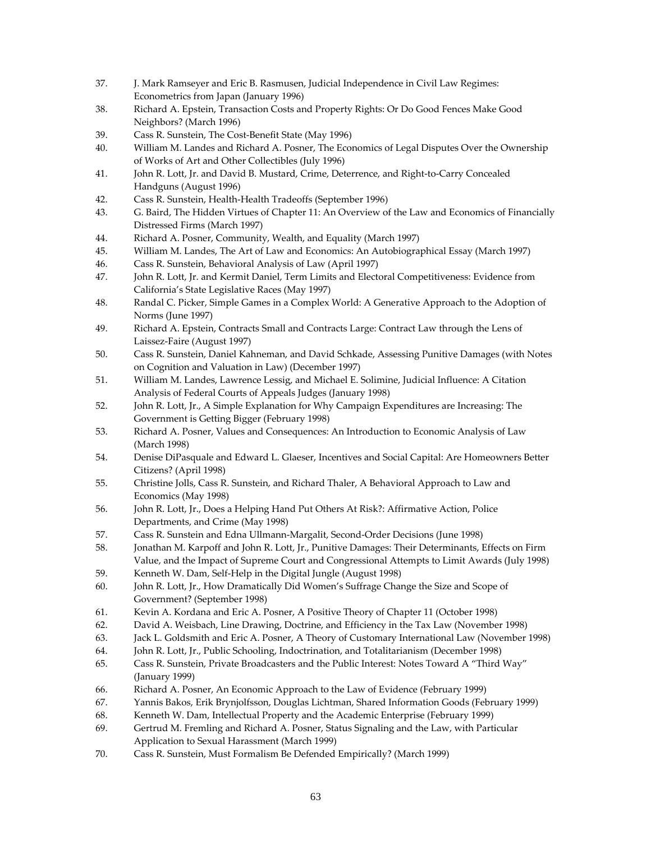- 37. J. Mark Ramseyer and Eric B. Rasmusen, Judicial Independence in Civil Law Regimes: Econometrics from Japan (January 1996)
- 38. Richard A. Epstein, Transaction Costs and Property Rights: Or Do Good Fences Make Good Neighbors? (March 1996)
- 39. Cass R. Sunstein, The Cost-Benefit State (May 1996)
- 40. William M. Landes and Richard A. Posner, The Economics of Legal Disputes Over the Ownership of Works of Art and Other Collectibles (July 1996)
- 41. John R. Lott, Jr. and David B. Mustard, Crime, Deterrence, and Right-to-Carry Concealed Handguns (August 1996)
- 42. Cass R. Sunstein, Health-Health Tradeoffs (September 1996)
- 43. G. Baird, The Hidden Virtues of Chapter 11: An Overview of the Law and Economics of Financially Distressed Firms (March 1997)
- 44. Richard A. Posner, Community, Wealth, and Equality (March 1997)
- 45. William M. Landes, The Art of Law and Economics: An Autobiographical Essay (March 1997)
- 46. Cass R. Sunstein, Behavioral Analysis of Law (April 1997)
- 47. John R. Lott, Jr. and Kermit Daniel, Term Limits and Electoral Competitiveness: Evidence from California's State Legislative Races (May 1997)
- 48. Randal C. Picker, Simple Games in a Complex World: A Generative Approach to the Adoption of Norms (June 1997)
- 49. Richard A. Epstein, Contracts Small and Contracts Large: Contract Law through the Lens of Laissez-Faire (August 1997)
- 50. Cass R. Sunstein, Daniel Kahneman, and David Schkade, Assessing Punitive Damages (with Notes on Cognition and Valuation in Law) (December 1997)
- 51. William M. Landes, Lawrence Lessig, and Michael E. Solimine, Judicial Influence: A Citation Analysis of Federal Courts of Appeals Judges (January 1998)
- 52. John R. Lott, Jr., A Simple Explanation for Why Campaign Expenditures are Increasing: The Government is Getting Bigger (February 1998)
- 53. Richard A. Posner, Values and Consequences: An Introduction to Economic Analysis of Law (March 1998)
- 54. Denise DiPasquale and Edward L. Glaeser, Incentives and Social Capital: Are Homeowners Better Citizens? (April 1998)
- 55. Christine Jolls, Cass R. Sunstein, and Richard Thaler, A Behavioral Approach to Law and Economics (May 1998)
- 56. John R. Lott, Jr., Does a Helping Hand Put Others At Risk?: Affirmative Action, Police Departments, and Crime (May 1998)
- 57. Cass R. Sunstein and Edna Ullmann-Margalit, Second-Order Decisions (June 1998)
- 58. Jonathan M. Karpoff and John R. Lott, Jr., Punitive Damages: Their Determinants, Effects on Firm Value, and the Impact of Supreme Court and Congressional Attempts to Limit Awards (July 1998)
- 59. Kenneth W. Dam, Self-Help in the Digital Jungle (August 1998)
- 60. John R. Lott, Jr., How Dramatically Did Women's Suffrage Change the Size and Scope of Government? (September 1998)
- 61. Kevin A. Kordana and Eric A. Posner, A Positive Theory of Chapter 11 (October 1998)
- 62. David A. Weisbach, Line Drawing, Doctrine, and Efficiency in the Tax Law (November 1998)
- 63. Jack L. Goldsmith and Eric A. Posner, A Theory of Customary International Law (November 1998)
- 64. John R. Lott, Jr., Public Schooling, Indoctrination, and Totalitarianism (December 1998)
- 65. Cass R. Sunstein, Private Broadcasters and the Public Interest: Notes Toward A "Third Way" (January 1999)
- 66. Richard A. Posner, An Economic Approach to the Law of Evidence (February 1999)
- 67. Yannis Bakos, Erik Brynjolfsson, Douglas Lichtman, Shared Information Goods (February 1999)
- 68. Kenneth W. Dam, Intellectual Property and the Academic Enterprise (February 1999)
- 69. Gertrud M. Fremling and Richard A. Posner, Status Signaling and the Law, with Particular Application to Sexual Harassment (March 1999)
- 70. Cass R. Sunstein, Must Formalism Be Defended Empirically? (March 1999)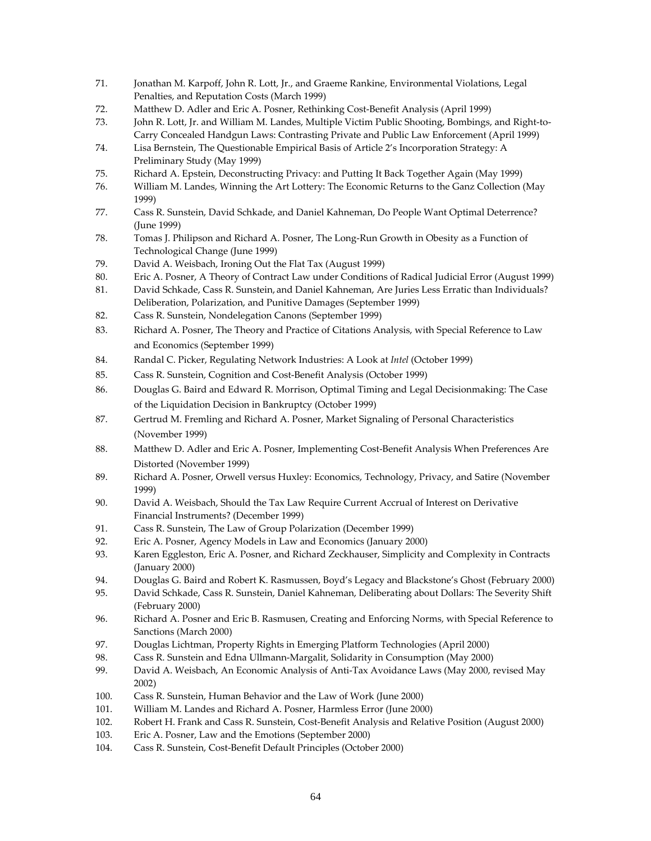- 71. Jonathan M. Karpoff, John R. Lott, Jr., and Graeme Rankine, Environmental Violations, Legal Penalties, and Reputation Costs (March 1999)
- 72. Matthew D. Adler and Eric A. Posner, Rethinking Cost-Benefit Analysis (April 1999)
- 73. John R. Lott, Jr. and William M. Landes, Multiple Victim Public Shooting, Bombings, and Right-to-Carry Concealed Handgun Laws: Contrasting Private and Public Law Enforcement (April 1999)
- 74. Lisa Bernstein, The Questionable Empirical Basis of Article 2's Incorporation Strategy: A Preliminary Study (May 1999)
- 75. Richard A. Epstein, Deconstructing Privacy: and Putting It Back Together Again (May 1999)
- 76. William M. Landes, Winning the Art Lottery: The Economic Returns to the Ganz Collection (May 1999)
- 77. Cass R. Sunstein, David Schkade, and Daniel Kahneman, Do People Want Optimal Deterrence? (June 1999)
- 78. Tomas J. Philipson and Richard A. Posner, The Long-Run Growth in Obesity as a Function of Technological Change (June 1999)
- 79. David A. Weisbach, Ironing Out the Flat Tax (August 1999)
- 80. Eric A. Posner, A Theory of Contract Law under Conditions of Radical Judicial Error (August 1999)
- 81. David Schkade, Cass R. Sunstein, and Daniel Kahneman, Are Juries Less Erratic than Individuals? Deliberation, Polarization, and Punitive Damages (September 1999)
- 82. Cass R. Sunstein, Nondelegation Canons (September 1999)
- 83. Richard A. Posner, The Theory and Practice of Citations Analysis, with Special Reference to Law and Economics (September 1999)
- 84. Randal C. Picker, Regulating Network Industries: A Look at *Intel* (October 1999)
- 85. Cass R. Sunstein, Cognition and Cost-Benefit Analysis (October 1999)
- 86. Douglas G. Baird and Edward R. Morrison, Optimal Timing and Legal Decisionmaking: The Case of the Liquidation Decision in Bankruptcy (October 1999)
- 87. Gertrud M. Fremling and Richard A. Posner, Market Signaling of Personal Characteristics (November 1999)
- 88. Matthew D. Adler and Eric A. Posner, Implementing Cost-Benefit Analysis When Preferences Are Distorted (November 1999)
- 89. Richard A. Posner, Orwell versus Huxley: Economics, Technology, Privacy, and Satire (November 1999)
- 90. David A. Weisbach, Should the Tax Law Require Current Accrual of Interest on Derivative Financial Instruments? (December 1999)
- 91. Cass R. Sunstein, The Law of Group Polarization (December 1999)
- 92. Eric A. Posner, Agency Models in Law and Economics (January 2000)
- 93. Karen Eggleston, Eric A. Posner, and Richard Zeckhauser, Simplicity and Complexity in Contracts (January 2000)
- 94. Douglas G. Baird and Robert K. Rasmussen, Boyd's Legacy and Blackstone's Ghost (February 2000)
- 95. David Schkade, Cass R. Sunstein, Daniel Kahneman, Deliberating about Dollars: The Severity Shift (February 2000)
- 96. Richard A. Posner and Eric B. Rasmusen, Creating and Enforcing Norms, with Special Reference to Sanctions (March 2000)
- 97. Douglas Lichtman, Property Rights in Emerging Platform Technologies (April 2000)
- 98. Cass R. Sunstein and Edna Ullmann-Margalit, Solidarity in Consumption (May 2000)
- 99. David A. Weisbach, An Economic Analysis of Anti-Tax Avoidance Laws (May 2000, revised May 2002)
- 100. Cass R. Sunstein, Human Behavior and the Law of Work (June 2000)
- 101. William M. Landes and Richard A. Posner, Harmless Error (June 2000)
- 102. Robert H. Frank and Cass R. Sunstein, Cost-Benefit Analysis and Relative Position (August 2000)
- 103. Eric A. Posner, Law and the Emotions (September 2000)
- 104. Cass R. Sunstein, Cost-Benefit Default Principles (October 2000)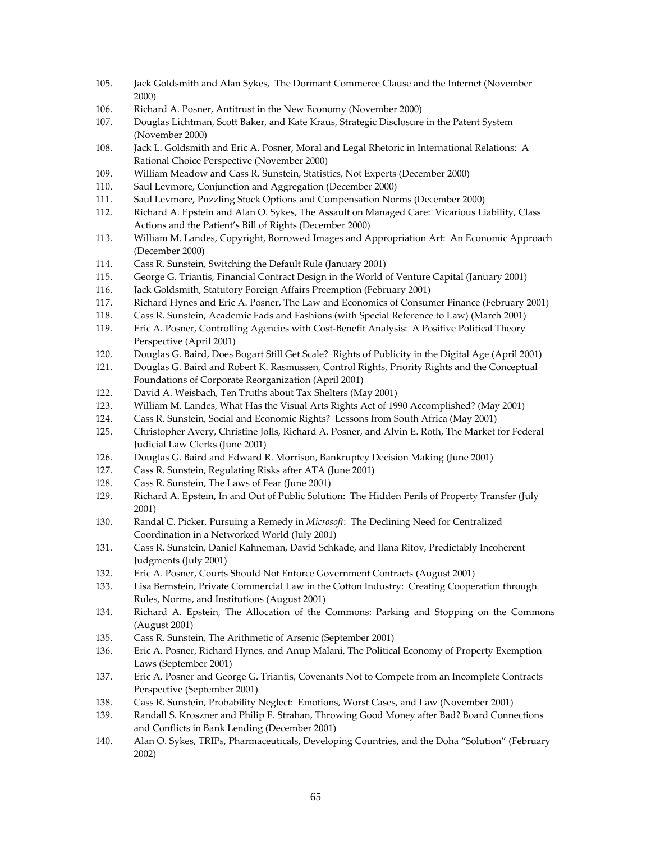- 105. Jack Goldsmith and Alan Sykes, The Dormant Commerce Clause and the Internet (November 2000)
- 106. Richard A. Posner, Antitrust in the New Economy (November 2000)
- 107. Douglas Lichtman, Scott Baker, and Kate Kraus, Strategic Disclosure in the Patent System (November 2000)
- 108. Jack L. Goldsmith and Eric A. Posner, Moral and Legal Rhetoric in International Relations: A Rational Choice Perspective (November 2000)
- 109. William Meadow and Cass R. Sunstein, Statistics, Not Experts (December 2000)
- 110. Saul Levmore, Conjunction and Aggregation (December 2000)
- 111. Saul Levmore, Puzzling Stock Options and Compensation Norms (December 2000)
- 112. Richard A. Epstein and Alan O. Sykes, The Assault on Managed Care: Vicarious Liability, Class Actions and the Patient's Bill of Rights (December 2000)
- 113. William M. Landes, Copyright, Borrowed Images and Appropriation Art: An Economic Approach (December 2000)
- 114. Cass R. Sunstein, Switching the Default Rule (January 2001)
- 115. George G. Triantis, Financial Contract Design in the World of Venture Capital (January 2001)
- 116. Jack Goldsmith, Statutory Foreign Affairs Preemption (February 2001)
- 117. Richard Hynes and Eric A. Posner, The Law and Economics of Consumer Finance (February 2001)
- 118. Cass R. Sunstein, Academic Fads and Fashions (with Special Reference to Law) (March 2001)
- 119. Eric A. Posner, Controlling Agencies with Cost-Benefit Analysis: A Positive Political Theory Perspective (April 2001)
- 120. Douglas G. Baird, Does Bogart Still Get Scale? Rights of Publicity in the Digital Age (April 2001)
- 121. Douglas G. Baird and Robert K. Rasmussen, Control Rights, Priority Rights and the Conceptual Foundations of Corporate Reorganization (April 2001)
- 122. David A. Weisbach, Ten Truths about Tax Shelters (May 2001)
- 123. William M. Landes, What Has the Visual Arts Rights Act of 1990 Accomplished? (May 2001)
- 124. Cass R. Sunstein, Social and Economic Rights? Lessons from South Africa (May 2001)
- 125. Christopher Avery, Christine Jolls, Richard A. Posner, and Alvin E. Roth, The Market for Federal Judicial Law Clerks (June 2001)
- 126. Douglas G. Baird and Edward R. Morrison, Bankruptcy Decision Making (June 2001)
- 127. Cass R. Sunstein, Regulating Risks after ATA (June 2001)
- 128. Cass R. Sunstein, The Laws of Fear (June 2001)
- 129. Richard A. Epstein, In and Out of Public Solution: The Hidden Perils of Property Transfer (July 2001)
- 130. Randal C. Picker, Pursuing a Remedy in *Microsoft*: The Declining Need for Centralized Coordination in a Networked World (July 2001)
- 131. Cass R. Sunstein, Daniel Kahneman, David Schkade, and Ilana Ritov, Predictably Incoherent Judgments (July 2001)
- 132. Eric A. Posner, Courts Should Not Enforce Government Contracts (August 2001)
- 133. Lisa Bernstein, Private Commercial Law in the Cotton Industry: Creating Cooperation through Rules, Norms, and Institutions (August 2001)
- 134. Richard A. Epstein, The Allocation of the Commons: Parking and Stopping on the Commons (August 2001)
- 135. Cass R. Sunstein, The Arithmetic of Arsenic (September 2001)
- 136. Eric A. Posner, Richard Hynes, and Anup Malani, The Political Economy of Property Exemption Laws (September 2001)
- 137. Eric A. Posner and George G. Triantis, Covenants Not to Compete from an Incomplete Contracts Perspective (September 2001)
- 138. Cass R. Sunstein, Probability Neglect: Emotions, Worst Cases, and Law (November 2001)
- 139. Randall S. Kroszner and Philip E. Strahan, Throwing Good Money after Bad? Board Connections and Conflicts in Bank Lending (December 2001)
- 140. Alan O. Sykes, TRIPs, Pharmaceuticals, Developing Countries, and the Doha "Solution" (February 2002)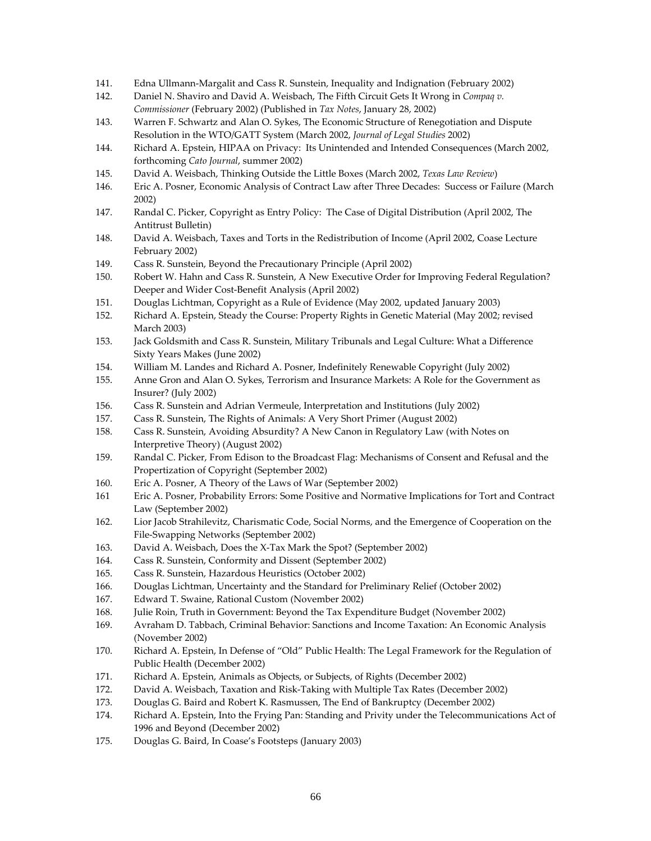- 141. Edna Ullmann-Margalit and Cass R. Sunstein, Inequality and Indignation (February 2002)
- 142. Daniel N. Shaviro and David A. Weisbach, The Fifth Circuit Gets It Wrong in *Compaq v. Commissioner* (February 2002) (Published in *Tax Notes*, January 28, 2002)
- 143. Warren F. Schwartz and Alan O. Sykes, The Economic Structure of Renegotiation and Dispute Resolution in the WTO/GATT System (March 2002, *Journal of Legal Studies* 2002)
- 144. Richard A. Epstein, HIPAA on Privacy: Its Unintended and Intended Consequences (March 2002, forthcoming *Cato Journal*, summer 2002)
- 145. David A. Weisbach, Thinking Outside the Little Boxes (March 2002, *Texas Law Review*)
- 146. Eric A. Posner, Economic Analysis of Contract Law after Three Decades: Success or Failure (March 2002)
- 147. Randal C. Picker, Copyright as Entry Policy: The Case of Digital Distribution (April 2002, The Antitrust Bulletin)
- 148. David A. Weisbach, Taxes and Torts in the Redistribution of Income (April 2002, Coase Lecture February 2002)
- 149. Cass R. Sunstein, Beyond the Precautionary Principle (April 2002)
- 150. Robert W. Hahn and Cass R. Sunstein, A New Executive Order for Improving Federal Regulation? Deeper and Wider Cost-Benefit Analysis (April 2002)
- 151. Douglas Lichtman, Copyright as a Rule of Evidence (May 2002, updated January 2003)
- 152. Richard A. Epstein, Steady the Course: Property Rights in Genetic Material (May 2002; revised March 2003)
- 153. Jack Goldsmith and Cass R. Sunstein, Military Tribunals and Legal Culture: What a Difference Sixty Years Makes (June 2002)
- 154. William M. Landes and Richard A. Posner, Indefinitely Renewable Copyright (July 2002)
- 155. Anne Gron and Alan O. Sykes, Terrorism and Insurance Markets: A Role for the Government as Insurer? (July 2002)
- 156. Cass R. Sunstein and Adrian Vermeule, Interpretation and Institutions (July 2002)
- 157. Cass R. Sunstein, The Rights of Animals: A Very Short Primer (August 2002)
- 158. Cass R. Sunstein, Avoiding Absurdity? A New Canon in Regulatory Law (with Notes on Interpretive Theory) (August 2002)
- 159. Randal C. Picker, From Edison to the Broadcast Flag: Mechanisms of Consent and Refusal and the Propertization of Copyright (September 2002)
- 160. Eric A. Posner, A Theory of the Laws of War (September 2002)
- 161 Eric A. Posner, Probability Errors: Some Positive and Normative Implications for Tort and Contract Law (September 2002)
- 162. Lior Jacob Strahilevitz, Charismatic Code, Social Norms, and the Emergence of Cooperation on the File-Swapping Networks (September 2002)
- 163. David A. Weisbach, Does the X-Tax Mark the Spot? (September 2002)
- 164. Cass R. Sunstein, Conformity and Dissent (September 2002)
- 165. Cass R. Sunstein, Hazardous Heuristics (October 2002)
- 166. Douglas Lichtman, Uncertainty and the Standard for Preliminary Relief (October 2002)
- 167. Edward T. Swaine, Rational Custom (November 2002)
- 168. Julie Roin, Truth in Government: Beyond the Tax Expenditure Budget (November 2002)
- 169. Avraham D. Tabbach, Criminal Behavior: Sanctions and Income Taxation: An Economic Analysis (November 2002)
- 170. Richard A. Epstein, In Defense of "Old" Public Health: The Legal Framework for the Regulation of Public Health (December 2002)
- 171. Richard A. Epstein, Animals as Objects, or Subjects, of Rights (December 2002)
- 172. David A. Weisbach, Taxation and Risk-Taking with Multiple Tax Rates (December 2002)
- 173. Douglas G. Baird and Robert K. Rasmussen, The End of Bankruptcy (December 2002)
- 174. Richard A. Epstein, Into the Frying Pan: Standing and Privity under the Telecommunications Act of 1996 and Beyond (December 2002)
- 175. Douglas G. Baird, In Coase's Footsteps (January 2003)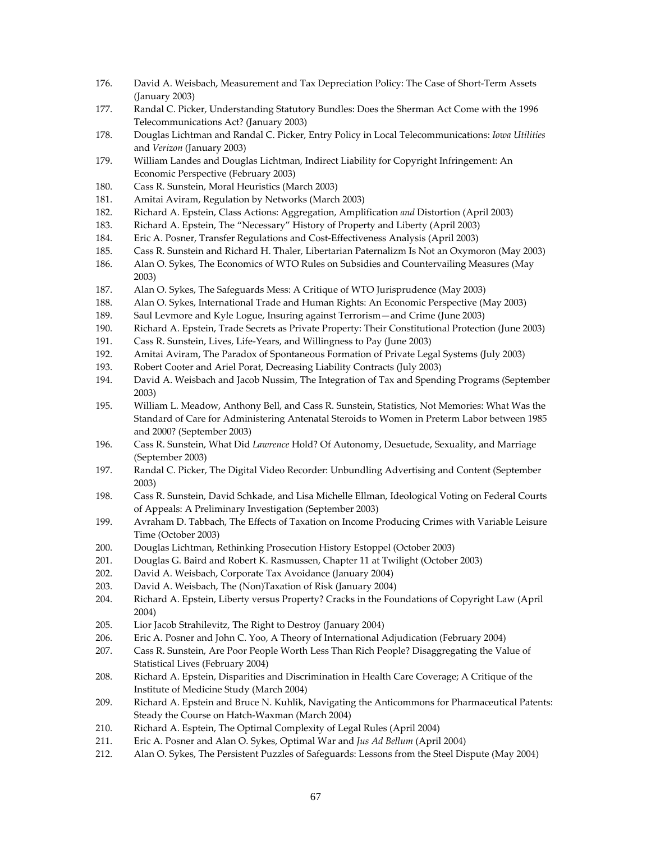- 176. David A. Weisbach, Measurement and Tax Depreciation Policy: The Case of Short-Term Assets (January 2003)
- 177. Randal C. Picker, Understanding Statutory Bundles: Does the Sherman Act Come with the 1996 Telecommunications Act? (January 2003)
- 178. Douglas Lichtman and Randal C. Picker, Entry Policy in Local Telecommunications: *Iowa Utilities* and *Verizon* (January 2003)
- 179. William Landes and Douglas Lichtman, Indirect Liability for Copyright Infringement: An Economic Perspective (February 2003)
- 180. Cass R. Sunstein, Moral Heuristics (March 2003)
- 181. Amitai Aviram, Regulation by Networks (March 2003)
- 182. Richard A. Epstein, Class Actions: Aggregation, Amplification *and* Distortion (April 2003)
- 183. Richard A. Epstein, The "Necessary" History of Property and Liberty (April 2003)
- 184. Eric A. Posner, Transfer Regulations and Cost-Effectiveness Analysis (April 2003)
- 185. Cass R. Sunstein and Richard H. Thaler, Libertarian Paternalizm Is Not an Oxymoron (May 2003)
- 186. Alan O. Sykes, The Economics of WTO Rules on Subsidies and Countervailing Measures (May 2003)
- 187. Alan O. Sykes, The Safeguards Mess: A Critique of WTO Jurisprudence (May 2003)
- 188. Alan O. Sykes, International Trade and Human Rights: An Economic Perspective (May 2003)
- 189. Saul Levmore and Kyle Logue, Insuring against Terrorism—and Crime (June 2003)
- 190. Richard A. Epstein, Trade Secrets as Private Property: Their Constitutional Protection (June 2003)
- 191. Cass R. Sunstein, Lives, Life-Years, and Willingness to Pay (June 2003)
- 192. Amitai Aviram, The Paradox of Spontaneous Formation of Private Legal Systems (July 2003)
- 193. Robert Cooter and Ariel Porat, Decreasing Liability Contracts (July 2003)
- 194. David A. Weisbach and Jacob Nussim, The Integration of Tax and Spending Programs (September 2003)
- 195. William L. Meadow, Anthony Bell, and Cass R. Sunstein, Statistics, Not Memories: What Was the Standard of Care for Administering Antenatal Steroids to Women in Preterm Labor between 1985 and 2000? (September 2003)
- 196. Cass R. Sunstein, What Did *Lawrence* Hold? Of Autonomy, Desuetude, Sexuality, and Marriage (September 2003)
- 197. Randal C. Picker, The Digital Video Recorder: Unbundling Advertising and Content (September 2003)
- 198. Cass R. Sunstein, David Schkade, and Lisa Michelle Ellman, Ideological Voting on Federal Courts of Appeals: A Preliminary Investigation (September 2003)
- 199. Avraham D. Tabbach, The Effects of Taxation on Income Producing Crimes with Variable Leisure Time (October 2003)
- 200. Douglas Lichtman, Rethinking Prosecution History Estoppel (October 2003)
- 201. Douglas G. Baird and Robert K. Rasmussen, Chapter 11 at Twilight (October 2003)
- 202. David A. Weisbach, Corporate Tax Avoidance (January 2004)
- 203. David A. Weisbach, The (Non)Taxation of Risk (January 2004)
- 204. Richard A. Epstein, Liberty versus Property? Cracks in the Foundations of Copyright Law (April 2004)
- 205. Lior Jacob Strahilevitz, The Right to Destroy (January 2004)
- 206. Eric A. Posner and John C. Yoo, A Theory of International Adjudication (February 2004)
- 207. Cass R. Sunstein, Are Poor People Worth Less Than Rich People? Disaggregating the Value of Statistical Lives (February 2004)
- 208. Richard A. Epstein, Disparities and Discrimination in Health Care Coverage; A Critique of the Institute of Medicine Study (March 2004)
- 209. Richard A. Epstein and Bruce N. Kuhlik, Navigating the Anticommons for Pharmaceutical Patents: Steady the Course on Hatch-Waxman (March 2004)
- 210. Richard A. Esptein, The Optimal Complexity of Legal Rules (April 2004)
- 211. Eric A. Posner and Alan O. Sykes, Optimal War and *Jus Ad Bellum* (April 2004)
- 212. Alan O. Sykes, The Persistent Puzzles of Safeguards: Lessons from the Steel Dispute (May 2004)